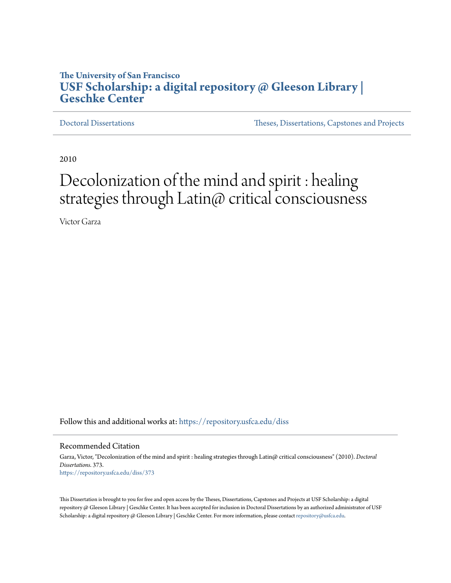# **The University of San Francisco [USF Scholarship: a digital repository @ Gleeson Library |](https://repository.usfca.edu?utm_source=repository.usfca.edu%2Fdiss%2F373&utm_medium=PDF&utm_campaign=PDFCoverPages) [Geschke Center](https://repository.usfca.edu?utm_source=repository.usfca.edu%2Fdiss%2F373&utm_medium=PDF&utm_campaign=PDFCoverPages)**

[Doctoral Dissertations](https://repository.usfca.edu/diss?utm_source=repository.usfca.edu%2Fdiss%2F373&utm_medium=PDF&utm_campaign=PDFCoverPages) [Theses, Dissertations, Capstones and Projects](https://repository.usfca.edu/etd?utm_source=repository.usfca.edu%2Fdiss%2F373&utm_medium=PDF&utm_campaign=PDFCoverPages)

2010

# Decolonization of the mind and spirit : healing strategies through Latin@ critical consciousness

Victor Garza

Follow this and additional works at: [https://repository.usfca.edu/diss](https://repository.usfca.edu/diss?utm_source=repository.usfca.edu%2Fdiss%2F373&utm_medium=PDF&utm_campaign=PDFCoverPages)

#### Recommended Citation

Garza, Victor, "Decolonization of the mind and spirit : healing strategies through Latin@ critical consciousness" (2010). *Doctoral Dissertations*. 373. [https://repository.usfca.edu/diss/373](https://repository.usfca.edu/diss/373?utm_source=repository.usfca.edu%2Fdiss%2F373&utm_medium=PDF&utm_campaign=PDFCoverPages)

This Dissertation is brought to you for free and open access by the Theses, Dissertations, Capstones and Projects at USF Scholarship: a digital repository @ Gleeson Library | Geschke Center. It has been accepted for inclusion in Doctoral Dissertations by an authorized administrator of USF Scholarship: a digital repository @ Gleeson Library | Geschke Center. For more information, please contact [repository@usfca.edu.](mailto:repository@usfca.edu)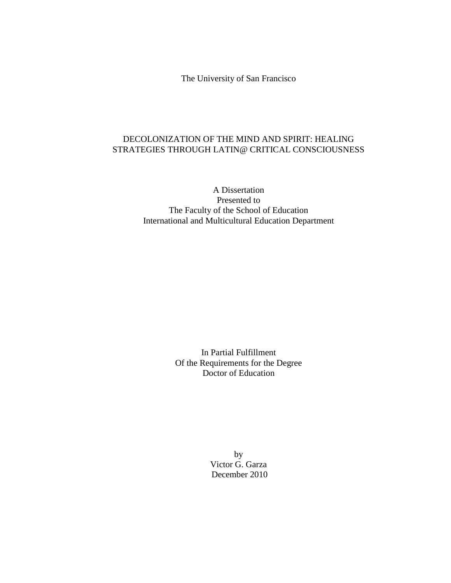The University of San Francisco

# DECOLONIZATION OF THE MIND AND SPIRIT: HEALING STRATEGIES THROUGH LATIN@ CRITICAL CONSCIOUSNESS

A Dissertation Presented to The Faculty of the School of Education International and Multicultural Education Department

> In Partial Fulfillment Of the Requirements for the Degree Doctor of Education

> > by Victor G. Garza December 2010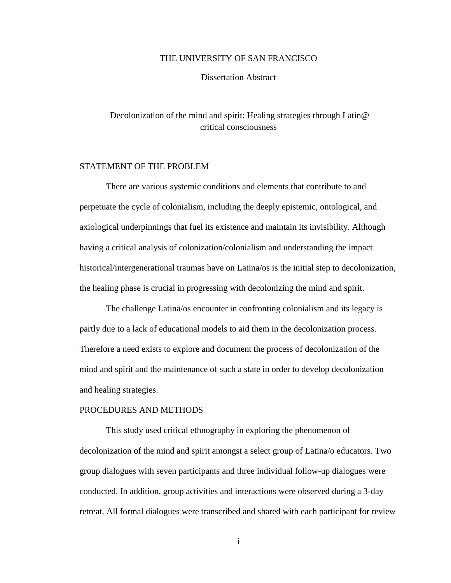# THE UNIVERSITY OF SAN FRANCISCO

Dissertation Abstract

# Decolonization of the mind and spirit: Healing strategies through Latin@ critical consciousness

# STATEMENT OF THE PROBLEM

There are various systemic conditions and elements that contribute to and perpetuate the cycle of colonialism, including the deeply epistemic, ontological, and axiological underpinnings that fuel its existence and maintain its invisibility. Although having a critical analysis of colonization/colonialism and understanding the impact historical/intergenerational traumas have on Latina/os is the initial step to decolonization, the healing phase is crucial in progressing with decolonizing the mind and spirit.

The challenge Latina/os encounter in confronting colonialism and its legacy is partly due to a lack of educational models to aid them in the decolonization process. Therefore a need exists to explore and document the process of decolonization of the mind and spirit and the maintenance of such a state in order to develop decolonization and healing strategies.

# PROCEDURES AND METHODS

This study used critical ethnography in exploring the phenomenon of decolonization of the mind and spirit amongst a select group of Latina/o educators. Two group dialogues with seven participants and three individual follow-up dialogues were conducted. In addition, group activities and interactions were observed during a 3-day retreat. All formal dialogues were transcribed and shared with each participant for review

i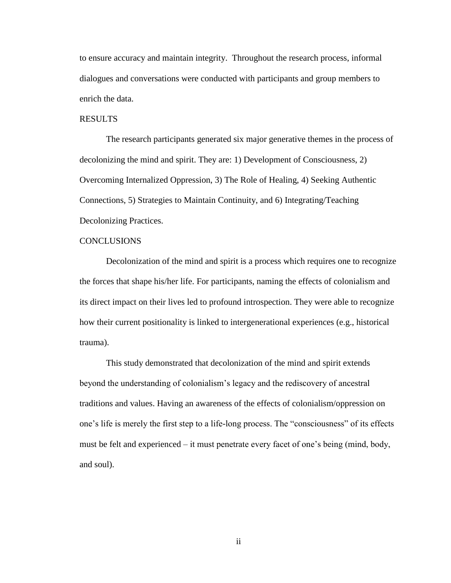to ensure accuracy and maintain integrity. Throughout the research process, informal dialogues and conversations were conducted with participants and group members to enrich the data.

# RESULTS

The research participants generated six major generative themes in the process of decolonizing the mind and spirit. They are: 1) Development of Consciousness, 2) Overcoming Internalized Oppression, 3) The Role of Healing, 4) Seeking Authentic Connections, 5) Strategies to Maintain Continuity, and 6) Integrating/Teaching Decolonizing Practices.

# **CONCLUSIONS**

Decolonization of the mind and spirit is a process which requires one to recognize the forces that shape his/her life. For participants, naming the effects of colonialism and its direct impact on their lives led to profound introspection. They were able to recognize how their current positionality is linked to intergenerational experiences (e.g., historical trauma).

This study demonstrated that decolonization of the mind and spirit extends beyond the understanding of colonialism's legacy and the rediscovery of ancestral traditions and values. Having an awareness of the effects of colonialism/oppression on one's life is merely the first step to a life-long process. The "consciousness" of its effects must be felt and experienced – it must penetrate every facet of one's being (mind, body, and soul).

ii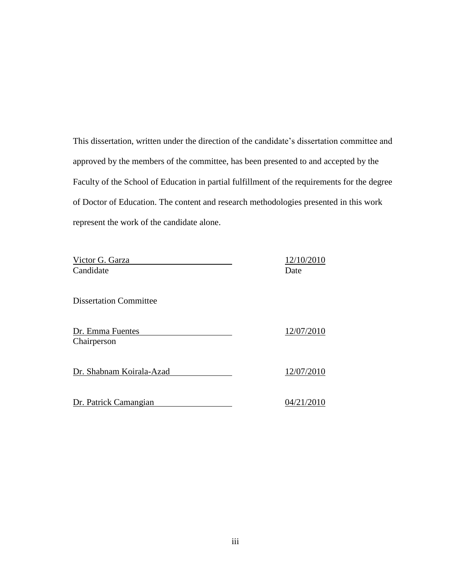This dissertation, written under the direction of the candidate's dissertation committee and approved by the members of the committee, has been presented to and accepted by the Faculty of the School of Education in partial fulfillment of the requirements for the degree of Doctor of Education. The content and research methodologies presented in this work represent the work of the candidate alone.

| Victor G. Garza               | 12/10/2010 |
|-------------------------------|------------|
| Candidate                     | Date       |
|                               |            |
| <b>Dissertation Committee</b> |            |
|                               |            |
| Dr. Emma Fuentes              | 12/07/2010 |
| Chairperson                   |            |
|                               |            |
| Dr. Shabnam Koirala-Azad      | 12/07/2010 |
|                               |            |
| Dr. Patrick Camangian         | 04/21/2010 |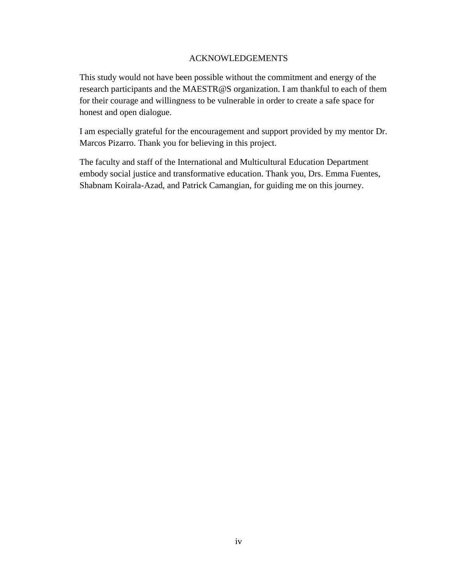# ACKNOWLEDGEMENTS

This study would not have been possible without the commitment and energy of the research participants and the MAESTR@S organization. I am thankful to each of them for their courage and willingness to be vulnerable in order to create a safe space for honest and open dialogue.

I am especially grateful for the encouragement and support provided by my mentor Dr. Marcos Pizarro. Thank you for believing in this project.

The faculty and staff of the International and Multicultural Education Department embody social justice and transformative education. Thank you, Drs. Emma Fuentes, Shabnam Koirala-Azad, and Patrick Camangian, for guiding me on this journey.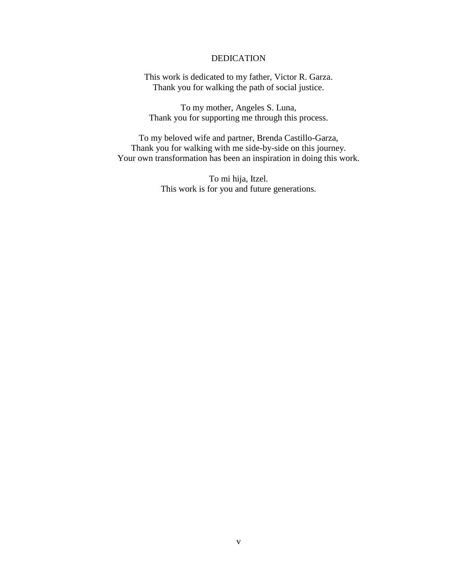# DEDICATION

This work is dedicated to my father, Victor R. Garza. Thank you for walking the path of social justice.

To my mother, Angeles S. Luna, Thank you for supporting me through this process.

To my beloved wife and partner, Brenda Castillo-Garza, Thank you for walking with me side-by-side on this journey. Your own transformation has been an inspiration in doing this work.

> To mi hija, Itzel. This work is for you and future generations.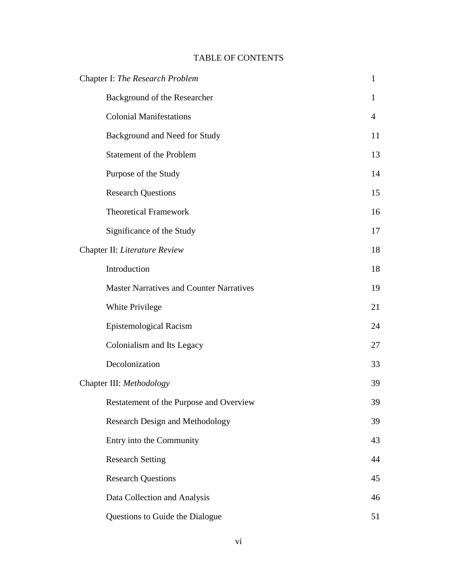# TABLE OF CONTENTS

| Chapter I: The Research Problem                 |                |
|-------------------------------------------------|----------------|
| Background of the Researcher                    | 1              |
| <b>Colonial Manifestations</b>                  | $\overline{4}$ |
| Background and Need for Study                   | 11             |
| <b>Statement of the Problem</b>                 | 13             |
| Purpose of the Study                            | 14             |
| <b>Research Questions</b>                       | 15             |
| <b>Theoretical Framework</b>                    | 16             |
| Significance of the Study                       | 17             |
| Chapter II: Literature Review                   | 18             |
| Introduction                                    | 18             |
| <b>Master Narratives and Counter Narratives</b> | 19             |
| White Privilege                                 | 21             |
| <b>Epistemological Racism</b>                   | 24             |
| Colonialism and Its Legacy                      | 27             |
| Decolonization                                  | 33             |
| Chapter III: Methodology                        |                |
| Restatement of the Purpose and Overview         | 39             |
| <b>Research Design and Methodology</b>          | 39             |
| Entry into the Community                        | 43             |
| <b>Research Setting</b>                         | 44             |
| <b>Research Questions</b>                       | 45             |
| Data Collection and Analysis                    | 46             |
| Questions to Guide the Dialogue                 | 51             |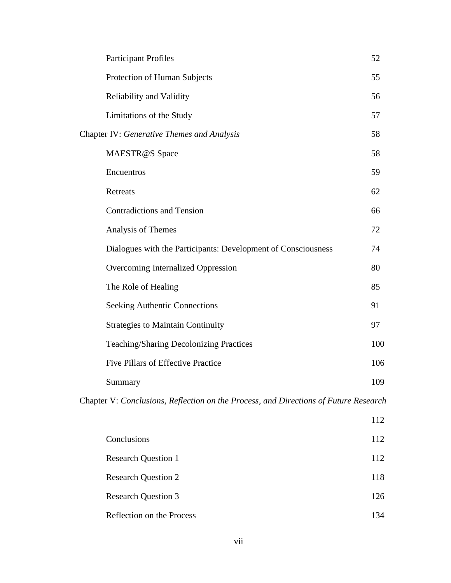| <b>Participant Profiles</b>                                   | 52  |
|---------------------------------------------------------------|-----|
| Protection of Human Subjects                                  | 55  |
| Reliability and Validity                                      | 56  |
| Limitations of the Study                                      | 57  |
| Chapter IV: Generative Themes and Analysis                    | 58  |
| MAESTR@S Space                                                | 58  |
| Encuentros                                                    | 59  |
| Retreats                                                      | 62  |
| <b>Contradictions and Tension</b>                             | 66  |
| Analysis of Themes                                            | 72  |
| Dialogues with the Participants: Development of Consciousness | 74  |
| Overcoming Internalized Oppression                            | 80  |
| The Role of Healing                                           | 85  |
| <b>Seeking Authentic Connections</b>                          | 91  |
| <b>Strategies to Maintain Continuity</b>                      | 97  |
| <b>Teaching/Sharing Decolonizing Practices</b>                | 100 |
| <b>Five Pillars of Effective Practice</b>                     | 106 |
| Summary                                                       | 109 |
|                                                               |     |

Chapter V: *Conclusions, Reflection on the Process, and Directions of Future Research*

|                            | 112 |
|----------------------------|-----|
| Conclusions                | 112 |
| <b>Research Question 1</b> | 112 |
| <b>Research Question 2</b> | 118 |
| <b>Research Question 3</b> | 126 |
| Reflection on the Process  | 134 |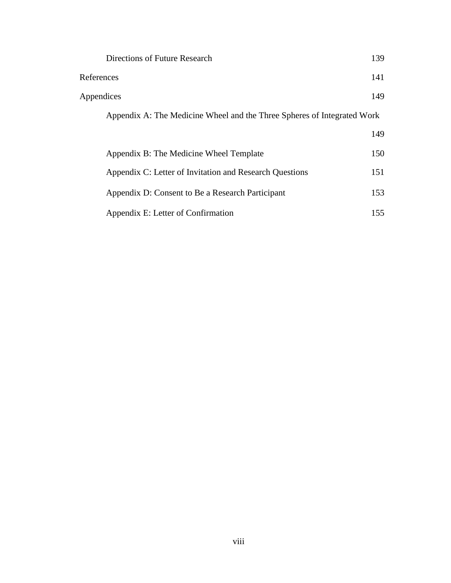|            | Directions of Future Research                                           | 139 |
|------------|-------------------------------------------------------------------------|-----|
| References |                                                                         | 141 |
|            | Appendices                                                              | 149 |
|            | Appendix A: The Medicine Wheel and the Three Spheres of Integrated Work |     |
|            |                                                                         | 149 |
|            | Appendix B: The Medicine Wheel Template                                 | 150 |
|            | Appendix C: Letter of Invitation and Research Questions                 | 151 |
|            | Appendix D: Consent to Be a Research Participant                        | 153 |
|            | Appendix E: Letter of Confirmation                                      | 155 |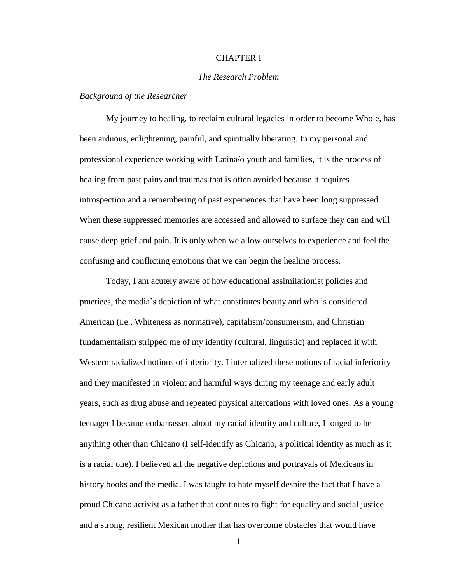# CHAPTER I

# *The Research Problem*

## *Background of the Researcher*

My journey to healing, to reclaim cultural legacies in order to become Whole, has been arduous, enlightening, painful, and spiritually liberating. In my personal and professional experience working with Latina/o youth and families, it is the process of healing from past pains and traumas that is often avoided because it requires introspection and a remembering of past experiences that have been long suppressed. When these suppressed memories are accessed and allowed to surface they can and will cause deep grief and pain. It is only when we allow ourselves to experience and feel the confusing and conflicting emotions that we can begin the healing process.

Today, I am acutely aware of how educational assimilationist policies and practices, the media's depiction of what constitutes beauty and who is considered American (i.e., Whiteness as normative), capitalism/consumerism, and Christian fundamentalism stripped me of my identity (cultural, linguistic) and replaced it with Western racialized notions of inferiority. I internalized these notions of racial inferiority and they manifested in violent and harmful ways during my teenage and early adult years, such as drug abuse and repeated physical altercations with loved ones. As a young teenager I became embarrassed about my racial identity and culture, I longed to be anything other than Chicano (I self-identify as Chicano, a political identity as much as it is a racial one). I believed all the negative depictions and portrayals of Mexicans in history books and the media. I was taught to hate myself despite the fact that I have a proud Chicano activist as a father that continues to fight for equality and social justice and a strong, resilient Mexican mother that has overcome obstacles that would have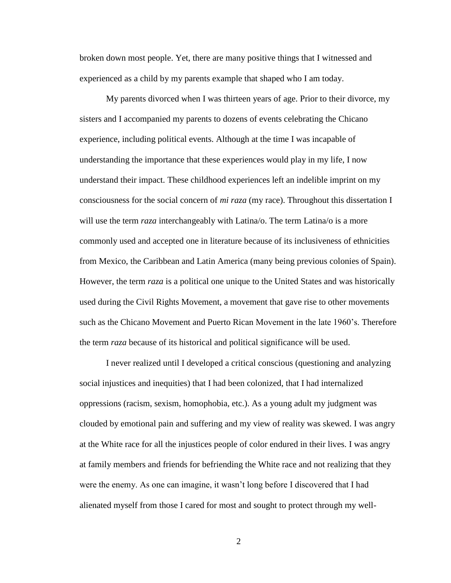broken down most people. Yet, there are many positive things that I witnessed and experienced as a child by my parents example that shaped who I am today.

My parents divorced when I was thirteen years of age. Prior to their divorce, my sisters and I accompanied my parents to dozens of events celebrating the Chicano experience, including political events. Although at the time I was incapable of understanding the importance that these experiences would play in my life, I now understand their impact. These childhood experiences left an indelible imprint on my consciousness for the social concern of *mi raza* (my race). Throughout this dissertation I will use the term *raza* interchangeably with Latina/o. The term Latina/o is a more commonly used and accepted one in literature because of its inclusiveness of ethnicities from Mexico, the Caribbean and Latin America (many being previous colonies of Spain). However, the term *raza* is a political one unique to the United States and was historically used during the Civil Rights Movement, a movement that gave rise to other movements such as the Chicano Movement and Puerto Rican Movement in the late 1960's. Therefore the term *raza* because of its historical and political significance will be used.

I never realized until I developed a critical conscious (questioning and analyzing social injustices and inequities) that I had been colonized, that I had internalized oppressions (racism, sexism, homophobia, etc.). As a young adult my judgment was clouded by emotional pain and suffering and my view of reality was skewed. I was angry at the White race for all the injustices people of color endured in their lives. I was angry at family members and friends for befriending the White race and not realizing that they were the enemy. As one can imagine, it wasn't long before I discovered that I had alienated myself from those I cared for most and sought to protect through my well-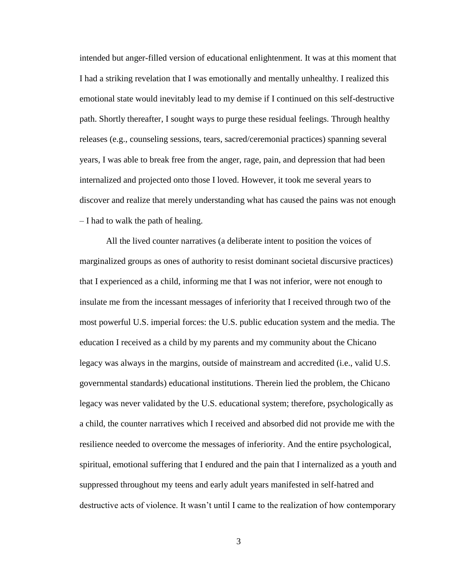intended but anger-filled version of educational enlightenment. It was at this moment that I had a striking revelation that I was emotionally and mentally unhealthy. I realized this emotional state would inevitably lead to my demise if I continued on this self-destructive path. Shortly thereafter, I sought ways to purge these residual feelings. Through healthy releases (e.g., counseling sessions, tears, sacred/ceremonial practices) spanning several years, I was able to break free from the anger, rage, pain, and depression that had been internalized and projected onto those I loved. However, it took me several years to discover and realize that merely understanding what has caused the pains was not enough – I had to walk the path of healing.

All the lived counter narratives (a deliberate intent to position the voices of marginalized groups as ones of authority to resist dominant societal discursive practices) that I experienced as a child, informing me that I was not inferior, were not enough to insulate me from the incessant messages of inferiority that I received through two of the most powerful U.S. imperial forces: the U.S. public education system and the media. The education I received as a child by my parents and my community about the Chicano legacy was always in the margins, outside of mainstream and accredited (i.e., valid U.S. governmental standards) educational institutions. Therein lied the problem, the Chicano legacy was never validated by the U.S. educational system; therefore, psychologically as a child, the counter narratives which I received and absorbed did not provide me with the resilience needed to overcome the messages of inferiority. And the entire psychological, spiritual, emotional suffering that I endured and the pain that I internalized as a youth and suppressed throughout my teens and early adult years manifested in self-hatred and destructive acts of violence. It wasn't until I came to the realization of how contemporary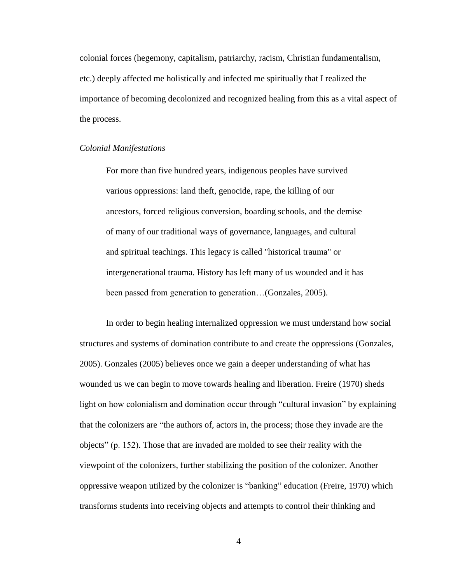colonial forces (hegemony, capitalism, patriarchy, racism, Christian fundamentalism, etc.) deeply affected me holistically and infected me spiritually that I realized the importance of becoming decolonized and recognized healing from this as a vital aspect of the process.

#### *Colonial Manifestations*

For more than five hundred years, indigenous peoples have survived various oppressions: land theft, genocide, rape, the killing of our ancestors, forced religious conversion, boarding schools, and the demise of many of our traditional ways of governance, languages, and cultural and spiritual teachings. This legacy is called "historical trauma" or intergenerational trauma. History has left many of us wounded and it has been passed from generation to generation...(Gonzales, 2005).

In order to begin healing internalized oppression we must understand how social structures and systems of domination contribute to and create the oppressions (Gonzales, 2005). Gonzales (2005) believes once we gain a deeper understanding of what has wounded us we can begin to move towards healing and liberation. Freire (1970) sheds light on how colonialism and domination occur through "cultural invasion" by explaining that the colonizers are "the authors of, actors in, the process; those they invade are the objects"  $(p. 152)$ . Those that are invaded are molded to see their reality with the viewpoint of the colonizers, further stabilizing the position of the colonizer. Another oppressive weapon utilized by the colonizer is "banking" education (Freire, 1970) which transforms students into receiving objects and attempts to control their thinking and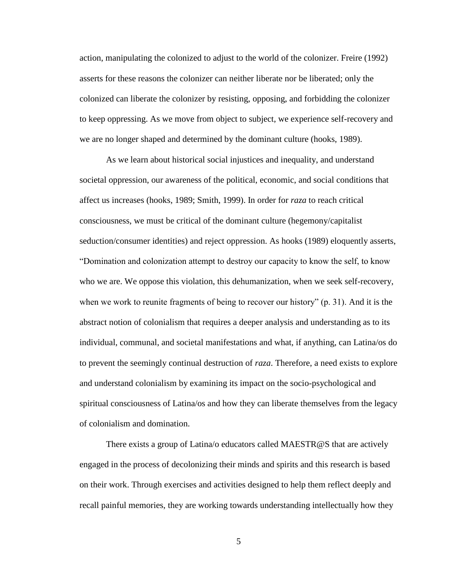action, manipulating the colonized to adjust to the world of the colonizer. Freire (1992) asserts for these reasons the colonizer can neither liberate nor be liberated; only the colonized can liberate the colonizer by resisting, opposing, and forbidding the colonizer to keep oppressing. As we move from object to subject, we experience self-recovery and we are no longer shaped and determined by the dominant culture (hooks, 1989).

As we learn about historical social injustices and inequality, and understand societal oppression, our awareness of the political, economic, and social conditions that affect us increases (hooks, 1989; Smith, 1999). In order for *raza* to reach critical consciousness, we must be critical of the dominant culture (hegemony/capitalist seduction/consumer identities) and reject oppression. As hooks (1989) eloquently asserts, ―Domination and colonization attempt to destroy our capacity to know the self, to know who we are. We oppose this violation, this dehumanization, when we seek self-recovery, when we work to reunite fragments of being to recover our history"  $(p. 31)$ . And it is the abstract notion of colonialism that requires a deeper analysis and understanding as to its individual, communal, and societal manifestations and what, if anything, can Latina/os do to prevent the seemingly continual destruction of *raza*. Therefore, a need exists to explore and understand colonialism by examining its impact on the socio-psychological and spiritual consciousness of Latina/os and how they can liberate themselves from the legacy of colonialism and domination.

There exists a group of Latina/o educators called MAESTR@S that are actively engaged in the process of decolonizing their minds and spirits and this research is based on their work. Through exercises and activities designed to help them reflect deeply and recall painful memories, they are working towards understanding intellectually how they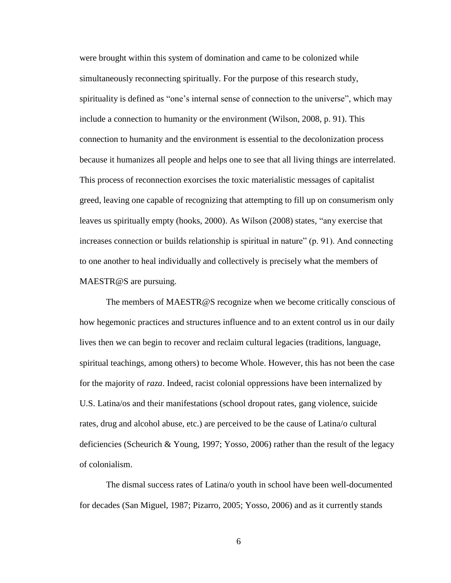were brought within this system of domination and came to be colonized while simultaneously reconnecting spiritually. For the purpose of this research study, spirituality is defined as "one's internal sense of connection to the universe", which may include a connection to humanity or the environment (Wilson, 2008, p. 91). This connection to humanity and the environment is essential to the decolonization process because it humanizes all people and helps one to see that all living things are interrelated. This process of reconnection exorcises the toxic materialistic messages of capitalist greed, leaving one capable of recognizing that attempting to fill up on consumerism only leaves us spiritually empty (hooks, 2000). As Wilson (2008) states, "any exercise that increases connection or builds relationship is spiritual in nature"  $(p. 91)$ . And connecting to one another to heal individually and collectively is precisely what the members of MAESTR@S are pursuing.

The members of MAESTR@S recognize when we become critically conscious of how hegemonic practices and structures influence and to an extent control us in our daily lives then we can begin to recover and reclaim cultural legacies (traditions, language, spiritual teachings, among others) to become Whole. However, this has not been the case for the majority of *raza*. Indeed, racist colonial oppressions have been internalized by U.S. Latina/os and their manifestations (school dropout rates, gang violence, suicide rates, drug and alcohol abuse, etc.) are perceived to be the cause of Latina/o cultural deficiencies (Scheurich & Young, 1997; Yosso, 2006) rather than the result of the legacy of colonialism.

The dismal success rates of Latina/o youth in school have been well-documented for decades (San Miguel, 1987; Pizarro, 2005; Yosso, 2006) and as it currently stands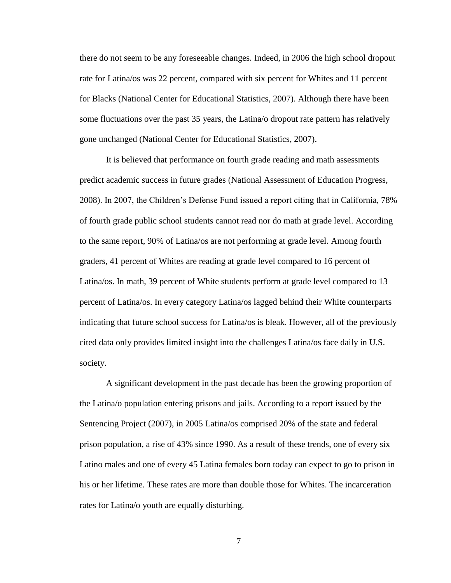there do not seem to be any foreseeable changes. Indeed, in 2006 the high school dropout rate for Latina/os was 22 percent, compared with six percent for Whites and 11 percent for Blacks (National Center for Educational Statistics, 2007). Although there have been some fluctuations over the past 35 years, the Latina/o dropout rate pattern has relatively gone unchanged (National Center for Educational Statistics, 2007).

It is believed that performance on fourth grade reading and math assessments predict academic success in future grades (National Assessment of Education Progress, 2008). In 2007, the Children's Defense Fund issued a report citing that in California, 78% of fourth grade public school students cannot read nor do math at grade level. According to the same report, 90% of Latina/os are not performing at grade level. Among fourth graders, 41 percent of Whites are reading at grade level compared to 16 percent of Latina/os. In math, 39 percent of White students perform at grade level compared to 13 percent of Latina/os. In every category Latina/os lagged behind their White counterparts indicating that future school success for Latina/os is bleak. However, all of the previously cited data only provides limited insight into the challenges Latina/os face daily in U.S. society.

A significant development in the past decade has been the growing proportion of the Latina/o population entering prisons and jails. According to a report issued by the Sentencing Project (2007), in 2005 Latina/os comprised 20% of the state and federal prison population, a rise of 43% since 1990. As a result of these trends, one of every six Latino males and one of every 45 Latina females born today can expect to go to prison in his or her lifetime. These rates are more than double those for Whites. The incarceration rates for Latina/o youth are equally disturbing.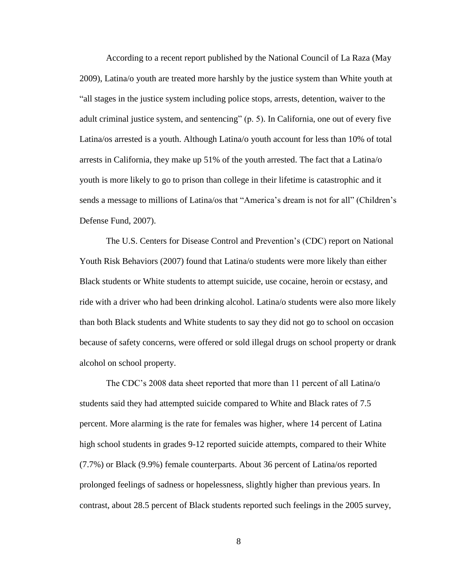According to a recent report published by the National Council of La Raza (May 2009), Latina/o youth are treated more harshly by the justice system than White youth at ―all stages in the justice system including police stops, arrests, detention, waiver to the adult criminal justice system, and sentencing"  $(p, 5)$ . In California, one out of every five Latina/os arrested is a youth. Although Latina/o youth account for less than 10% of total arrests in California, they make up 51% of the youth arrested. The fact that a Latina/o youth is more likely to go to prison than college in their lifetime is catastrophic and it sends a message to millions of Latina/os that "America's dream is not for all" (Children's Defense Fund, 2007).

The U.S. Centers for Disease Control and Prevention's (CDC) report on National Youth Risk Behaviors (2007) found that Latina/o students were more likely than either Black students or White students to attempt suicide, use cocaine, heroin or ecstasy, and ride with a driver who had been drinking alcohol. Latina/o students were also more likely than both Black students and White students to say they did not go to school on occasion because of safety concerns, were offered or sold illegal drugs on school property or drank alcohol on school property.

The CDC's 2008 data sheet reported that more than 11 percent of all Latina/o students said they had attempted suicide compared to White and Black rates of 7.5 percent. More alarming is the rate for females was higher, where 14 percent of Latina high school students in grades 9-12 reported suicide attempts, compared to their White (7.7%) or Black (9.9%) female counterparts. About 36 percent of Latina/os reported prolonged feelings of sadness or hopelessness, slightly higher than previous years. In contrast, about 28.5 percent of Black students reported such feelings in the 2005 survey,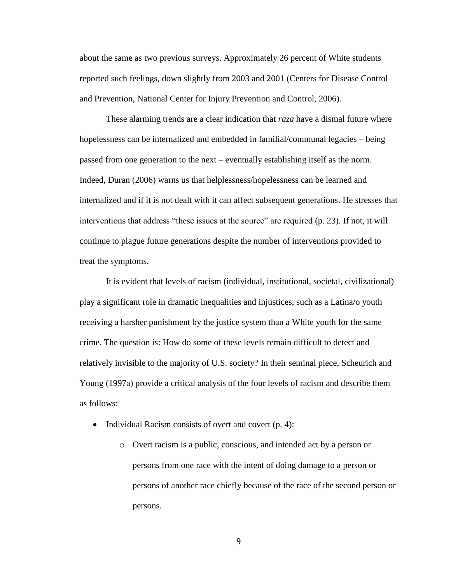about the same as two previous surveys. Approximately 26 percent of White students reported such feelings, down slightly from 2003 and 2001 (Centers for Disease Control and Prevention, National Center for Injury Prevention and Control, 2006).

These alarming trends are a clear indication that *raza* have a dismal future where hopelessness can be internalized and embedded in familial/communal legacies – being passed from one generation to the next – eventually establishing itself as the norm. Indeed, Duran (2006) warns us that helplessness/hopelessness can be learned and internalized and if it is not dealt with it can affect subsequent generations. He stresses that interventions that address "these issues at the source" are required  $(p. 23)$ . If not, it will continue to plague future generations despite the number of interventions provided to treat the symptoms.

It is evident that levels of racism (individual, institutional, societal, civilizational) play a significant role in dramatic inequalities and injustices, such as a Latina/o youth receiving a harsher punishment by the justice system than a White youth for the same crime. The question is: How do some of these levels remain difficult to detect and relatively invisible to the majority of U.S. society? In their seminal piece, Scheurich and Young (1997a) provide a critical analysis of the four levels of racism and describe them as follows:

- Individual Racism consists of overt and covert  $(p, 4)$ :
	- o Overt racism is a public, conscious, and intended act by a person or persons from one race with the intent of doing damage to a person or persons of another race chiefly because of the race of the second person or persons.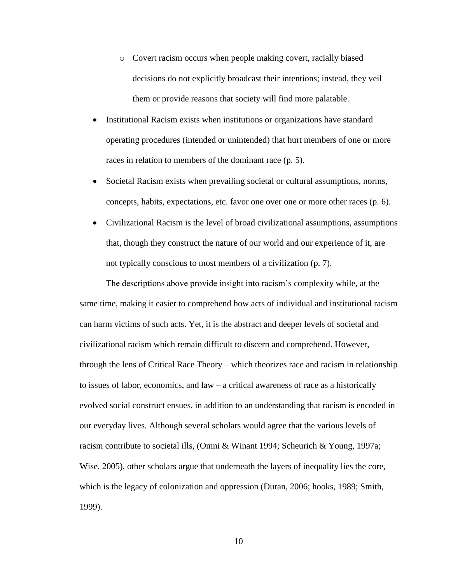- o Covert racism occurs when people making covert, racially biased decisions do not explicitly broadcast their intentions; instead, they veil them or provide reasons that society will find more palatable.
- Institutional Racism exists when institutions or organizations have standard operating procedures (intended or unintended) that hurt members of one or more races in relation to members of the dominant race (p. 5).
- Societal Racism exists when prevailing societal or cultural assumptions, norms, concepts, habits, expectations, etc. favor one over one or more other races (p. 6).
- Civilizational Racism is the level of broad civilizational assumptions, assumptions that, though they construct the nature of our world and our experience of it, are not typically conscious to most members of a civilization (p. 7).

The descriptions above provide insight into racism's complexity while, at the same time, making it easier to comprehend how acts of individual and institutional racism can harm victims of such acts. Yet, it is the abstract and deeper levels of societal and civilizational racism which remain difficult to discern and comprehend. However, through the lens of Critical Race Theory – which theorizes race and racism in relationship to issues of labor, economics, and law – a critical awareness of race as a historically evolved social construct ensues, in addition to an understanding that racism is encoded in our everyday lives. Although several scholars would agree that the various levels of racism contribute to societal ills, (Omni & Winant 1994; Scheurich & Young, 1997a; Wise, 2005), other scholars argue that underneath the layers of inequality lies the core, which is the legacy of colonization and oppression (Duran, 2006; hooks, 1989; Smith, 1999).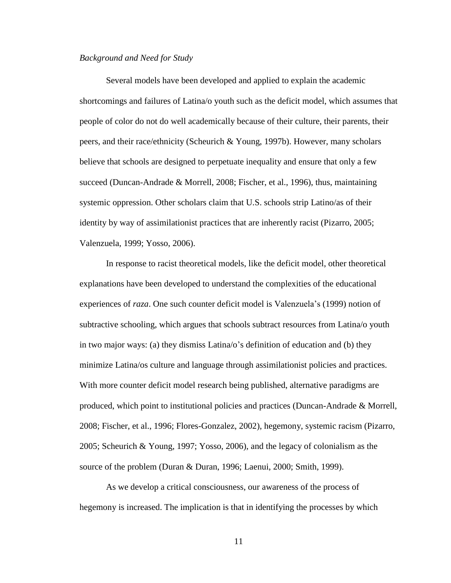## *Background and Need for Study*

Several models have been developed and applied to explain the academic shortcomings and failures of Latina/o youth such as the deficit model, which assumes that people of color do not do well academically because of their culture, their parents, their peers, and their race/ethnicity (Scheurich & Young, 1997b). However, many scholars believe that schools are designed to perpetuate inequality and ensure that only a few succeed (Duncan-Andrade & Morrell, 2008; Fischer, et al., 1996), thus, maintaining systemic oppression. Other scholars claim that U.S. schools strip Latino/as of their identity by way of assimilationist practices that are inherently racist (Pizarro, 2005; Valenzuela, 1999; Yosso, 2006).

In response to racist theoretical models, like the deficit model, other theoretical explanations have been developed to understand the complexities of the educational experiences of *raza*. One such counter deficit model is Valenzuela's (1999) notion of subtractive schooling, which argues that schools subtract resources from Latina/o youth in two major ways: (a) they dismiss Latina/o's definition of education and (b) they minimize Latina/os culture and language through assimilationist policies and practices. With more counter deficit model research being published, alternative paradigms are produced, which point to institutional policies and practices (Duncan-Andrade & Morrell, 2008; Fischer, et al., 1996; Flores-Gonzalez, 2002), hegemony, systemic racism (Pizarro, 2005; Scheurich & Young, 1997; Yosso, 2006), and the legacy of colonialism as the source of the problem (Duran & Duran, 1996; Laenui, 2000; Smith, 1999).

As we develop a critical consciousness, our awareness of the process of hegemony is increased. The implication is that in identifying the processes by which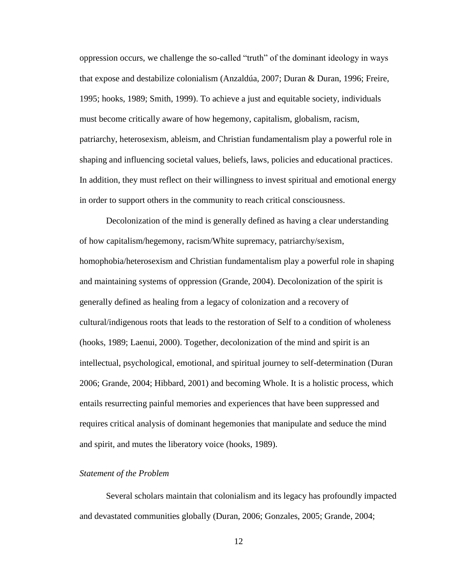oppression occurs, we challenge the so-called "truth" of the dominant ideology in ways that expose and destabilize colonialism (Anzaldúa, 2007; Duran & Duran, 1996; Freire, 1995; hooks, 1989; Smith, 1999). To achieve a just and equitable society, individuals must become critically aware of how hegemony, capitalism, globalism, racism, patriarchy, heterosexism, ableism, and Christian fundamentalism play a powerful role in shaping and influencing societal values, beliefs, laws, policies and educational practices. In addition, they must reflect on their willingness to invest spiritual and emotional energy in order to support others in the community to reach critical consciousness.

Decolonization of the mind is generally defined as having a clear understanding of how capitalism/hegemony, racism/White supremacy, patriarchy/sexism, homophobia/heterosexism and Christian fundamentalism play a powerful role in shaping and maintaining systems of oppression (Grande, 2004). Decolonization of the spirit is generally defined as healing from a legacy of colonization and a recovery of cultural/indigenous roots that leads to the restoration of Self to a condition of wholeness (hooks, 1989; Laenui, 2000). Together, decolonization of the mind and spirit is an intellectual, psychological, emotional, and spiritual journey to self-determination (Duran 2006; Grande, 2004; Hibbard, 2001) and becoming Whole. It is a holistic process, which entails resurrecting painful memories and experiences that have been suppressed and requires critical analysis of dominant hegemonies that manipulate and seduce the mind and spirit, and mutes the liberatory voice (hooks, 1989).

# *Statement of the Problem*

Several scholars maintain that colonialism and its legacy has profoundly impacted and devastated communities globally (Duran, 2006; Gonzales, 2005; Grande, 2004;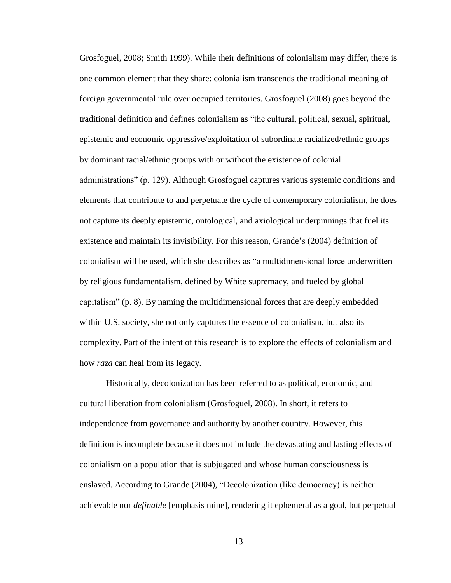Grosfoguel, 2008; Smith 1999). While their definitions of colonialism may differ, there is one common element that they share: colonialism transcends the traditional meaning of foreign governmental rule over occupied territories. Grosfoguel (2008) goes beyond the traditional definition and defines colonialism as "the cultural, political, sexual, spiritual, epistemic and economic oppressive/exploitation of subordinate racialized/ethnic groups by dominant racial/ethnic groups with or without the existence of colonial administrations" (p. 129). Although Grosfoguel captures various systemic conditions and elements that contribute to and perpetuate the cycle of contemporary colonialism, he does not capture its deeply epistemic, ontological, and axiological underpinnings that fuel its existence and maintain its invisibility. For this reason, Grande's (2004) definition of colonialism will be used, which she describes as "a multidimensional force underwritten by religious fundamentalism, defined by White supremacy, and fueled by global capitalism" (p. 8). By naming the multidimensional forces that are deeply embedded within U.S. society, she not only captures the essence of colonialism, but also its complexity. Part of the intent of this research is to explore the effects of colonialism and how *raza* can heal from its legacy.

Historically, decolonization has been referred to as political, economic, and cultural liberation from colonialism (Grosfoguel, 2008). In short, it refers to independence from governance and authority by another country. However, this definition is incomplete because it does not include the devastating and lasting effects of colonialism on a population that is subjugated and whose human consciousness is enslaved. According to Grande (2004), "Decolonization (like democracy) is neither achievable nor *definable* [emphasis mine], rendering it ephemeral as a goal, but perpetual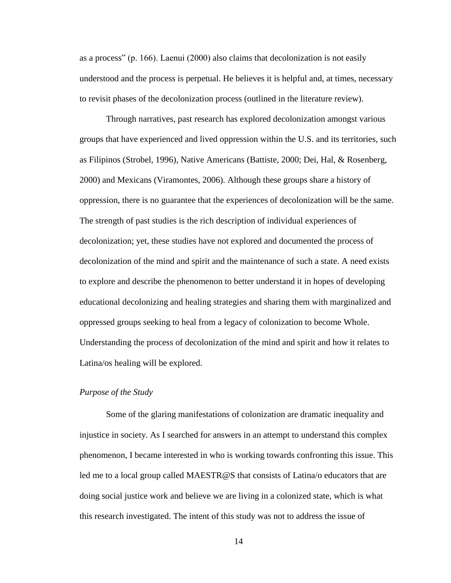as a process" (p. 166). Laenui  $(2000)$  also claims that decolonization is not easily understood and the process is perpetual. He believes it is helpful and, at times, necessary to revisit phases of the decolonization process (outlined in the literature review).

Through narratives, past research has explored decolonization amongst various groups that have experienced and lived oppression within the U.S. and its territories, such as Filipinos (Strobel, 1996), Native Americans (Battiste, 2000; Dei, Hal, & Rosenberg, 2000) and Mexicans (Viramontes, 2006). Although these groups share a history of oppression, there is no guarantee that the experiences of decolonization will be the same. The strength of past studies is the rich description of individual experiences of decolonization; yet, these studies have not explored and documented the process of decolonization of the mind and spirit and the maintenance of such a state. A need exists to explore and describe the phenomenon to better understand it in hopes of developing educational decolonizing and healing strategies and sharing them with marginalized and oppressed groups seeking to heal from a legacy of colonization to become Whole. Understanding the process of decolonization of the mind and spirit and how it relates to Latina/os healing will be explored.

#### *Purpose of the Study*

Some of the glaring manifestations of colonization are dramatic inequality and injustice in society. As I searched for answers in an attempt to understand this complex phenomenon, I became interested in who is working towards confronting this issue. This led me to a local group called MAESTR@S that consists of Latina/o educators that are doing social justice work and believe we are living in a colonized state, which is what this research investigated. The intent of this study was not to address the issue of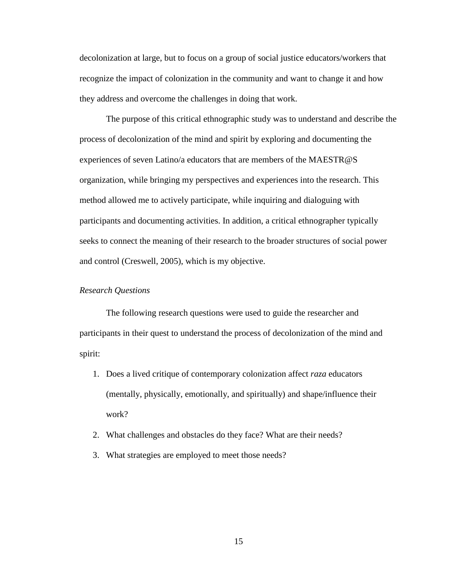decolonization at large, but to focus on a group of social justice educators/workers that recognize the impact of colonization in the community and want to change it and how they address and overcome the challenges in doing that work.

The purpose of this critical ethnographic study was to understand and describe the process of decolonization of the mind and spirit by exploring and documenting the experiences of seven Latino/a educators that are members of the MAESTR@S organization, while bringing my perspectives and experiences into the research. This method allowed me to actively participate, while inquiring and dialoguing with participants and documenting activities. In addition, a critical ethnographer typically seeks to connect the meaning of their research to the broader structures of social power and control (Creswell, 2005), which is my objective.

## *Research Questions*

The following research questions were used to guide the researcher and participants in their quest to understand the process of decolonization of the mind and spirit:

- 1. Does a lived critique of contemporary colonization affect *raza* educators (mentally, physically, emotionally, and spiritually) and shape/influence their work?
- 2. What challenges and obstacles do they face? What are their needs?
- 3. What strategies are employed to meet those needs?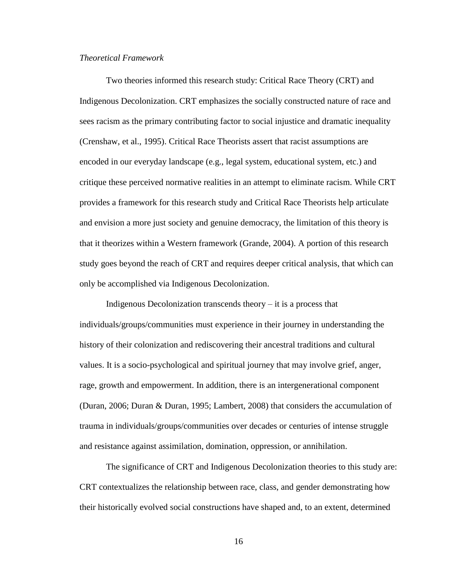# *Theoretical Framework*

Two theories informed this research study: Critical Race Theory (CRT) and Indigenous Decolonization. CRT emphasizes the socially constructed nature of race and sees racism as the primary contributing factor to social injustice and dramatic inequality (Crenshaw, et al., 1995). Critical Race Theorists assert that racist assumptions are encoded in our everyday landscape (e.g., legal system, educational system, etc.) and critique these perceived normative realities in an attempt to eliminate racism. While CRT provides a framework for this research study and Critical Race Theorists help articulate and envision a more just society and genuine democracy, the limitation of this theory is that it theorizes within a Western framework (Grande, 2004). A portion of this research study goes beyond the reach of CRT and requires deeper critical analysis, that which can only be accomplished via Indigenous Decolonization.

Indigenous Decolonization transcends theory  $-$  it is a process that individuals/groups/communities must experience in their journey in understanding the history of their colonization and rediscovering their ancestral traditions and cultural values. It is a socio-psychological and spiritual journey that may involve grief, anger, rage, growth and empowerment. In addition, there is an intergenerational component (Duran, 2006; Duran & Duran, 1995; Lambert, 2008) that considers the accumulation of trauma in individuals/groups/communities over decades or centuries of intense struggle and resistance against assimilation, domination, oppression, or annihilation.

The significance of CRT and Indigenous Decolonization theories to this study are: CRT contextualizes the relationship between race, class, and gender demonstrating how their historically evolved social constructions have shaped and, to an extent, determined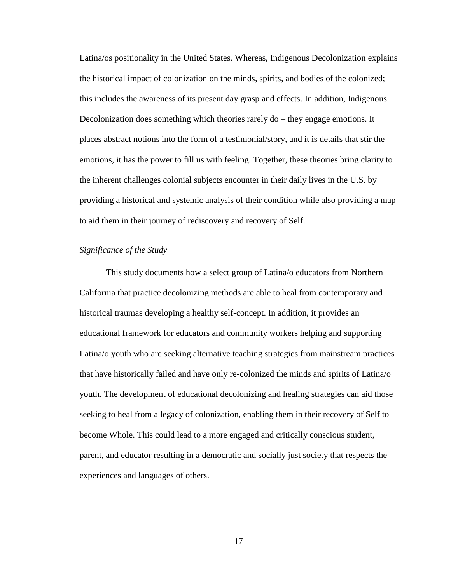Latina/os positionality in the United States. Whereas, Indigenous Decolonization explains the historical impact of colonization on the minds, spirits, and bodies of the colonized; this includes the awareness of its present day grasp and effects. In addition, Indigenous Decolonization does something which theories rarely do – they engage emotions. It places abstract notions into the form of a testimonial/story, and it is details that stir the emotions, it has the power to fill us with feeling. Together, these theories bring clarity to the inherent challenges colonial subjects encounter in their daily lives in the U.S. by providing a historical and systemic analysis of their condition while also providing a map to aid them in their journey of rediscovery and recovery of Self.

#### *Significance of the Study*

This study documents how a select group of Latina/o educators from Northern California that practice decolonizing methods are able to heal from contemporary and historical traumas developing a healthy self-concept. In addition, it provides an educational framework for educators and community workers helping and supporting Latina/o youth who are seeking alternative teaching strategies from mainstream practices that have historically failed and have only re-colonized the minds and spirits of Latina/o youth. The development of educational decolonizing and healing strategies can aid those seeking to heal from a legacy of colonization, enabling them in their recovery of Self to become Whole. This could lead to a more engaged and critically conscious student, parent, and educator resulting in a democratic and socially just society that respects the experiences and languages of others.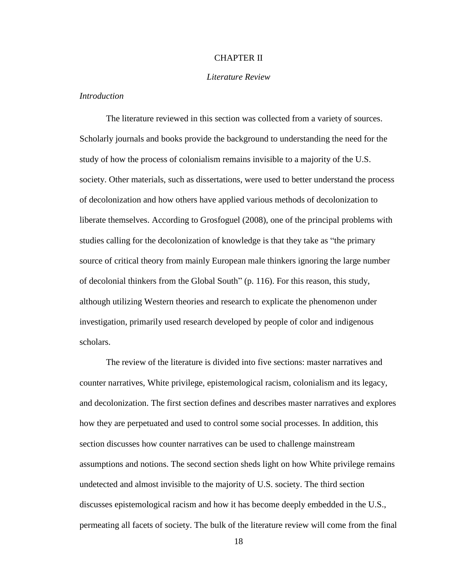# CHAPTER II

# *Literature Review*

#### *Introduction*

The literature reviewed in this section was collected from a variety of sources. Scholarly journals and books provide the background to understanding the need for the study of how the process of colonialism remains invisible to a majority of the U.S. society. Other materials, such as dissertations, were used to better understand the process of decolonization and how others have applied various methods of decolonization to liberate themselves. According to Grosfoguel (2008), one of the principal problems with studies calling for the decolonization of knowledge is that they take as "the primary" source of critical theory from mainly European male thinkers ignoring the large number of decolonial thinkers from the Global South" (p. 116). For this reason, this study, although utilizing Western theories and research to explicate the phenomenon under investigation, primarily used research developed by people of color and indigenous scholars.

The review of the literature is divided into five sections: master narratives and counter narratives, White privilege, epistemological racism, colonialism and its legacy, and decolonization. The first section defines and describes master narratives and explores how they are perpetuated and used to control some social processes. In addition, this section discusses how counter narratives can be used to challenge mainstream assumptions and notions. The second section sheds light on how White privilege remains undetected and almost invisible to the majority of U.S. society. The third section discusses epistemological racism and how it has become deeply embedded in the U.S., permeating all facets of society. The bulk of the literature review will come from the final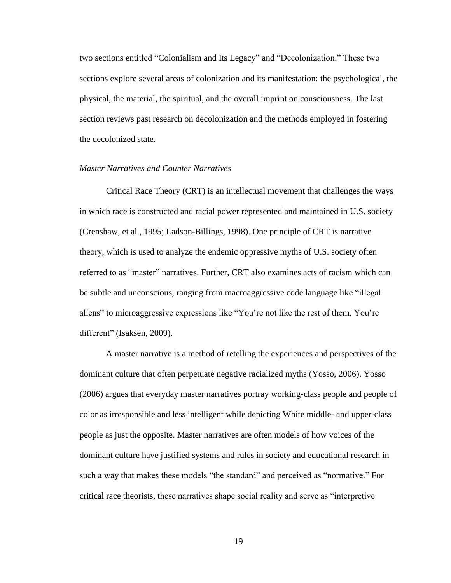two sections entitled "Colonialism and Its Legacy" and "Decolonization." These two sections explore several areas of colonization and its manifestation: the psychological, the physical, the material, the spiritual, and the overall imprint on consciousness. The last section reviews past research on decolonization and the methods employed in fostering the decolonized state.

## *Master Narratives and Counter Narratives*

Critical Race Theory (CRT) is an intellectual movement that challenges the ways in which race is constructed and racial power represented and maintained in U.S. society (Crenshaw, et al., 1995; Ladson-Billings, 1998). One principle of CRT is narrative theory, which is used to analyze the endemic oppressive myths of U.S. society often referred to as "master" narratives. Further, CRT also examines acts of racism which can be subtle and unconscious, ranging from macroaggressive code language like "illegal" aliens" to microaggressive expressions like "You're not like the rest of them. You're different" (Isaksen, 2009).

A master narrative is a method of retelling the experiences and perspectives of the dominant culture that often perpetuate negative racialized myths (Yosso, 2006). Yosso (2006) argues that everyday master narratives portray working-class people and people of color as irresponsible and less intelligent while depicting White middle- and upper-class people as just the opposite. Master narratives are often models of how voices of the dominant culture have justified systems and rules in society and educational research in such a way that makes these models "the standard" and perceived as "normative." For critical race theorists, these narratives shape social reality and serve as "interpretive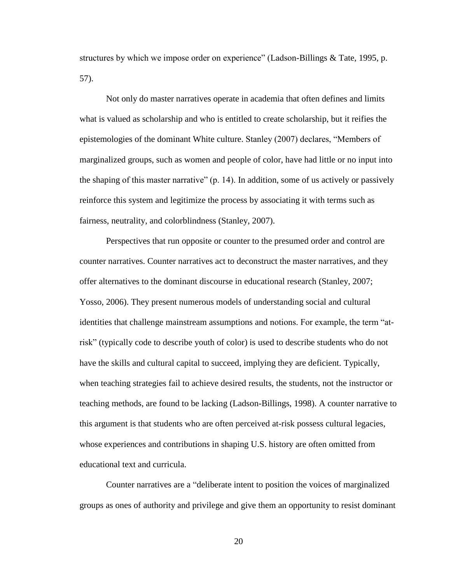structures by which we impose order on experience" (Ladson-Billings  $&$  Tate, 1995, p. 57).

Not only do master narratives operate in academia that often defines and limits what is valued as scholarship and who is entitled to create scholarship, but it reifies the epistemologies of the dominant White culture. Stanley (2007) declares, "Members of marginalized groups, such as women and people of color, have had little or no input into the shaping of this master narrative"  $(p. 14)$ . In addition, some of us actively or passively reinforce this system and legitimize the process by associating it with terms such as fairness, neutrality, and colorblindness (Stanley, 2007).

Perspectives that run opposite or counter to the presumed order and control are counter narratives. Counter narratives act to deconstruct the master narratives, and they offer alternatives to the dominant discourse in educational research (Stanley, 2007; Yosso, 2006). They present numerous models of understanding social and cultural identities that challenge mainstream assumptions and notions. For example, the term "atrisk" (typically code to describe youth of color) is used to describe students who do not have the skills and cultural capital to succeed, implying they are deficient. Typically, when teaching strategies fail to achieve desired results, the students, not the instructor or teaching methods, are found to be lacking (Ladson-Billings, 1998). A counter narrative to this argument is that students who are often perceived at-risk possess cultural legacies, whose experiences and contributions in shaping U.S. history are often omitted from educational text and curricula.

Counter narratives are a "deliberate intent to position the voices of marginalized groups as ones of authority and privilege and give them an opportunity to resist dominant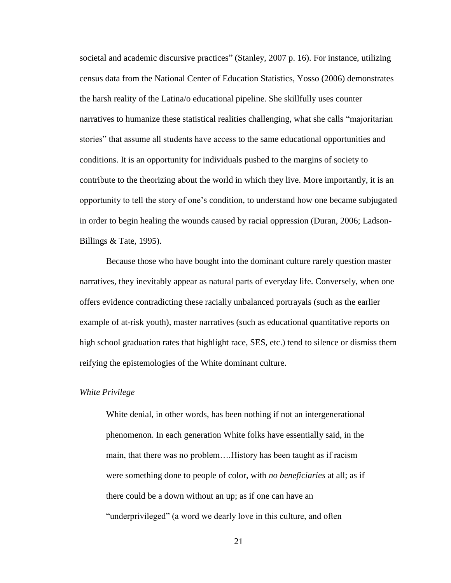societal and academic discursive practices" (Stanley, 2007 p. 16). For instance, utilizing census data from the National Center of Education Statistics, Yosso (2006) demonstrates the harsh reality of the Latina/o educational pipeline. She skillfully uses counter narratives to humanize these statistical realities challenging, what she calls "majoritarian" stories" that assume all students have access to the same educational opportunities and conditions. It is an opportunity for individuals pushed to the margins of society to contribute to the theorizing about the world in which they live. More importantly, it is an opportunity to tell the story of one's condition, to understand how one became subjugated in order to begin healing the wounds caused by racial oppression (Duran, 2006; Ladson-Billings & Tate, 1995).

Because those who have bought into the dominant culture rarely question master narratives, they inevitably appear as natural parts of everyday life. Conversely, when one offers evidence contradicting these racially unbalanced portrayals (such as the earlier example of at-risk youth), master narratives (such as educational quantitative reports on high school graduation rates that highlight race, SES, etc.) tend to silence or dismiss them reifying the epistemologies of the White dominant culture.

#### *White Privilege*

White denial, in other words, has been nothing if not an intergenerational phenomenon. In each generation White folks have essentially said, in the main, that there was no problem….History has been taught as if racism were something done to people of color, with *no beneficiaries* at all; as if there could be a down without an up; as if one can have an "underprivileged" (a word we dearly love in this culture, and often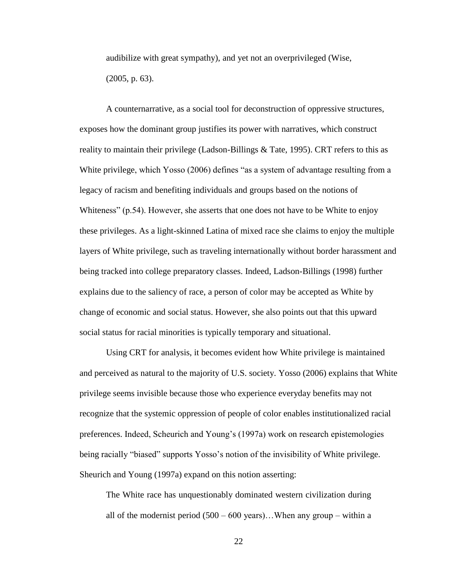audibilize with great sympathy), and yet not an overprivileged (Wise, (2005, p. 63).

A counternarrative, as a social tool for deconstruction of oppressive structures, exposes how the dominant group justifies its power with narratives, which construct reality to maintain their privilege (Ladson-Billings & Tate, 1995). CRT refers to this as White privilege, which Yosso (2006) defines "as a system of advantage resulting from a legacy of racism and benefiting individuals and groups based on the notions of Whiteness" (p.54). However, she asserts that one does not have to be White to enjoy these privileges. As a light-skinned Latina of mixed race she claims to enjoy the multiple layers of White privilege, such as traveling internationally without border harassment and being tracked into college preparatory classes. Indeed, Ladson-Billings (1998) further explains due to the saliency of race, a person of color may be accepted as White by change of economic and social status. However, she also points out that this upward social status for racial minorities is typically temporary and situational.

Using CRT for analysis, it becomes evident how White privilege is maintained and perceived as natural to the majority of U.S. society. Yosso (2006) explains that White privilege seems invisible because those who experience everyday benefits may not recognize that the systemic oppression of people of color enables institutionalized racial preferences. Indeed, Scheurich and Young's (1997a) work on research epistemologies being racially "biased" supports Yosso's notion of the invisibility of White privilege. Sheurich and Young (1997a) expand on this notion asserting:

The White race has unquestionably dominated western civilization during all of the modernist period  $(500 - 600 \text{ years})$ ... When any group – within a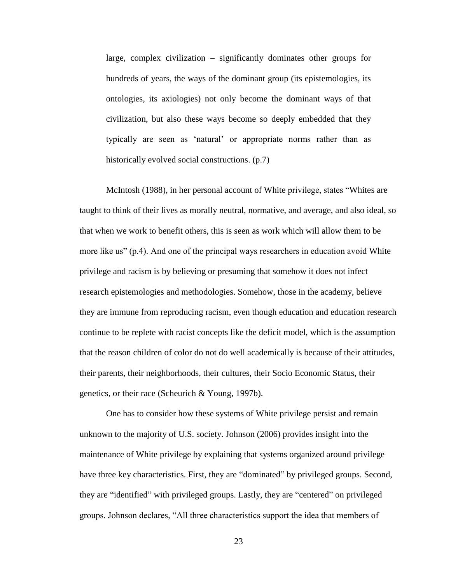large, complex civilization – significantly dominates other groups for hundreds of years, the ways of the dominant group (its epistemologies, its ontologies, its axiologies) not only become the dominant ways of that civilization, but also these ways become so deeply embedded that they typically are seen as 'natural' or appropriate norms rather than as historically evolved social constructions. (p.7)

McIntosh (1988), in her personal account of White privilege, states "Whites are taught to think of their lives as morally neutral, normative, and average, and also ideal, so that when we work to benefit others, this is seen as work which will allow them to be more like us" (p.4). And one of the principal ways researchers in education avoid White privilege and racism is by believing or presuming that somehow it does not infect research epistemologies and methodologies. Somehow, those in the academy, believe they are immune from reproducing racism, even though education and education research continue to be replete with racist concepts like the deficit model, which is the assumption that the reason children of color do not do well academically is because of their attitudes, their parents, their neighborhoods, their cultures, their Socio Economic Status, their genetics, or their race (Scheurich & Young, 1997b).

One has to consider how these systems of White privilege persist and remain unknown to the majority of U.S. society. Johnson (2006) provides insight into the maintenance of White privilege by explaining that systems organized around privilege have three key characteristics. First, they are "dominated" by privileged groups. Second, they are "identified" with privileged groups. Lastly, they are "centered" on privileged groups. Johnson declares, "All three characteristics support the idea that members of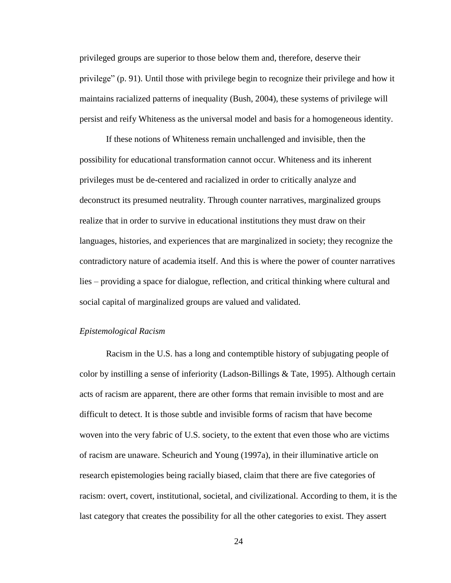privileged groups are superior to those below them and, therefore, deserve their privilege" (p. 91). Until those with privilege begin to recognize their privilege and how it maintains racialized patterns of inequality (Bush, 2004), these systems of privilege will persist and reify Whiteness as the universal model and basis for a homogeneous identity.

If these notions of Whiteness remain unchallenged and invisible, then the possibility for educational transformation cannot occur. Whiteness and its inherent privileges must be de-centered and racialized in order to critically analyze and deconstruct its presumed neutrality. Through counter narratives, marginalized groups realize that in order to survive in educational institutions they must draw on their languages, histories, and experiences that are marginalized in society; they recognize the contradictory nature of academia itself. And this is where the power of counter narratives lies – providing a space for dialogue, reflection, and critical thinking where cultural and social capital of marginalized groups are valued and validated.

#### *Epistemological Racism*

Racism in the U.S. has a long and contemptible history of subjugating people of color by instilling a sense of inferiority (Ladson-Billings & Tate, 1995). Although certain acts of racism are apparent, there are other forms that remain invisible to most and are difficult to detect. It is those subtle and invisible forms of racism that have become woven into the very fabric of U.S. society, to the extent that even those who are victims of racism are unaware. Scheurich and Young (1997a), in their illuminative article on research epistemologies being racially biased, claim that there are five categories of racism: overt, covert, institutional, societal, and civilizational. According to them, it is the last category that creates the possibility for all the other categories to exist. They assert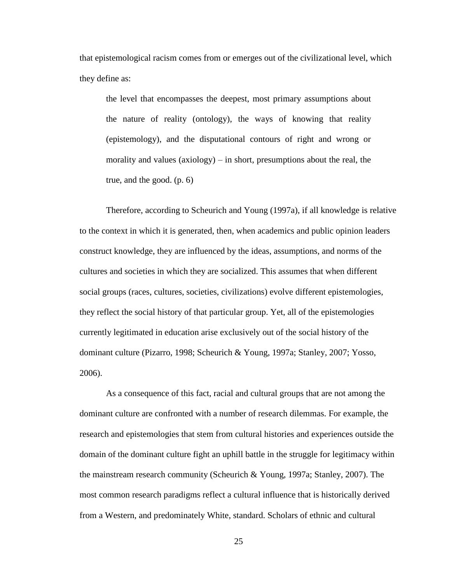that epistemological racism comes from or emerges out of the civilizational level, which they define as:

the level that encompasses the deepest, most primary assumptions about the nature of reality (ontology), the ways of knowing that reality (epistemology), and the disputational contours of right and wrong or morality and values (axiology) – in short, presumptions about the real, the true, and the good. (p. 6)

Therefore, according to Scheurich and Young (1997a), if all knowledge is relative to the context in which it is generated, then, when academics and public opinion leaders construct knowledge, they are influenced by the ideas, assumptions, and norms of the cultures and societies in which they are socialized. This assumes that when different social groups (races, cultures, societies, civilizations) evolve different epistemologies, they reflect the social history of that particular group. Yet, all of the epistemologies currently legitimated in education arise exclusively out of the social history of the dominant culture (Pizarro, 1998; Scheurich & Young, 1997a; Stanley, 2007; Yosso, 2006).

As a consequence of this fact, racial and cultural groups that are not among the dominant culture are confronted with a number of research dilemmas. For example, the research and epistemologies that stem from cultural histories and experiences outside the domain of the dominant culture fight an uphill battle in the struggle for legitimacy within the mainstream research community (Scheurich & Young, 1997a; Stanley, 2007). The most common research paradigms reflect a cultural influence that is historically derived from a Western, and predominately White, standard. Scholars of ethnic and cultural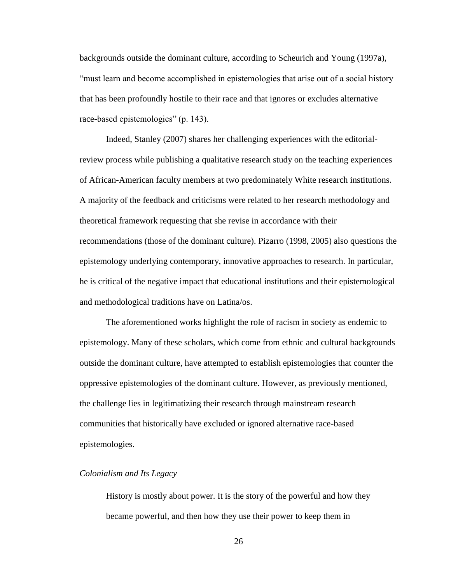backgrounds outside the dominant culture, according to Scheurich and Young (1997a), "must learn and become accomplished in epistemologies that arise out of a social history that has been profoundly hostile to their race and that ignores or excludes alternative race-based epistemologies" (p. 143).

Indeed, Stanley (2007) shares her challenging experiences with the editorialreview process while publishing a qualitative research study on the teaching experiences of African-American faculty members at two predominately White research institutions. A majority of the feedback and criticisms were related to her research methodology and theoretical framework requesting that she revise in accordance with their recommendations (those of the dominant culture). Pizarro (1998, 2005) also questions the epistemology underlying contemporary, innovative approaches to research. In particular, he is critical of the negative impact that educational institutions and their epistemological and methodological traditions have on Latina/os.

The aforementioned works highlight the role of racism in society as endemic to epistemology. Many of these scholars, which come from ethnic and cultural backgrounds outside the dominant culture, have attempted to establish epistemologies that counter the oppressive epistemologies of the dominant culture. However, as previously mentioned, the challenge lies in legitimatizing their research through mainstream research communities that historically have excluded or ignored alternative race-based epistemologies.

#### *Colonialism and Its Legacy*

History is mostly about power. It is the story of the powerful and how they became powerful, and then how they use their power to keep them in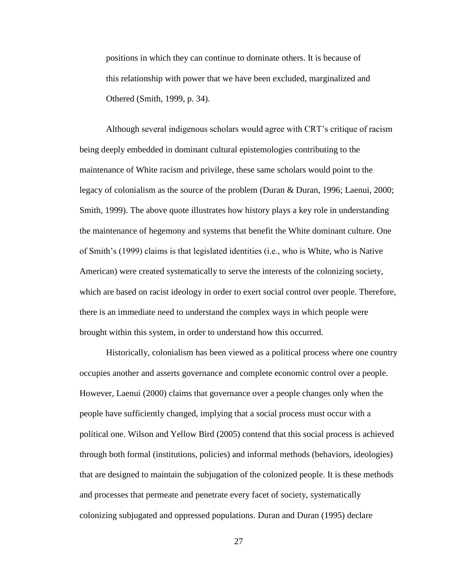positions in which they can continue to dominate others. It is because of this relationship with power that we have been excluded, marginalized and Othered (Smith, 1999, p. 34).

Although several indigenous scholars would agree with CRT's critique of racism being deeply embedded in dominant cultural epistemologies contributing to the maintenance of White racism and privilege, these same scholars would point to the legacy of colonialism as the source of the problem (Duran & Duran, 1996; Laenui, 2000; Smith, 1999). The above quote illustrates how history plays a key role in understanding the maintenance of hegemony and systems that benefit the White dominant culture. One of Smith's (1999) claims is that legislated identities (i.e., who is White, who is Native American) were created systematically to serve the interests of the colonizing society, which are based on racist ideology in order to exert social control over people. Therefore, there is an immediate need to understand the complex ways in which people were brought within this system, in order to understand how this occurred.

Historically, colonialism has been viewed as a political process where one country occupies another and asserts governance and complete economic control over a people. However, Laenui (2000) claims that governance over a people changes only when the people have sufficiently changed, implying that a social process must occur with a political one. Wilson and Yellow Bird (2005) contend that this social process is achieved through both formal (institutions, policies) and informal methods (behaviors, ideologies) that are designed to maintain the subjugation of the colonized people. It is these methods and processes that permeate and penetrate every facet of society, systematically colonizing subjugated and oppressed populations. Duran and Duran (1995) declare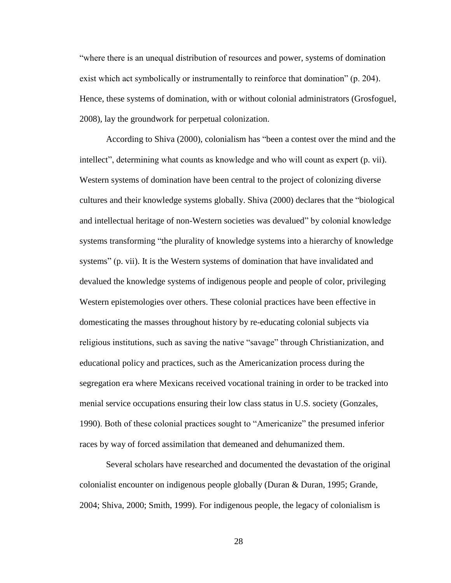"where there is an unequal distribution of resources and power, systems of domination exist which act symbolically or instrumentally to reinforce that domination" (p. 204). Hence, these systems of domination, with or without colonial administrators (Grosfoguel, 2008), lay the groundwork for perpetual colonization.

According to Shiva (2000), colonialism has "been a contest over the mind and the intellect", determining what counts as knowledge and who will count as expert (p. vii). Western systems of domination have been central to the project of colonizing diverse cultures and their knowledge systems globally. Shiva (2000) declares that the "biological and intellectual heritage of non-Western societies was devalued" by colonial knowledge systems transforming "the plurality of knowledge systems into a hierarchy of knowledge systems" (p. vii). It is the Western systems of domination that have invalidated and devalued the knowledge systems of indigenous people and people of color, privileging Western epistemologies over others. These colonial practices have been effective in domesticating the masses throughout history by re-educating colonial subjects via religious institutions, such as saving the native "savage" through Christianization, and educational policy and practices, such as the Americanization process during the segregation era where Mexicans received vocational training in order to be tracked into menial service occupations ensuring their low class status in U.S. society (Gonzales, 1990). Both of these colonial practices sought to "Americanize" the presumed inferior races by way of forced assimilation that demeaned and dehumanized them.

Several scholars have researched and documented the devastation of the original colonialist encounter on indigenous people globally (Duran & Duran, 1995; Grande, 2004; Shiva, 2000; Smith, 1999). For indigenous people, the legacy of colonialism is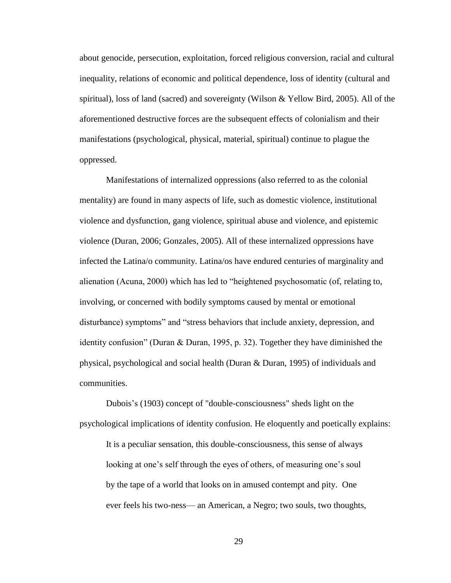about genocide, persecution, exploitation, forced religious conversion, racial and cultural inequality, relations of economic and political dependence, loss of identity (cultural and spiritual), loss of land (sacred) and sovereignty (Wilson & Yellow Bird, 2005). All of the aforementioned destructive forces are the subsequent effects of colonialism and their manifestations (psychological, physical, material, spiritual) continue to plague the oppressed.

Manifestations of internalized oppressions (also referred to as the colonial mentality) are found in many aspects of life, such as domestic violence, institutional violence and dysfunction, gang violence, spiritual abuse and violence, and epistemic violence (Duran, 2006; Gonzales, 2005). All of these internalized oppressions have infected the Latina/o community. Latina/os have endured centuries of marginality and alienation (Acuna, 2000) which has led to "heightened psychosomatic (of, relating to, involving, or concerned with bodily symptoms caused by mental or emotional disturbance) symptoms" and "stress behaviors that include anxiety, depression, and identity confusion" (Duran  $&$  Duran, 1995, p. 32). Together they have diminished the physical, psychological and social health (Duran & Duran, 1995) of individuals and communities.

Dubois's (1903) concept of "double-consciousness" sheds light on the psychological implications of identity confusion. He eloquently and poetically explains: It is a peculiar sensation, this double-consciousness, this sense of always looking at one's self through the eyes of others, of measuring one's soul by the tape of a world that looks on in amused contempt and pity. One ever feels his two-ness— an American, a Negro; two souls, two thoughts,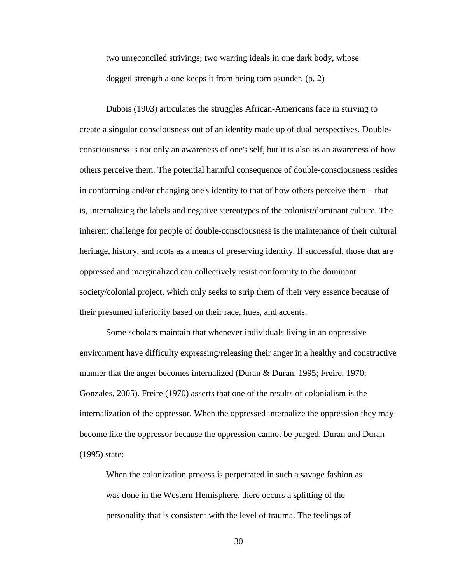two unreconciled strivings; two warring ideals in one dark body, whose dogged strength alone keeps it from being torn asunder. (p. 2)

Dubois (1903) articulates the struggles African-Americans face in striving to create a singular consciousness out of an identity made up of dual perspectives. Doubleconsciousness is not only an awareness of one's self, but it is also as an awareness of how others perceive them. The potential harmful consequence of double-consciousness resides in conforming and/or changing one's identity to that of how others perceive them – that is, internalizing the labels and negative stereotypes of the colonist/dominant culture. The inherent challenge for people of double-consciousness is the maintenance of their cultural heritage, history, and roots as a means of preserving identity. If successful, those that are oppressed and marginalized can collectively resist conformity to the dominant society/colonial project, which only seeks to strip them of their very essence because of their presumed inferiority based on their race, hues, and accents.

Some scholars maintain that whenever individuals living in an oppressive environment have difficulty expressing/releasing their anger in a healthy and constructive manner that the anger becomes internalized (Duran & Duran, 1995; Freire, 1970; Gonzales, 2005). Freire (1970) asserts that one of the results of colonialism is the internalization of the oppressor. When the oppressed internalize the oppression they may become like the oppressor because the oppression cannot be purged. Duran and Duran (1995) state:

When the colonization process is perpetrated in such a savage fashion as was done in the Western Hemisphere, there occurs a splitting of the personality that is consistent with the level of trauma. The feelings of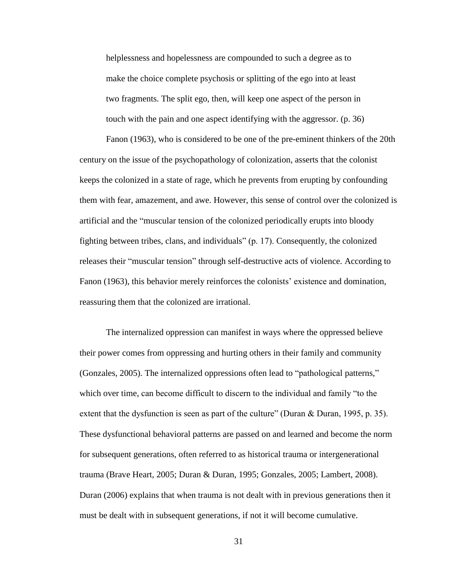helplessness and hopelessness are compounded to such a degree as to make the choice complete psychosis or splitting of the ego into at least two fragments. The split ego, then, will keep one aspect of the person in touch with the pain and one aspect identifying with the aggressor. (p. 36)

Fanon (1963), who is considered to be one of the pre-eminent thinkers of the 20th century on the issue of the psychopathology of colonization, asserts that the colonist keeps the colonized in a state of rage, which he prevents from erupting by confounding them with fear, amazement, and awe. However, this sense of control over the colonized is artificial and the "muscular tension of the colonized periodically erupts into bloody fighting between tribes, clans, and individuals" (p. 17). Consequently, the colonized releases their "muscular tension" through self-destructive acts of violence. According to Fanon (1963), this behavior merely reinforces the colonists' existence and domination, reassuring them that the colonized are irrational.

The internalized oppression can manifest in ways where the oppressed believe their power comes from oppressing and hurting others in their family and community (Gonzales, 2005). The internalized oppressions often lead to "pathological patterns," which over time, can become difficult to discern to the individual and family "to the extent that the dysfunction is seen as part of the culture" (Duran & Duran, 1995, p. 35). These dysfunctional behavioral patterns are passed on and learned and become the norm for subsequent generations, often referred to as historical trauma or intergenerational trauma (Brave Heart, 2005; Duran & Duran, 1995; Gonzales, 2005; Lambert, 2008). Duran (2006) explains that when trauma is not dealt with in previous generations then it must be dealt with in subsequent generations, if not it will become cumulative.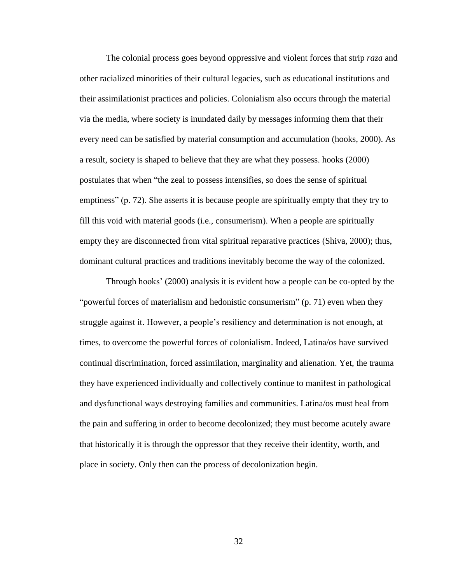The colonial process goes beyond oppressive and violent forces that strip *raza* and other racialized minorities of their cultural legacies, such as educational institutions and their assimilationist practices and policies. Colonialism also occurs through the material via the media, where society is inundated daily by messages informing them that their every need can be satisfied by material consumption and accumulation (hooks, 2000). As a result, society is shaped to believe that they are what they possess. hooks (2000) postulates that when "the zeal to possess intensifies, so does the sense of spiritual emptiness" (p. 72). She asserts it is because people are spiritually empty that they try to fill this void with material goods (i.e., consumerism). When a people are spiritually empty they are disconnected from vital spiritual reparative practices (Shiva, 2000); thus, dominant cultural practices and traditions inevitably become the way of the colonized.

Through hooks' (2000) analysis it is evident how a people can be co-opted by the "powerful forces of materialism and hedonistic consumerism"  $(p. 71)$  even when they struggle against it. However, a people's resiliency and determination is not enough, at times, to overcome the powerful forces of colonialism. Indeed, Latina/os have survived continual discrimination, forced assimilation, marginality and alienation. Yet, the trauma they have experienced individually and collectively continue to manifest in pathological and dysfunctional ways destroying families and communities. Latina/os must heal from the pain and suffering in order to become decolonized; they must become acutely aware that historically it is through the oppressor that they receive their identity, worth, and place in society. Only then can the process of decolonization begin.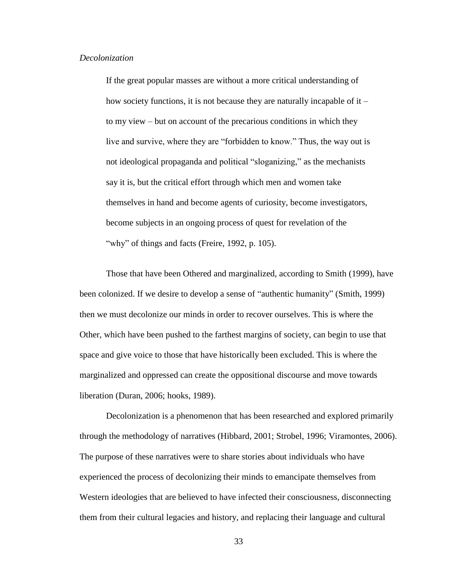### *Decolonization*

If the great popular masses are without a more critical understanding of how society functions, it is not because they are naturally incapable of it – to my view – but on account of the precarious conditions in which they live and survive, where they are "forbidden to know." Thus, the way out is not ideological propaganda and political "sloganizing," as the mechanists say it is, but the critical effort through which men and women take themselves in hand and become agents of curiosity, become investigators, become subjects in an ongoing process of quest for revelation of the "why" of things and facts (Freire, 1992, p. 105).

Those that have been Othered and marginalized, according to Smith (1999), have been colonized. If we desire to develop a sense of "authentic humanity" (Smith, 1999) then we must decolonize our minds in order to recover ourselves. This is where the Other, which have been pushed to the farthest margins of society, can begin to use that space and give voice to those that have historically been excluded. This is where the marginalized and oppressed can create the oppositional discourse and move towards liberation (Duran, 2006; hooks, 1989).

Decolonization is a phenomenon that has been researched and explored primarily through the methodology of narratives (Hibbard, 2001; Strobel, 1996; Viramontes, 2006). The purpose of these narratives were to share stories about individuals who have experienced the process of decolonizing their minds to emancipate themselves from Western ideologies that are believed to have infected their consciousness, disconnecting them from their cultural legacies and history, and replacing their language and cultural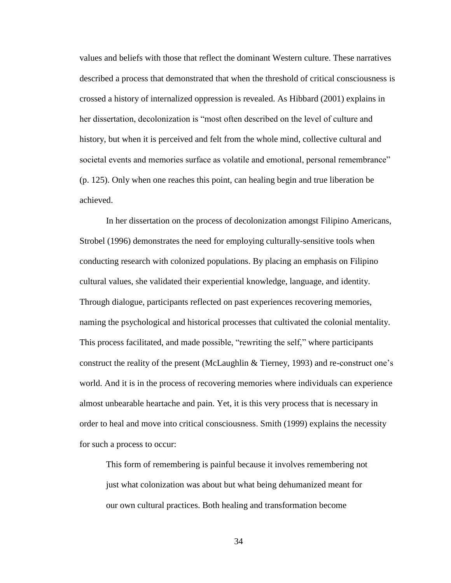values and beliefs with those that reflect the dominant Western culture. These narratives described a process that demonstrated that when the threshold of critical consciousness is crossed a history of internalized oppression is revealed. As Hibbard (2001) explains in her dissertation, decolonization is "most often described on the level of culture and history, but when it is perceived and felt from the whole mind, collective cultural and societal events and memories surface as volatile and emotional, personal remembrance" (p. 125). Only when one reaches this point, can healing begin and true liberation be achieved.

In her dissertation on the process of decolonization amongst Filipino Americans, Strobel (1996) demonstrates the need for employing culturally-sensitive tools when conducting research with colonized populations. By placing an emphasis on Filipino cultural values, she validated their experiential knowledge, language, and identity. Through dialogue, participants reflected on past experiences recovering memories, naming the psychological and historical processes that cultivated the colonial mentality. This process facilitated, and made possible, "rewriting the self," where participants construct the reality of the present (McLaughlin & Tierney, 1993) and re-construct one's world. And it is in the process of recovering memories where individuals can experience almost unbearable heartache and pain. Yet, it is this very process that is necessary in order to heal and move into critical consciousness. Smith (1999) explains the necessity for such a process to occur:

This form of remembering is painful because it involves remembering not just what colonization was about but what being dehumanized meant for our own cultural practices. Both healing and transformation become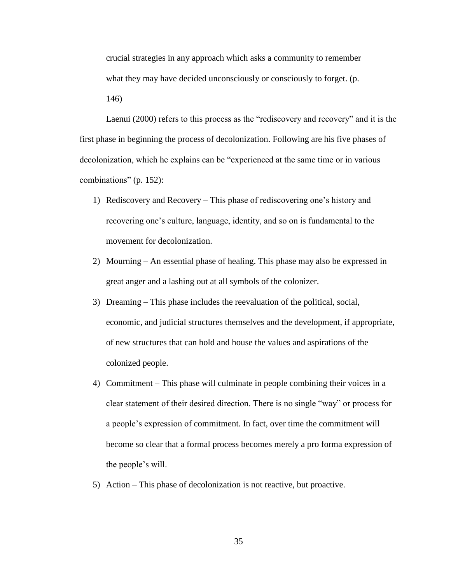crucial strategies in any approach which asks a community to remember what they may have decided unconsciously or consciously to forget. (p. 146)

Laenui (2000) refers to this process as the "rediscovery and recovery" and it is the first phase in beginning the process of decolonization. Following are his five phases of decolonization, which he explains can be "experienced at the same time or in various combinations" (p. 152):

- 1) Rediscovery and Recovery This phase of rediscovering one's history and recovering one's culture, language, identity, and so on is fundamental to the movement for decolonization.
- 2) Mourning An essential phase of healing. This phase may also be expressed in great anger and a lashing out at all symbols of the colonizer.
- 3) Dreaming This phase includes the reevaluation of the political, social, economic, and judicial structures themselves and the development, if appropriate, of new structures that can hold and house the values and aspirations of the colonized people.
- 4) Commitment This phase will culminate in people combining their voices in a clear statement of their desired direction. There is no single "way" or process for a people's expression of commitment. In fact, over time the commitment will become so clear that a formal process becomes merely a pro forma expression of the people's will.
- 5) Action This phase of decolonization is not reactive, but proactive.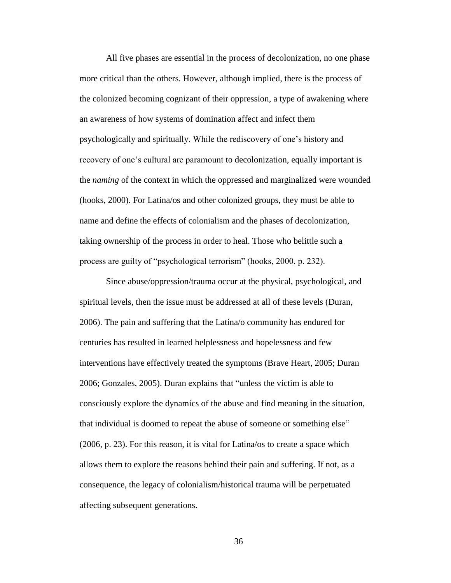All five phases are essential in the process of decolonization, no one phase more critical than the others. However, although implied, there is the process of the colonized becoming cognizant of their oppression, a type of awakening where an awareness of how systems of domination affect and infect them psychologically and spiritually. While the rediscovery of one's history and recovery of one's cultural are paramount to decolonization, equally important is the *naming* of the context in which the oppressed and marginalized were wounded (hooks, 2000). For Latina/os and other colonized groups, they must be able to name and define the effects of colonialism and the phases of decolonization, taking ownership of the process in order to heal. Those who belittle such a process are guilty of "psychological terrorism" (hooks, 2000, p. 232).

Since abuse/oppression/trauma occur at the physical, psychological, and spiritual levels, then the issue must be addressed at all of these levels (Duran, 2006). The pain and suffering that the Latina/o community has endured for centuries has resulted in learned helplessness and hopelessness and few interventions have effectively treated the symptoms (Brave Heart, 2005; Duran 2006; Gonzales, 2005). Duran explains that "unless the victim is able to consciously explore the dynamics of the abuse and find meaning in the situation, that individual is doomed to repeat the abuse of someone or something else" (2006, p. 23). For this reason, it is vital for Latina/os to create a space which allows them to explore the reasons behind their pain and suffering. If not, as a consequence, the legacy of colonialism/historical trauma will be perpetuated affecting subsequent generations.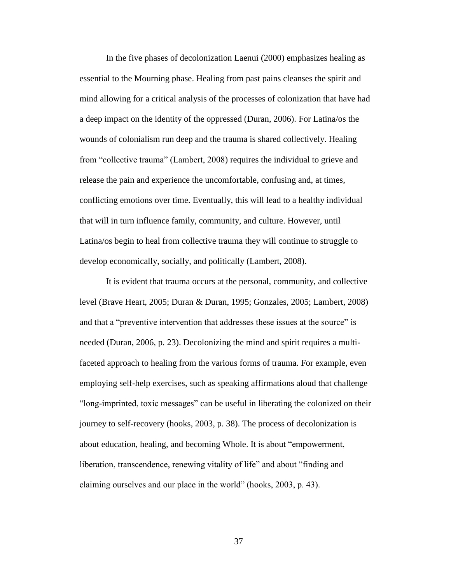In the five phases of decolonization Laenui (2000) emphasizes healing as essential to the Mourning phase. Healing from past pains cleanses the spirit and mind allowing for a critical analysis of the processes of colonization that have had a deep impact on the identity of the oppressed (Duran, 2006). For Latina/os the wounds of colonialism run deep and the trauma is shared collectively. Healing from "collective trauma" (Lambert, 2008) requires the individual to grieve and release the pain and experience the uncomfortable, confusing and, at times, conflicting emotions over time. Eventually, this will lead to a healthy individual that will in turn influence family, community, and culture. However, until Latina/os begin to heal from collective trauma they will continue to struggle to develop economically, socially, and politically (Lambert, 2008).

It is evident that trauma occurs at the personal, community, and collective level (Brave Heart, 2005; Duran & Duran, 1995; Gonzales, 2005; Lambert, 2008) and that a "preventive intervention that addresses these issues at the source" is needed (Duran, 2006, p. 23). Decolonizing the mind and spirit requires a multifaceted approach to healing from the various forms of trauma. For example, even employing self-help exercises, such as speaking affirmations aloud that challenge "long-imprinted, toxic messages" can be useful in liberating the colonized on their journey to self-recovery (hooks, 2003, p. 38). The process of decolonization is about education, healing, and becoming Whole. It is about "empowerment, liberation, transcendence, renewing vitality of life" and about "finding and claiming ourselves and our place in the world" (hooks, 2003, p. 43).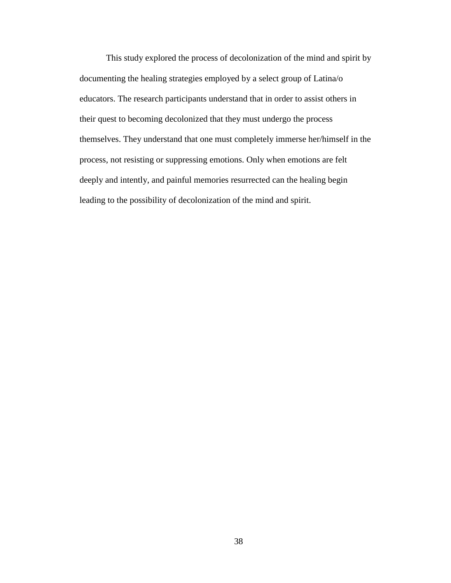This study explored the process of decolonization of the mind and spirit by documenting the healing strategies employed by a select group of Latina/o educators. The research participants understand that in order to assist others in their quest to becoming decolonized that they must undergo the process themselves. They understand that one must completely immerse her/himself in the process, not resisting or suppressing emotions. Only when emotions are felt deeply and intently, and painful memories resurrected can the healing begin leading to the possibility of decolonization of the mind and spirit.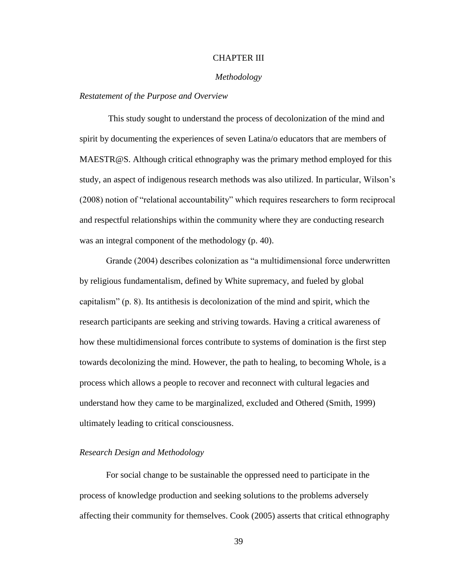# CHAPTER III

### *Methodology*

### *Restatement of the Purpose and Overview*

This study sought to understand the process of decolonization of the mind and spirit by documenting the experiences of seven Latina/o educators that are members of MAESTR@S. Although critical ethnography was the primary method employed for this study, an aspect of indigenous research methods was also utilized. In particular, Wilson's (2008) notion of "relational accountability" which requires researchers to form reciprocal and respectful relationships within the community where they are conducting research was an integral component of the methodology (p. 40).

Grande (2004) describes colonization as "a multidimensional force underwritten by religious fundamentalism, defined by White supremacy, and fueled by global capitalism"  $(p, 8)$ . Its antithesis is decolonization of the mind and spirit, which the research participants are seeking and striving towards. Having a critical awareness of how these multidimensional forces contribute to systems of domination is the first step towards decolonizing the mind. However, the path to healing, to becoming Whole, is a process which allows a people to recover and reconnect with cultural legacies and understand how they came to be marginalized, excluded and Othered (Smith, 1999) ultimately leading to critical consciousness.

### *Research Design and Methodology*

For social change to be sustainable the oppressed need to participate in the process of knowledge production and seeking solutions to the problems adversely affecting their community for themselves. Cook (2005) asserts that critical ethnography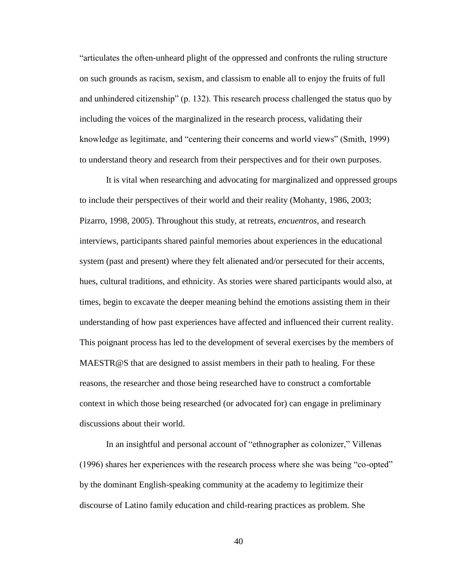―articulates the often-unheard plight of the oppressed and confronts the ruling structure on such grounds as racism, sexism, and classism to enable all to enjoy the fruits of full and unhindered citizenship" (p. 132). This research process challenged the status quo by including the voices of the marginalized in the research process, validating their knowledge as legitimate, and "centering their concerns and world views" (Smith, 1999) to understand theory and research from their perspectives and for their own purposes.

It is vital when researching and advocating for marginalized and oppressed groups to include their perspectives of their world and their reality (Mohanty, 1986, 2003; Pizarro, 1998, 2005). Throughout this study, at retreats, *encuentros*, and research interviews, participants shared painful memories about experiences in the educational system (past and present) where they felt alienated and/or persecuted for their accents, hues, cultural traditions, and ethnicity. As stories were shared participants would also, at times, begin to excavate the deeper meaning behind the emotions assisting them in their understanding of how past experiences have affected and influenced their current reality. This poignant process has led to the development of several exercises by the members of MAESTR@S that are designed to assist members in their path to healing. For these reasons, the researcher and those being researched have to construct a comfortable context in which those being researched (or advocated for) can engage in preliminary discussions about their world.

In an insightful and personal account of "ethnographer as colonizer," Villenas  $(1996)$  shares her experiences with the research process where she was being "co-opted" by the dominant English-speaking community at the academy to legitimize their discourse of Latino family education and child-rearing practices as problem*.* She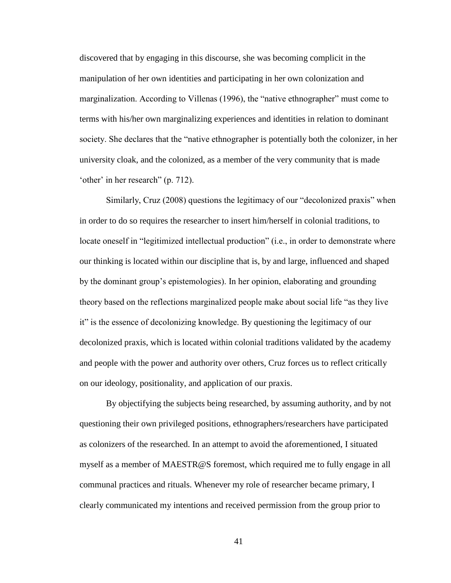discovered that by engaging in this discourse, she was becoming complicit in the manipulation of her own identities and participating in her own colonization and marginalization. According to Villenas (1996), the "native ethnographer" must come to terms with his/her own marginalizing experiences and identities in relation to dominant society. She declares that the "native ethnographer is potentially both the colonizer, in her university cloak, and the colonized, as a member of the very community that is made 'other' in her research'' (p. 712).

Similarly, Cruz (2008) questions the legitimacy of our "decolonized praxis" when in order to do so requires the researcher to insert him/herself in colonial traditions, to locate oneself in "legitimized intellectual production" (i.e., in order to demonstrate where our thinking is located within our discipline that is, by and large, influenced and shaped by the dominant group's epistemologies). In her opinion, elaborating and grounding theory based on the reflections marginalized people make about social life "as they live it" is the essence of decolonizing knowledge. By questioning the legitimacy of our decolonized praxis, which is located within colonial traditions validated by the academy and people with the power and authority over others, Cruz forces us to reflect critically on our ideology, positionality, and application of our praxis.

By objectifying the subjects being researched, by assuming authority, and by not questioning their own privileged positions, ethnographers/researchers have participated as colonizers of the researched. In an attempt to avoid the aforementioned, I situated myself as a member of MAESTR@S foremost, which required me to fully engage in all communal practices and rituals. Whenever my role of researcher became primary, I clearly communicated my intentions and received permission from the group prior to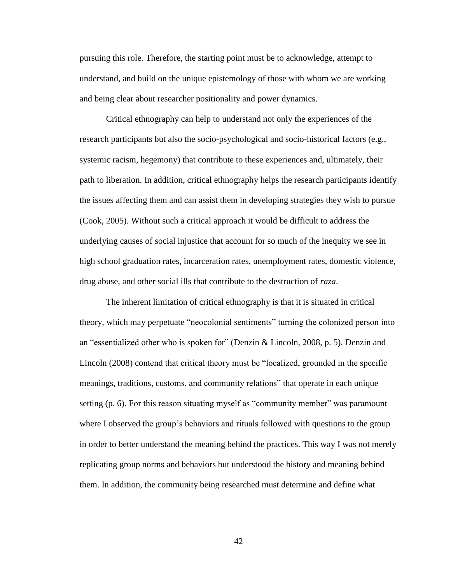pursuing this role. Therefore, the starting point must be to acknowledge, attempt to understand, and build on the unique epistemology of those with whom we are working and being clear about researcher positionality and power dynamics.

Critical ethnography can help to understand not only the experiences of the research participants but also the socio-psychological and socio-historical factors (e.g., systemic racism, hegemony) that contribute to these experiences and, ultimately, their path to liberation. In addition, critical ethnography helps the research participants identify the issues affecting them and can assist them in developing strategies they wish to pursue (Cook, 2005). Without such a critical approach it would be difficult to address the underlying causes of social injustice that account for so much of the inequity we see in high school graduation rates, incarceration rates, unemployment rates, domestic violence, drug abuse, and other social ills that contribute to the destruction of *raza*.

The inherent limitation of critical ethnography is that it is situated in critical theory, which may perpetuate "neocolonial sentiments" turning the colonized person into an "essentialized other who is spoken for" (Denzin & Lincoln, 2008, p. 5). Denzin and Lincoln (2008) contend that critical theory must be "localized, grounded in the specific meanings, traditions, customs, and community relations" that operate in each unique setting (p. 6). For this reason situating myself as "community member" was paramount where I observed the group's behaviors and rituals followed with questions to the group in order to better understand the meaning behind the practices. This way I was not merely replicating group norms and behaviors but understood the history and meaning behind them. In addition, the community being researched must determine and define what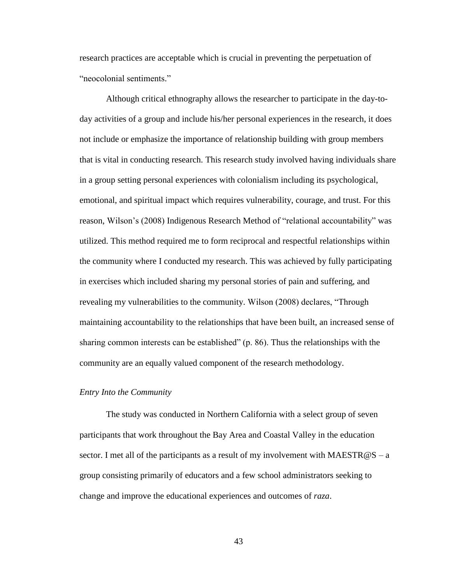research practices are acceptable which is crucial in preventing the perpetuation of "neocolonial sentiments."

Although critical ethnography allows the researcher to participate in the day-today activities of a group and include his/her personal experiences in the research, it does not include or emphasize the importance of relationship building with group members that is vital in conducting research. This research study involved having individuals share in a group setting personal experiences with colonialism including its psychological, emotional, and spiritual impact which requires vulnerability, courage, and trust. For this reason, Wilson's (2008) Indigenous Research Method of "relational accountability" was utilized. This method required me to form reciprocal and respectful relationships within the community where I conducted my research. This was achieved by fully participating in exercises which included sharing my personal stories of pain and suffering, and revealing my vulnerabilities to the community. Wilson (2008) declares, "Through maintaining accountability to the relationships that have been built, an increased sense of sharing common interests can be established"  $(p. 86)$ . Thus the relationships with the community are an equally valued component of the research methodology.

### *Entry Into the Community*

The study was conducted in Northern California with a select group of seven participants that work throughout the Bay Area and Coastal Valley in the education sector. I met all of the participants as a result of my involvement with MAESTR@S – a group consisting primarily of educators and a few school administrators seeking to change and improve the educational experiences and outcomes of *raza*.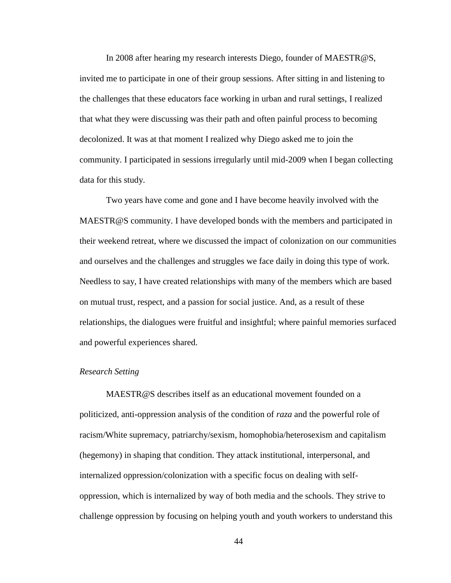In 2008 after hearing my research interests Diego, founder of MAESTR@S, invited me to participate in one of their group sessions. After sitting in and listening to the challenges that these educators face working in urban and rural settings, I realized that what they were discussing was their path and often painful process to becoming decolonized. It was at that moment I realized why Diego asked me to join the community. I participated in sessions irregularly until mid-2009 when I began collecting data for this study.

Two years have come and gone and I have become heavily involved with the MAESTR@S community. I have developed bonds with the members and participated in their weekend retreat, where we discussed the impact of colonization on our communities and ourselves and the challenges and struggles we face daily in doing this type of work. Needless to say, I have created relationships with many of the members which are based on mutual trust, respect, and a passion for social justice. And, as a result of these relationships, the dialogues were fruitful and insightful; where painful memories surfaced and powerful experiences shared.

### *Research Setting*

MAESTR@S describes itself as an educational movement founded on a politicized, anti-oppression analysis of the condition of *raza* and the powerful role of racism/White supremacy, patriarchy/sexism, homophobia/heterosexism and capitalism (hegemony) in shaping that condition. They attack institutional, interpersonal, and internalized oppression/colonization with a specific focus on dealing with selfoppression, which is internalized by way of both media and the schools. They strive to challenge oppression by focusing on helping youth and youth workers to understand this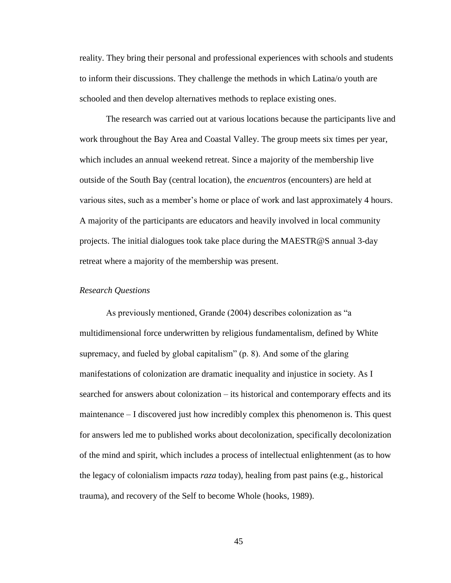reality. They bring their personal and professional experiences with schools and students to inform their discussions. They challenge the methods in which Latina/o youth are schooled and then develop alternatives methods to replace existing ones.

The research was carried out at various locations because the participants live and work throughout the Bay Area and Coastal Valley. The group meets six times per year, which includes an annual weekend retreat. Since a majority of the membership live outside of the South Bay (central location), the *encuentros* (encounters) are held at various sites, such as a member's home or place of work and last approximately 4 hours. A majority of the participants are educators and heavily involved in local community projects. The initial dialogues took take place during the MAESTR@S annual 3-day retreat where a majority of the membership was present.

### *Research Questions*

As previously mentioned, Grande (2004) describes colonization as "a multidimensional force underwritten by religious fundamentalism, defined by White supremacy, and fueled by global capitalism"  $(p, 8)$ . And some of the glaring manifestations of colonization are dramatic inequality and injustice in society. As I searched for answers about colonization – its historical and contemporary effects and its maintenance – I discovered just how incredibly complex this phenomenon is. This quest for answers led me to published works about decolonization, specifically decolonization of the mind and spirit, which includes a process of intellectual enlightenment (as to how the legacy of colonialism impacts *raza* today), healing from past pains (e.g., historical trauma), and recovery of the Self to become Whole (hooks, 1989).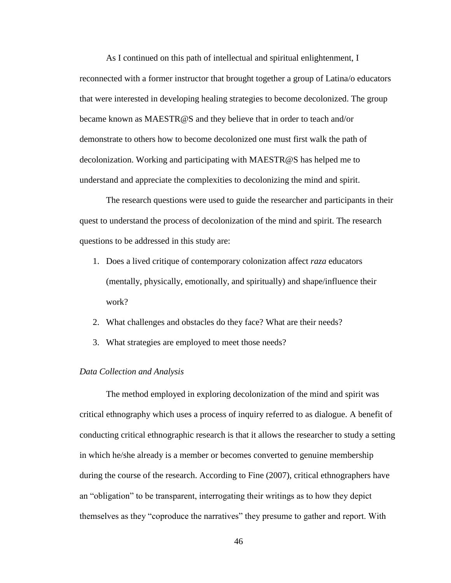As I continued on this path of intellectual and spiritual enlightenment, I reconnected with a former instructor that brought together a group of Latina/o educators that were interested in developing healing strategies to become decolonized. The group became known as MAESTR@S and they believe that in order to teach and/or demonstrate to others how to become decolonized one must first walk the path of decolonization. Working and participating with MAESTR@S has helped me to understand and appreciate the complexities to decolonizing the mind and spirit.

The research questions were used to guide the researcher and participants in their quest to understand the process of decolonization of the mind and spirit. The research questions to be addressed in this study are:

- 1. Does a lived critique of contemporary colonization affect *raza* educators (mentally, physically, emotionally, and spiritually) and shape/influence their work?
- 2. What challenges and obstacles do they face? What are their needs?
- 3. What strategies are employed to meet those needs?

### *Data Collection and Analysis*

The method employed in exploring decolonization of the mind and spirit was critical ethnography which uses a process of inquiry referred to as dialogue. A benefit of conducting critical ethnographic research is that it allows the researcher to study a setting in which he/she already is a member or becomes converted to genuine membership during the course of the research. According to Fine (2007), critical ethnographers have an "obligation" to be transparent, interrogating their writings as to how they depict themselves as they "coproduce the narratives" they presume to gather and report. With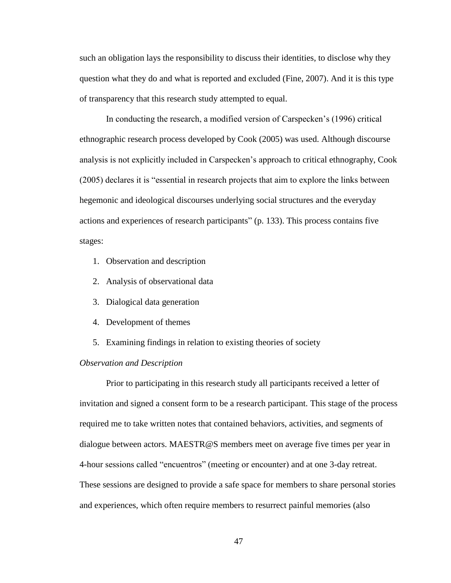such an obligation lays the responsibility to discuss their identities, to disclose why they question what they do and what is reported and excluded (Fine, 2007). And it is this type of transparency that this research study attempted to equal.

In conducting the research, a modified version of Carspecken's (1996) critical ethnographic research process developed by Cook (2005) was used. Although discourse analysis is not explicitly included in Carspecken's approach to critical ethnography, Cook (2005) declares it is "essential in research projects that aim to explore the links between hegemonic and ideological discourses underlying social structures and the everyday actions and experiences of research participants" (p. 133). This process contains five stages:

- 1. Observation and description
- 2. Analysis of observational data
- 3. Dialogical data generation
- 4. Development of themes
- 5. Examining findings in relation to existing theories of society

### *Observation and Description*

Prior to participating in this research study all participants received a letter of invitation and signed a consent form to be a research participant. This stage of the process required me to take written notes that contained behaviors, activities, and segments of dialogue between actors. MAESTR@S members meet on average five times per year in 4-hour sessions called "encuentros" (meeting or encounter) and at one 3-day retreat. These sessions are designed to provide a safe space for members to share personal stories and experiences, which often require members to resurrect painful memories (also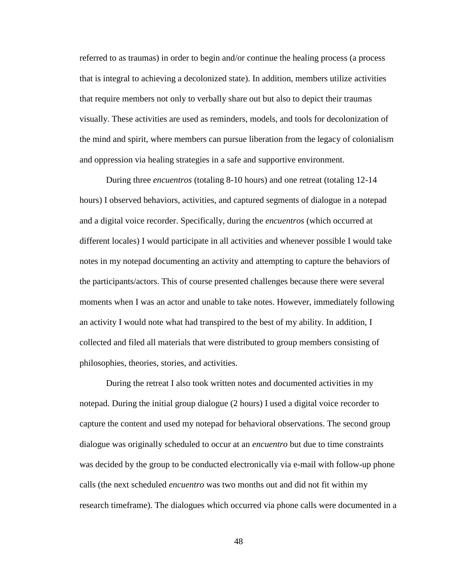referred to as traumas) in order to begin and/or continue the healing process (a process that is integral to achieving a decolonized state). In addition, members utilize activities that require members not only to verbally share out but also to depict their traumas visually. These activities are used as reminders, models, and tools for decolonization of the mind and spirit, where members can pursue liberation from the legacy of colonialism and oppression via healing strategies in a safe and supportive environment.

During three *encuentros* (totaling 8-10 hours) and one retreat (totaling 12-14 hours) I observed behaviors, activities, and captured segments of dialogue in a notepad and a digital voice recorder. Specifically, during the *encuentros* (which occurred at different locales) I would participate in all activities and whenever possible I would take notes in my notepad documenting an activity and attempting to capture the behaviors of the participants/actors. This of course presented challenges because there were several moments when I was an actor and unable to take notes. However, immediately following an activity I would note what had transpired to the best of my ability. In addition, I collected and filed all materials that were distributed to group members consisting of philosophies, theories, stories, and activities.

During the retreat I also took written notes and documented activities in my notepad. During the initial group dialogue (2 hours) I used a digital voice recorder to capture the content and used my notepad for behavioral observations. The second group dialogue was originally scheduled to occur at an *encuentro* but due to time constraints was decided by the group to be conducted electronically via e-mail with follow-up phone calls (the next scheduled *encuentro* was two months out and did not fit within my research timeframe). The dialogues which occurred via phone calls were documented in a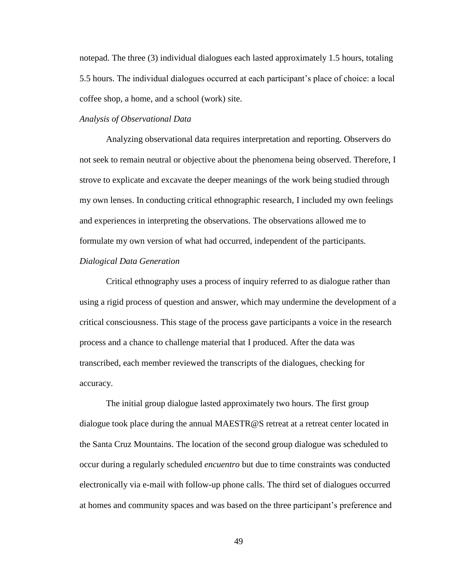notepad. The three (3) individual dialogues each lasted approximately 1.5 hours, totaling 5.5 hours. The individual dialogues occurred at each participant's place of choice: a local coffee shop, a home, and a school (work) site.

## *Analysis of Observational Data*

Analyzing observational data requires interpretation and reporting. Observers do not seek to remain neutral or objective about the phenomena being observed. Therefore, I strove to explicate and excavate the deeper meanings of the work being studied through my own lenses. In conducting critical ethnographic research, I included my own feelings and experiences in interpreting the observations. The observations allowed me to formulate my own version of what had occurred, independent of the participants. *Dialogical Data Generation*

Critical ethnography uses a process of inquiry referred to as dialogue rather than using a rigid process of question and answer, which may undermine the development of a critical consciousness. This stage of the process gave participants a voice in the research process and a chance to challenge material that I produced. After the data was transcribed, each member reviewed the transcripts of the dialogues, checking for accuracy.

The initial group dialogue lasted approximately two hours. The first group dialogue took place during the annual MAESTR@S retreat at a retreat center located in the Santa Cruz Mountains. The location of the second group dialogue was scheduled to occur during a regularly scheduled *encuentro* but due to time constraints was conducted electronically via e-mail with follow-up phone calls. The third set of dialogues occurred at homes and community spaces and was based on the three participant's preference and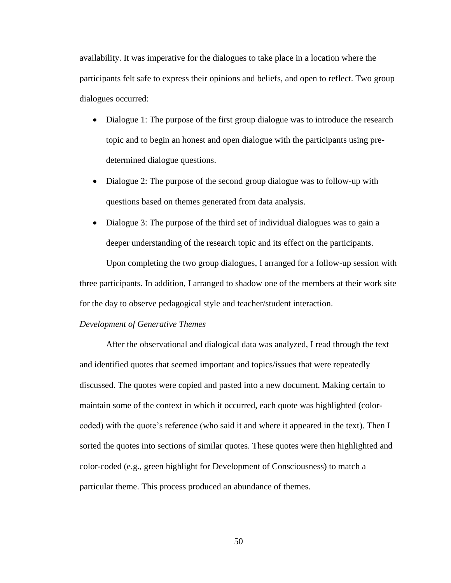availability. It was imperative for the dialogues to take place in a location where the participants felt safe to express their opinions and beliefs, and open to reflect. Two group dialogues occurred:

- Dialogue 1: The purpose of the first group dialogue was to introduce the research topic and to begin an honest and open dialogue with the participants using predetermined dialogue questions.
- Dialogue 2: The purpose of the second group dialogue was to follow-up with questions based on themes generated from data analysis.
- Dialogue 3: The purpose of the third set of individual dialogues was to gain a deeper understanding of the research topic and its effect on the participants.

Upon completing the two group dialogues, I arranged for a follow-up session with three participants. In addition, I arranged to shadow one of the members at their work site for the day to observe pedagogical style and teacher/student interaction.

#### *Development of Generative Themes*

After the observational and dialogical data was analyzed, I read through the text and identified quotes that seemed important and topics/issues that were repeatedly discussed. The quotes were copied and pasted into a new document. Making certain to maintain some of the context in which it occurred, each quote was highlighted (colorcoded) with the quote's reference (who said it and where it appeared in the text). Then I sorted the quotes into sections of similar quotes. These quotes were then highlighted and color-coded (e.g., green highlight for Development of Consciousness) to match a particular theme. This process produced an abundance of themes.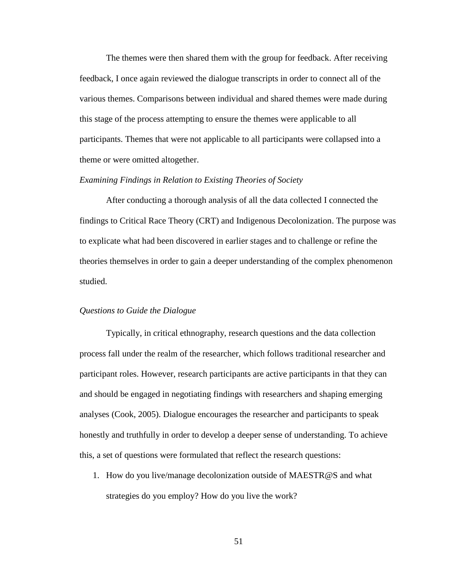The themes were then shared them with the group for feedback. After receiving feedback, I once again reviewed the dialogue transcripts in order to connect all of the various themes. Comparisons between individual and shared themes were made during this stage of the process attempting to ensure the themes were applicable to all participants. Themes that were not applicable to all participants were collapsed into a theme or were omitted altogether.

### *Examining Findings in Relation to Existing Theories of Society*

After conducting a thorough analysis of all the data collected I connected the findings to Critical Race Theory (CRT) and Indigenous Decolonization. The purpose was to explicate what had been discovered in earlier stages and to challenge or refine the theories themselves in order to gain a deeper understanding of the complex phenomenon studied.

#### *Questions to Guide the Dialogue*

Typically, in critical ethnography, research questions and the data collection process fall under the realm of the researcher, which follows traditional researcher and participant roles. However, research participants are active participants in that they can and should be engaged in negotiating findings with researchers and shaping emerging analyses (Cook, 2005). Dialogue encourages the researcher and participants to speak honestly and truthfully in order to develop a deeper sense of understanding. To achieve this, a set of questions were formulated that reflect the research questions:

1. How do you live/manage decolonization outside of MAESTR@S and what strategies do you employ? How do you live the work?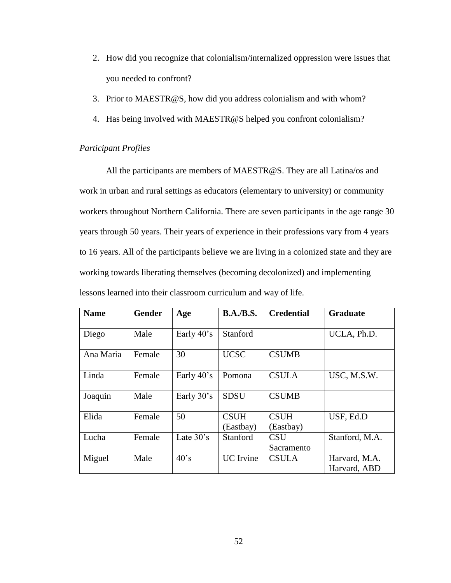- 2. How did you recognize that colonialism/internalized oppression were issues that you needed to confront?
- 3. Prior to MAESTR@S, how did you address colonialism and with whom?
- 4. Has being involved with MAESTR@S helped you confront colonialism?

## *Participant Profiles*

All the participants are members of MAESTR@S. They are all Latina/os and work in urban and rural settings as educators (elementary to university) or community workers throughout Northern California. There are seven participants in the age range 30 years through 50 years. Their years of experience in their professions vary from 4 years to 16 years. All of the participants believe we are living in a colonized state and they are working towards liberating themselves (becoming decolonized) and implementing lessons learned into their classroom curriculum and way of life.

| <b>Name</b> | <b>Gender</b> | Age                 | <b>B.A./B.S.</b>         | <b>Credential</b>        | <b>Graduate</b>               |
|-------------|---------------|---------------------|--------------------------|--------------------------|-------------------------------|
| Diego       | Male          | Early 40's          | Stanford                 |                          | UCLA, Ph.D.                   |
| Ana Maria   | <b>Female</b> | 30                  | <b>UCSC</b>              | <b>CSUMB</b>             |                               |
| Linda       | Female        | Early 40's          | Pomona                   | <b>CSULA</b>             | USC, M.S.W.                   |
| Joaquin     | Male          | Early 30's          | <b>SDSU</b>              | <b>CSUMB</b>             |                               |
| Elida       | Female        | 50                  | <b>CSUH</b><br>(Eastbay) | <b>CSUH</b><br>(Eastbay) | USF, Ed.D                     |
| Lucha       | Female        | Late $30^{\circ}$ s | Stanford                 | <b>CSU</b><br>Sacramento | Stanford, M.A.                |
| Miguel      | Male          | $40^\circ s$        | <b>UC</b> Irvine         | <b>CSULA</b>             | Harvard, M.A.<br>Harvard, ABD |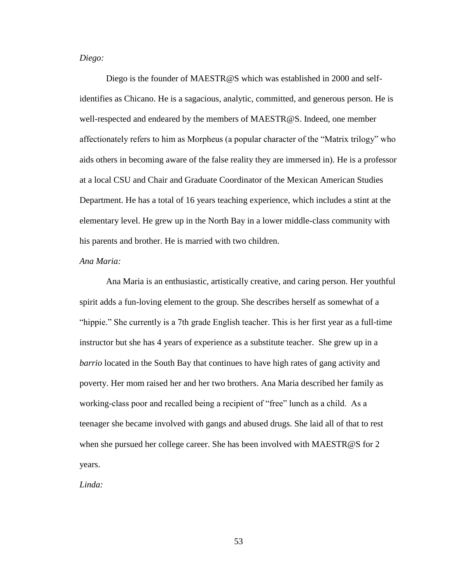## *Diego:*

Diego is the founder of MAESTR@S which was established in 2000 and selfidentifies as Chicano. He is a sagacious, analytic, committed, and generous person. He is well-respected and endeared by the members of MAESTR@S. Indeed, one member affectionately refers to him as Morpheus (a popular character of the "Matrix trilogy" who aids others in becoming aware of the false reality they are immersed in). He is a professor at a local CSU and Chair and Graduate Coordinator of the Mexican American Studies Department. He has a total of 16 years teaching experience, which includes a stint at the elementary level. He grew up in the North Bay in a lower middle-class community with his parents and brother. He is married with two children.

### *Ana Maria:*

Ana Maria is an enthusiastic, artistically creative, and caring person. Her youthful spirit adds a fun-loving element to the group. She describes herself as somewhat of a "hippie." She currently is a 7th grade English teacher. This is her first year as a full-time instructor but she has 4 years of experience as a substitute teacher. She grew up in a *barrio* located in the South Bay that continues to have high rates of gang activity and poverty. Her mom raised her and her two brothers. Ana Maria described her family as working-class poor and recalled being a recipient of "free" lunch as a child. As a teenager she became involved with gangs and abused drugs. She laid all of that to rest when she pursued her college career. She has been involved with MAESTR@S for 2 years.

*Linda:*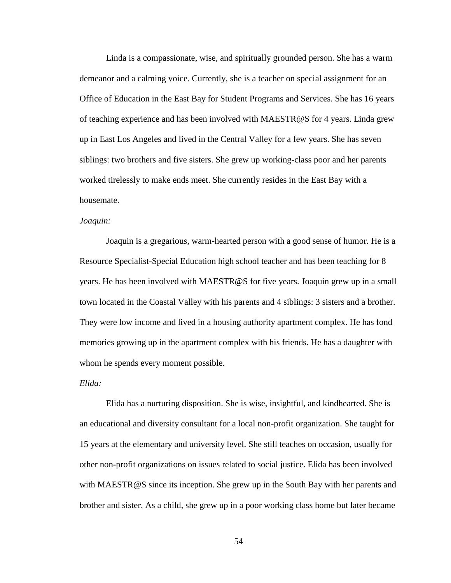Linda is a compassionate, wise, and spiritually grounded person. She has a warm demeanor and a calming voice. Currently, she is a teacher on special assignment for an Office of Education in the East Bay for Student Programs and Services. She has 16 years of teaching experience and has been involved with MAESTR@S for 4 years. Linda grew up in East Los Angeles and lived in the Central Valley for a few years. She has seven siblings: two brothers and five sisters. She grew up working-class poor and her parents worked tirelessly to make ends meet. She currently resides in the East Bay with a housemate.

### *Joaquin:*

Joaquin is a gregarious, warm-hearted person with a good sense of humor. He is a Resource Specialist-Special Education high school teacher and has been teaching for 8 years. He has been involved with MAESTR@S for five years. Joaquin grew up in a small town located in the Coastal Valley with his parents and 4 siblings: 3 sisters and a brother. They were low income and lived in a housing authority apartment complex. He has fond memories growing up in the apartment complex with his friends. He has a daughter with whom he spends every moment possible.

#### *Elida:*

Elida has a nurturing disposition. She is wise, insightful, and kindhearted. She is an educational and diversity consultant for a local non-profit organization. She taught for 15 years at the elementary and university level. She still teaches on occasion, usually for other non-profit organizations on issues related to social justice. Elida has been involved with MAESTR@S since its inception. She grew up in the South Bay with her parents and brother and sister. As a child, she grew up in a poor working class home but later became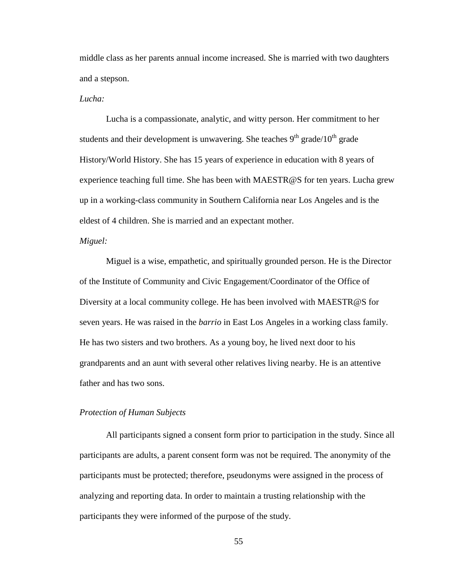middle class as her parents annual income increased. She is married with two daughters and a stepson.

### *Lucha:*

Lucha is a compassionate, analytic, and witty person. Her commitment to her students and their development is unwavering. She teaches  $9<sup>th</sup>$  grade/ $10<sup>th</sup>$  grade History/World History. She has 15 years of experience in education with 8 years of experience teaching full time. She has been with MAESTR@S for ten years. Lucha grew up in a working-class community in Southern California near Los Angeles and is the eldest of 4 children. She is married and an expectant mother.

# *Miguel:*

Miguel is a wise, empathetic, and spiritually grounded person. He is the Director of the Institute of Community and Civic Engagement/Coordinator of the Office of Diversity at a local community college. He has been involved with MAESTR@S for seven years. He was raised in the *barrio* in East Los Angeles in a working class family. He has two sisters and two brothers. As a young boy, he lived next door to his grandparents and an aunt with several other relatives living nearby. He is an attentive father and has two sons.

## *Protection of Human Subjects*

All participants signed a consent form prior to participation in the study. Since all participants are adults, a parent consent form was not be required. The anonymity of the participants must be protected; therefore, pseudonyms were assigned in the process of analyzing and reporting data. In order to maintain a trusting relationship with the participants they were informed of the purpose of the study.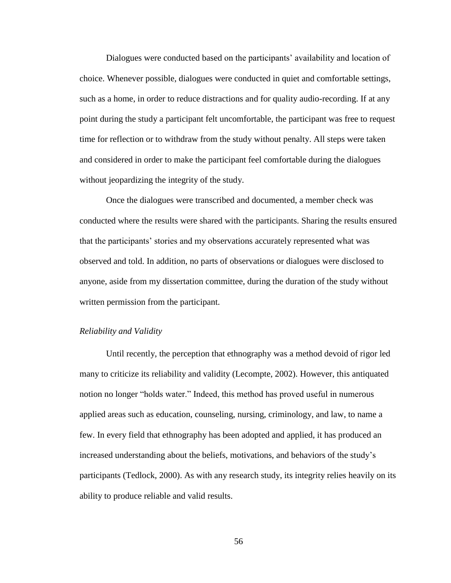Dialogues were conducted based on the participants' availability and location of choice. Whenever possible, dialogues were conducted in quiet and comfortable settings, such as a home, in order to reduce distractions and for quality audio-recording. If at any point during the study a participant felt uncomfortable, the participant was free to request time for reflection or to withdraw from the study without penalty. All steps were taken and considered in order to make the participant feel comfortable during the dialogues without jeopardizing the integrity of the study.

Once the dialogues were transcribed and documented, a member check was conducted where the results were shared with the participants. Sharing the results ensured that the participants' stories and my observations accurately represented what was observed and told. In addition, no parts of observations or dialogues were disclosed to anyone, aside from my dissertation committee, during the duration of the study without written permission from the participant.

#### *Reliability and Validity*

Until recently, the perception that ethnography was a method devoid of rigor led many to criticize its reliability and validity (Lecompte, 2002). However, this antiquated notion no longer "holds water." Indeed, this method has proved useful in numerous applied areas such as education, counseling, nursing, criminology, and law, to name a few. In every field that ethnography has been adopted and applied, it has produced an increased understanding about the beliefs, motivations, and behaviors of the study's participants (Tedlock, 2000). As with any research study, its integrity relies heavily on its ability to produce reliable and valid results.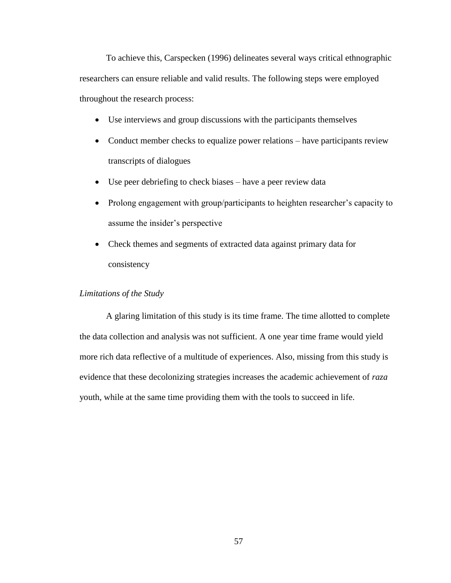To achieve this, Carspecken (1996) delineates several ways critical ethnographic researchers can ensure reliable and valid results. The following steps were employed throughout the research process:

- Use interviews and group discussions with the participants themselves
- Conduct member checks to equalize power relations have participants review transcripts of dialogues
- Use peer debriefing to check biases have a peer review data
- Prolong engagement with group/participants to heighten researcher's capacity to assume the insider's perspective
- Check themes and segments of extracted data against primary data for consistency

# *Limitations of the Study*

A glaring limitation of this study is its time frame. The time allotted to complete the data collection and analysis was not sufficient. A one year time frame would yield more rich data reflective of a multitude of experiences. Also, missing from this study is evidence that these decolonizing strategies increases the academic achievement of *raza* youth, while at the same time providing them with the tools to succeed in life.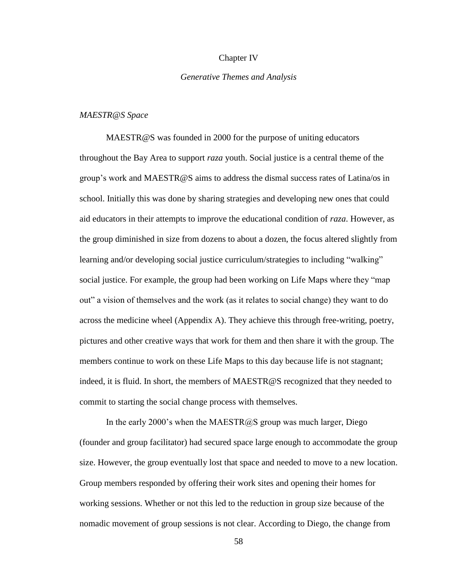### Chapter IV

### *Generative Themes and Analysis*

### *MAESTR@S Space*

MAESTR@S was founded in 2000 for the purpose of uniting educators throughout the Bay Area to support *raza* youth. Social justice is a central theme of the group's work and MAESTR@S aims to address the dismal success rates of Latina/os in school. Initially this was done by sharing strategies and developing new ones that could aid educators in their attempts to improve the educational condition of *raza*. However, as the group diminished in size from dozens to about a dozen, the focus altered slightly from learning and/or developing social justice curriculum/strategies to including "walking" social justice. For example, the group had been working on Life Maps where they "map" out" a vision of themselves and the work (as it relates to social change) they want to do across the medicine wheel (Appendix A). They achieve this through free-writing, poetry, pictures and other creative ways that work for them and then share it with the group. The members continue to work on these Life Maps to this day because life is not stagnant; indeed, it is fluid. In short, the members of MAESTR@S recognized that they needed to commit to starting the social change process with themselves.

In the early 2000's when the MAESTR@S group was much larger, Diego (founder and group facilitator) had secured space large enough to accommodate the group size. However, the group eventually lost that space and needed to move to a new location. Group members responded by offering their work sites and opening their homes for working sessions. Whether or not this led to the reduction in group size because of the nomadic movement of group sessions is not clear. According to Diego, the change from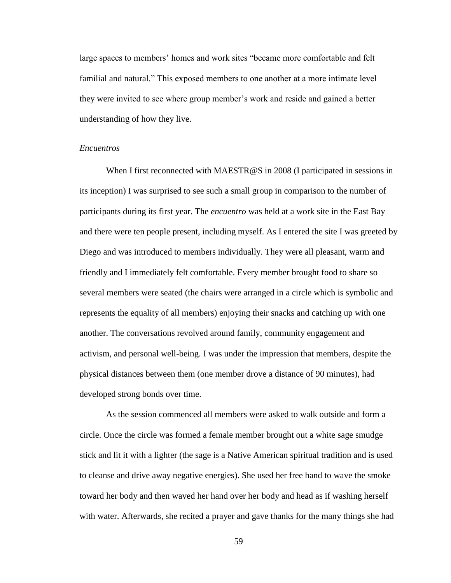large spaces to members' homes and work sites "became more comfortable and felt familial and natural." This exposed members to one another at a more intimate level – they were invited to see where group member's work and reside and gained a better understanding of how they live.

# *Encuentros*

When I first reconnected with MAESTR@S in 2008 (I participated in sessions in its inception) I was surprised to see such a small group in comparison to the number of participants during its first year. The *encuentro* was held at a work site in the East Bay and there were ten people present, including myself. As I entered the site I was greeted by Diego and was introduced to members individually. They were all pleasant, warm and friendly and I immediately felt comfortable. Every member brought food to share so several members were seated (the chairs were arranged in a circle which is symbolic and represents the equality of all members) enjoying their snacks and catching up with one another. The conversations revolved around family, community engagement and activism, and personal well-being. I was under the impression that members, despite the physical distances between them (one member drove a distance of 90 minutes), had developed strong bonds over time.

As the session commenced all members were asked to walk outside and form a circle. Once the circle was formed a female member brought out a white sage smudge stick and lit it with a lighter (the sage is a Native American spiritual tradition and is used to cleanse and drive away negative energies). She used her free hand to wave the smoke toward her body and then waved her hand over her body and head as if washing herself with water. Afterwards, she recited a prayer and gave thanks for the many things she had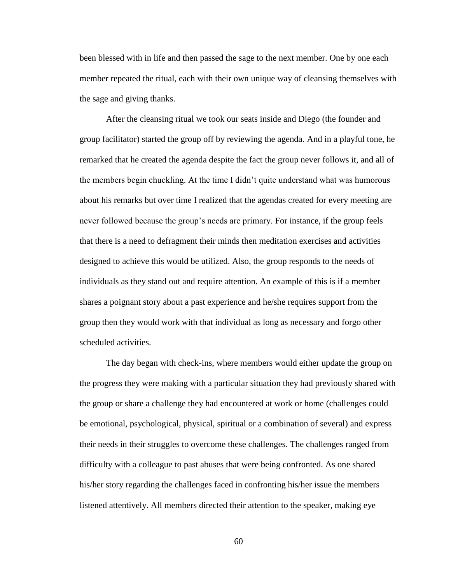been blessed with in life and then passed the sage to the next member. One by one each member repeated the ritual, each with their own unique way of cleansing themselves with the sage and giving thanks.

After the cleansing ritual we took our seats inside and Diego (the founder and group facilitator) started the group off by reviewing the agenda. And in a playful tone, he remarked that he created the agenda despite the fact the group never follows it, and all of the members begin chuckling. At the time I didn't quite understand what was humorous about his remarks but over time I realized that the agendas created for every meeting are never followed because the group's needs are primary. For instance, if the group feels that there is a need to defragment their minds then meditation exercises and activities designed to achieve this would be utilized. Also, the group responds to the needs of individuals as they stand out and require attention. An example of this is if a member shares a poignant story about a past experience and he/she requires support from the group then they would work with that individual as long as necessary and forgo other scheduled activities.

The day began with check-ins, where members would either update the group on the progress they were making with a particular situation they had previously shared with the group or share a challenge they had encountered at work or home (challenges could be emotional, psychological, physical, spiritual or a combination of several) and express their needs in their struggles to overcome these challenges. The challenges ranged from difficulty with a colleague to past abuses that were being confronted. As one shared his/her story regarding the challenges faced in confronting his/her issue the members listened attentively. All members directed their attention to the speaker, making eye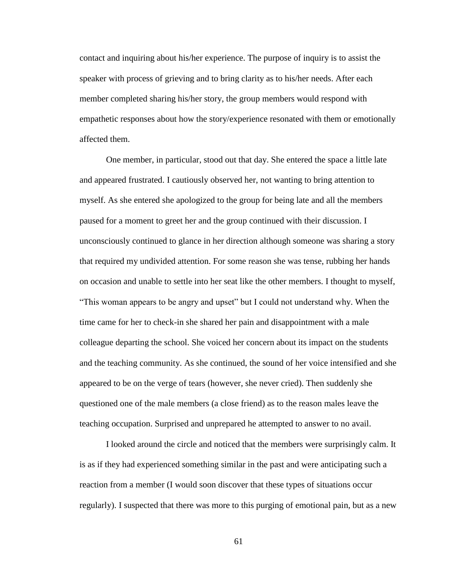contact and inquiring about his/her experience. The purpose of inquiry is to assist the speaker with process of grieving and to bring clarity as to his/her needs. After each member completed sharing his/her story, the group members would respond with empathetic responses about how the story/experience resonated with them or emotionally affected them.

One member, in particular, stood out that day. She entered the space a little late and appeared frustrated. I cautiously observed her, not wanting to bring attention to myself. As she entered she apologized to the group for being late and all the members paused for a moment to greet her and the group continued with their discussion. I unconsciously continued to glance in her direction although someone was sharing a story that required my undivided attention. For some reason she was tense, rubbing her hands on occasion and unable to settle into her seat like the other members. I thought to myself, "This woman appears to be angry and upset" but I could not understand why. When the time came for her to check-in she shared her pain and disappointment with a male colleague departing the school. She voiced her concern about its impact on the students and the teaching community. As she continued, the sound of her voice intensified and she appeared to be on the verge of tears (however, she never cried). Then suddenly she questioned one of the male members (a close friend) as to the reason males leave the teaching occupation. Surprised and unprepared he attempted to answer to no avail.

I looked around the circle and noticed that the members were surprisingly calm. It is as if they had experienced something similar in the past and were anticipating such a reaction from a member (I would soon discover that these types of situations occur regularly). I suspected that there was more to this purging of emotional pain, but as a new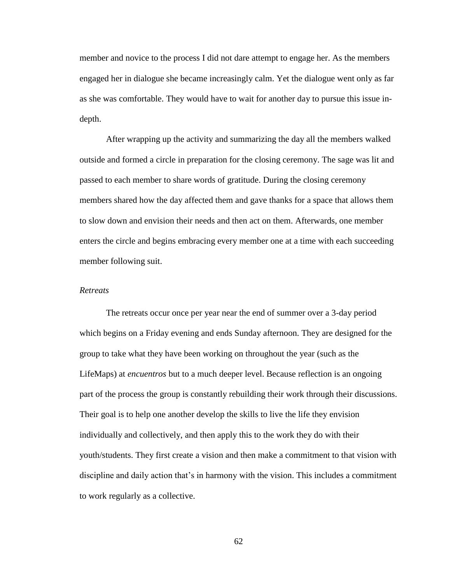member and novice to the process I did not dare attempt to engage her. As the members engaged her in dialogue she became increasingly calm. Yet the dialogue went only as far as she was comfortable. They would have to wait for another day to pursue this issue indepth.

After wrapping up the activity and summarizing the day all the members walked outside and formed a circle in preparation for the closing ceremony. The sage was lit and passed to each member to share words of gratitude. During the closing ceremony members shared how the day affected them and gave thanks for a space that allows them to slow down and envision their needs and then act on them. Afterwards, one member enters the circle and begins embracing every member one at a time with each succeeding member following suit.

### *Retreats*

The retreats occur once per year near the end of summer over a 3-day period which begins on a Friday evening and ends Sunday afternoon. They are designed for the group to take what they have been working on throughout the year (such as the LifeMaps) at *encuentros* but to a much deeper level. Because reflection is an ongoing part of the process the group is constantly rebuilding their work through their discussions. Their goal is to help one another develop the skills to live the life they envision individually and collectively, and then apply this to the work they do with their youth/students. They first create a vision and then make a commitment to that vision with discipline and daily action that's in harmony with the vision. This includes a commitment to work regularly as a collective.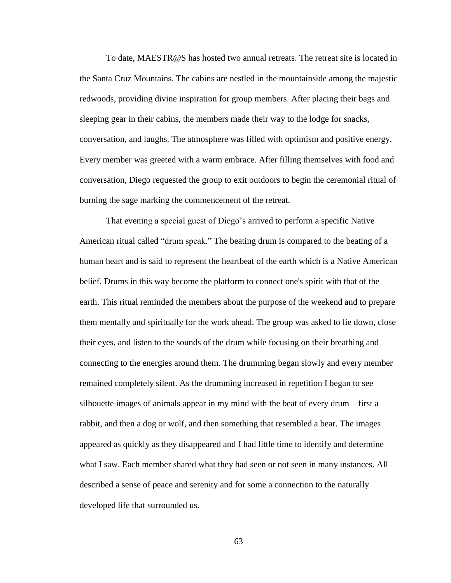To date, MAESTR@S has hosted two annual retreats. The retreat site is located in the Santa Cruz Mountains. The cabins are nestled in the mountainside among the majestic redwoods, providing divine inspiration for group members. After placing their bags and sleeping gear in their cabins, the members made their way to the lodge for snacks, conversation, and laughs. The atmosphere was filled with optimism and positive energy. Every member was greeted with a warm embrace. After filling themselves with food and conversation, Diego requested the group to exit outdoors to begin the ceremonial ritual of burning the sage marking the commencement of the retreat.

That evening a special guest of Diego's arrived to perform a specific Native American ritual called "drum speak." The beating drum is compared to the beating of a human heart and is said to represent the heartbeat of the earth which is a Native American belief. Drums in this way become the platform to connect one's spirit with that of the earth. This ritual reminded the members about the purpose of the weekend and to prepare them mentally and spiritually for the work ahead. The group was asked to lie down, close their eyes, and listen to the sounds of the drum while focusing on their breathing and connecting to the energies around them. The drumming began slowly and every member remained completely silent. As the drumming increased in repetition I began to see silhouette images of animals appear in my mind with the beat of every drum – first a rabbit, and then a dog or wolf, and then something that resembled a bear. The images appeared as quickly as they disappeared and I had little time to identify and determine what I saw. Each member shared what they had seen or not seen in many instances. All described a sense of peace and serenity and for some a connection to the naturally developed life that surrounded us.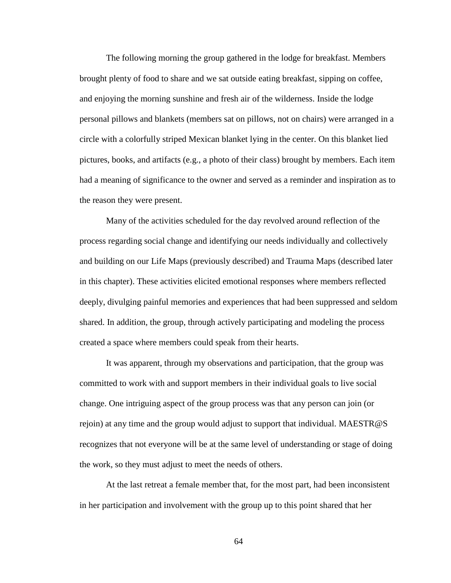The following morning the group gathered in the lodge for breakfast. Members brought plenty of food to share and we sat outside eating breakfast, sipping on coffee, and enjoying the morning sunshine and fresh air of the wilderness. Inside the lodge personal pillows and blankets (members sat on pillows, not on chairs) were arranged in a circle with a colorfully striped Mexican blanket lying in the center. On this blanket lied pictures, books, and artifacts (e.g., a photo of their class) brought by members. Each item had a meaning of significance to the owner and served as a reminder and inspiration as to the reason they were present.

Many of the activities scheduled for the day revolved around reflection of the process regarding social change and identifying our needs individually and collectively and building on our Life Maps (previously described) and Trauma Maps (described later in this chapter). These activities elicited emotional responses where members reflected deeply, divulging painful memories and experiences that had been suppressed and seldom shared. In addition, the group, through actively participating and modeling the process created a space where members could speak from their hearts.

It was apparent, through my observations and participation, that the group was committed to work with and support members in their individual goals to live social change. One intriguing aspect of the group process was that any person can join (or rejoin) at any time and the group would adjust to support that individual. MAESTR@S recognizes that not everyone will be at the same level of understanding or stage of doing the work, so they must adjust to meet the needs of others.

At the last retreat a female member that, for the most part, had been inconsistent in her participation and involvement with the group up to this point shared that her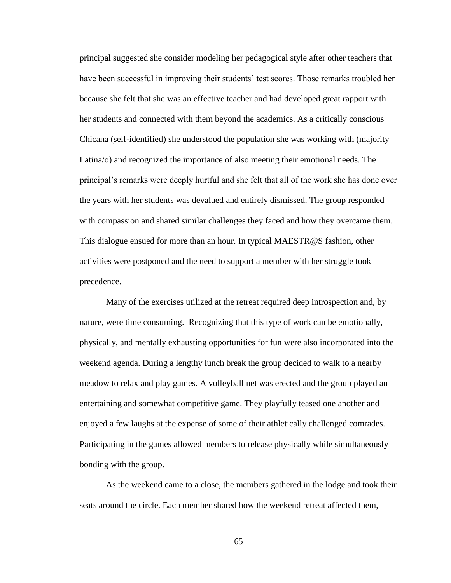principal suggested she consider modeling her pedagogical style after other teachers that have been successful in improving their students' test scores. Those remarks troubled her because she felt that she was an effective teacher and had developed great rapport with her students and connected with them beyond the academics. As a critically conscious Chicana (self-identified) she understood the population she was working with (majority Latina/o) and recognized the importance of also meeting their emotional needs. The principal's remarks were deeply hurtful and she felt that all of the work she has done over the years with her students was devalued and entirely dismissed. The group responded with compassion and shared similar challenges they faced and how they overcame them. This dialogue ensued for more than an hour. In typical MAESTR@S fashion, other activities were postponed and the need to support a member with her struggle took precedence.

Many of the exercises utilized at the retreat required deep introspection and, by nature, were time consuming. Recognizing that this type of work can be emotionally, physically, and mentally exhausting opportunities for fun were also incorporated into the weekend agenda. During a lengthy lunch break the group decided to walk to a nearby meadow to relax and play games. A volleyball net was erected and the group played an entertaining and somewhat competitive game. They playfully teased one another and enjoyed a few laughs at the expense of some of their athletically challenged comrades. Participating in the games allowed members to release physically while simultaneously bonding with the group.

As the weekend came to a close, the members gathered in the lodge and took their seats around the circle. Each member shared how the weekend retreat affected them,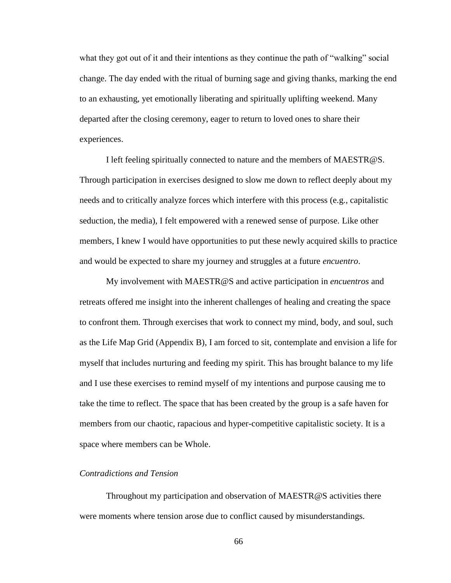what they got out of it and their intentions as they continue the path of "walking" social change. The day ended with the ritual of burning sage and giving thanks, marking the end to an exhausting, yet emotionally liberating and spiritually uplifting weekend. Many departed after the closing ceremony, eager to return to loved ones to share their experiences.

I left feeling spiritually connected to nature and the members of MAESTR@S. Through participation in exercises designed to slow me down to reflect deeply about my needs and to critically analyze forces which interfere with this process (e.g., capitalistic seduction, the media), I felt empowered with a renewed sense of purpose. Like other members, I knew I would have opportunities to put these newly acquired skills to practice and would be expected to share my journey and struggles at a future *encuentro*.

My involvement with MAESTR@S and active participation in *encuentros* and retreats offered me insight into the inherent challenges of healing and creating the space to confront them. Through exercises that work to connect my mind, body, and soul, such as the Life Map Grid (Appendix B), I am forced to sit, contemplate and envision a life for myself that includes nurturing and feeding my spirit. This has brought balance to my life and I use these exercises to remind myself of my intentions and purpose causing me to take the time to reflect. The space that has been created by the group is a safe haven for members from our chaotic, rapacious and hyper-competitive capitalistic society. It is a space where members can be Whole.

# *Contradictions and Tension*

Throughout my participation and observation of MAESTR@S activities there were moments where tension arose due to conflict caused by misunderstandings.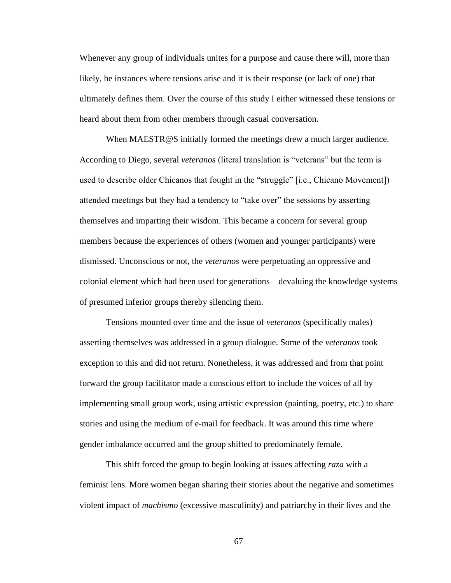Whenever any group of individuals unites for a purpose and cause there will, more than likely, be instances where tensions arise and it is their response (or lack of one) that ultimately defines them. Over the course of this study I either witnessed these tensions or heard about them from other members through casual conversation.

When MAESTR@S initially formed the meetings drew a much larger audience. According to Diego, several *veteranos* (literal translation is "veterans" but the term is used to describe older Chicanos that fought in the "struggle" [i.e., Chicano Movement]) attended meetings but they had a tendency to "take over" the sessions by asserting themselves and imparting their wisdom. This became a concern for several group members because the experiences of others (women and younger participants) were dismissed. Unconscious or not, the *veteranos* were perpetuating an oppressive and colonial element which had been used for generations – devaluing the knowledge systems of presumed inferior groups thereby silencing them.

Tensions mounted over time and the issue of *veteranos* (specifically males) asserting themselves was addressed in a group dialogue. Some of the *veteranos* took exception to this and did not return. Nonetheless, it was addressed and from that point forward the group facilitator made a conscious effort to include the voices of all by implementing small group work, using artistic expression (painting, poetry, etc.) to share stories and using the medium of e-mail for feedback. It was around this time where gender imbalance occurred and the group shifted to predominately female.

This shift forced the group to begin looking at issues affecting *raza* with a feminist lens. More women began sharing their stories about the negative and sometimes violent impact of *machismo* (excessive masculinity) and patriarchy in their lives and the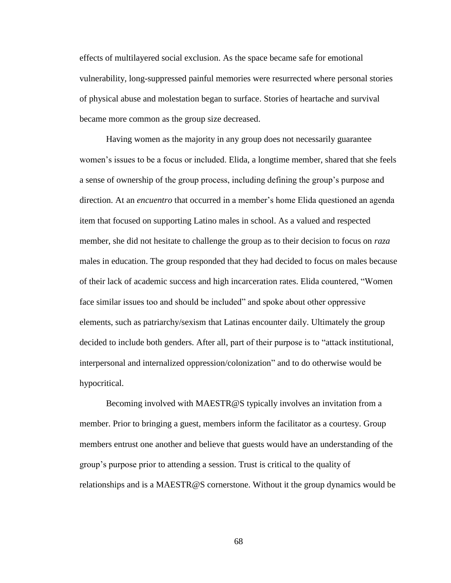effects of multilayered social exclusion. As the space became safe for emotional vulnerability, long-suppressed painful memories were resurrected where personal stories of physical abuse and molestation began to surface. Stories of heartache and survival became more common as the group size decreased.

Having women as the majority in any group does not necessarily guarantee women's issues to be a focus or included. Elida, a longtime member, shared that she feels a sense of ownership of the group process, including defining the group's purpose and direction. At an *encuentro* that occurred in a member's home Elida questioned an agenda item that focused on supporting Latino males in school. As a valued and respected member, she did not hesitate to challenge the group as to their decision to focus on *raza* males in education. The group responded that they had decided to focus on males because of their lack of academic success and high incarceration rates. Elida countered, "Women face similar issues too and should be included" and spoke about other oppressive elements, such as patriarchy/sexism that Latinas encounter daily. Ultimately the group decided to include both genders. After all, part of their purpose is to "attack institutional, interpersonal and internalized oppression/colonization" and to do otherwise would be hypocritical.

Becoming involved with MAESTR@S typically involves an invitation from a member. Prior to bringing a guest, members inform the facilitator as a courtesy. Group members entrust one another and believe that guests would have an understanding of the group's purpose prior to attending a session. Trust is critical to the quality of relationships and is a MAESTR@S cornerstone. Without it the group dynamics would be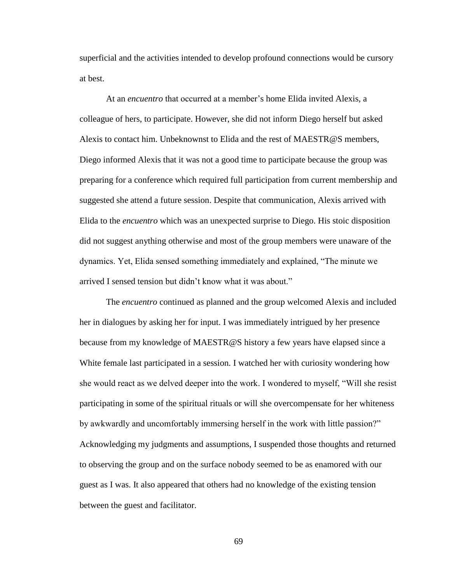superficial and the activities intended to develop profound connections would be cursory at best.

At an *encuentro* that occurred at a member's home Elida invited Alexis, a colleague of hers, to participate. However, she did not inform Diego herself but asked Alexis to contact him. Unbeknownst to Elida and the rest of MAESTR@S members, Diego informed Alexis that it was not a good time to participate because the group was preparing for a conference which required full participation from current membership and suggested she attend a future session. Despite that communication, Alexis arrived with Elida to the *encuentro* which was an unexpected surprise to Diego. His stoic disposition did not suggest anything otherwise and most of the group members were unaware of the dynamics. Yet, Elida sensed something immediately and explained, "The minute we arrived I sensed tension but didn't know what it was about."

The *encuentro* continued as planned and the group welcomed Alexis and included her in dialogues by asking her for input. I was immediately intrigued by her presence because from my knowledge of MAESTR@S history a few years have elapsed since a White female last participated in a session. I watched her with curiosity wondering how she would react as we delved deeper into the work. I wondered to myself, "Will she resist participating in some of the spiritual rituals or will she overcompensate for her whiteness by awkwardly and uncomfortably immersing herself in the work with little passion?" Acknowledging my judgments and assumptions, I suspended those thoughts and returned to observing the group and on the surface nobody seemed to be as enamored with our guest as I was. It also appeared that others had no knowledge of the existing tension between the guest and facilitator.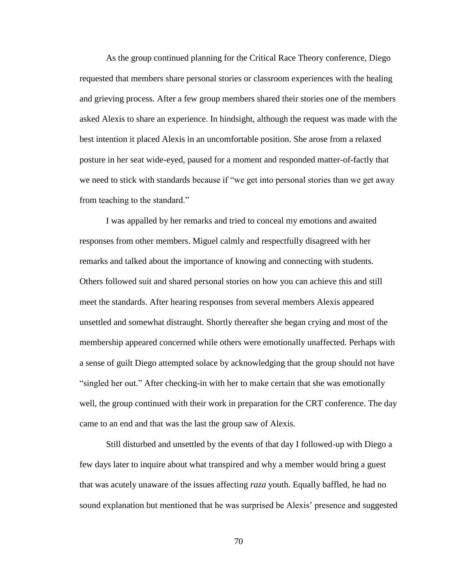As the group continued planning for the Critical Race Theory conference, Diego requested that members share personal stories or classroom experiences with the healing and grieving process. After a few group members shared their stories one of the members asked Alexis to share an experience. In hindsight, although the request was made with the best intention it placed Alexis in an uncomfortable position. She arose from a relaxed posture in her seat wide-eyed, paused for a moment and responded matter-of-factly that we need to stick with standards because if "we get into personal stories than we get away from teaching to the standard."

I was appalled by her remarks and tried to conceal my emotions and awaited responses from other members. Miguel calmly and respectfully disagreed with her remarks and talked about the importance of knowing and connecting with students. Others followed suit and shared personal stories on how you can achieve this and still meet the standards. After hearing responses from several members Alexis appeared unsettled and somewhat distraught. Shortly thereafter she began crying and most of the membership appeared concerned while others were emotionally unaffected. Perhaps with a sense of guilt Diego attempted solace by acknowledging that the group should not have ―singled her out.‖ After checking-in with her to make certain that she was emotionally well, the group continued with their work in preparation for the CRT conference. The day came to an end and that was the last the group saw of Alexis.

Still disturbed and unsettled by the events of that day I followed-up with Diego a few days later to inquire about what transpired and why a member would bring a guest that was acutely unaware of the issues affecting *raza* youth. Equally baffled, he had no sound explanation but mentioned that he was surprised be Alexis' presence and suggested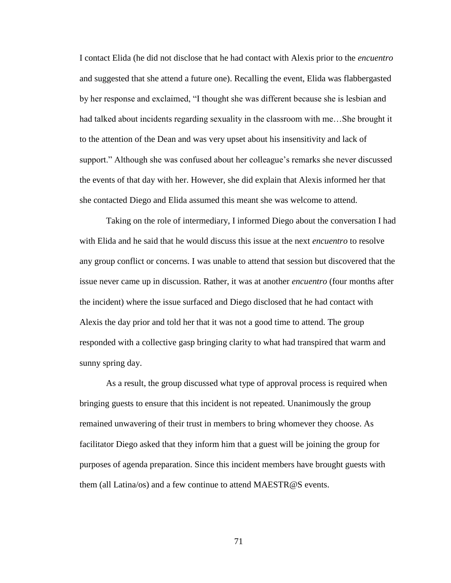I contact Elida (he did not disclose that he had contact with Alexis prior to the *encuentro* and suggested that she attend a future one). Recalling the event, Elida was flabbergasted by her response and exclaimed, "I thought she was different because she is lesbian and had talked about incidents regarding sexuality in the classroom with me…She brought it to the attention of the Dean and was very upset about his insensitivity and lack of support." Although she was confused about her colleague's remarks she never discussed the events of that day with her. However, she did explain that Alexis informed her that she contacted Diego and Elida assumed this meant she was welcome to attend.

Taking on the role of intermediary, I informed Diego about the conversation I had with Elida and he said that he would discuss this issue at the next *encuentro* to resolve any group conflict or concerns. I was unable to attend that session but discovered that the issue never came up in discussion. Rather, it was at another *encuentro* (four months after the incident) where the issue surfaced and Diego disclosed that he had contact with Alexis the day prior and told her that it was not a good time to attend. The group responded with a collective gasp bringing clarity to what had transpired that warm and sunny spring day.

As a result, the group discussed what type of approval process is required when bringing guests to ensure that this incident is not repeated. Unanimously the group remained unwavering of their trust in members to bring whomever they choose. As facilitator Diego asked that they inform him that a guest will be joining the group for purposes of agenda preparation. Since this incident members have brought guests with them (all Latina/os) and a few continue to attend MAESTR@S events.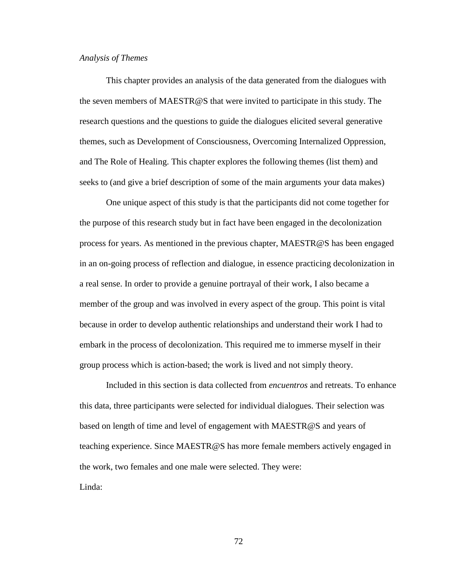## *Analysis of Themes*

This chapter provides an analysis of the data generated from the dialogues with the seven members of MAESTR@S that were invited to participate in this study. The research questions and the questions to guide the dialogues elicited several generative themes, such as Development of Consciousness, Overcoming Internalized Oppression, and The Role of Healing. This chapter explores the following themes (list them) and seeks to (and give a brief description of some of the main arguments your data makes)

One unique aspect of this study is that the participants did not come together for the purpose of this research study but in fact have been engaged in the decolonization process for years. As mentioned in the previous chapter, MAESTR@S has been engaged in an on-going process of reflection and dialogue, in essence practicing decolonization in a real sense. In order to provide a genuine portrayal of their work, I also became a member of the group and was involved in every aspect of the group. This point is vital because in order to develop authentic relationships and understand their work I had to embark in the process of decolonization. This required me to immerse myself in their group process which is action-based; the work is lived and not simply theory.

Included in this section is data collected from *encuentros* and retreats. To enhance this data, three participants were selected for individual dialogues. Their selection was based on length of time and level of engagement with MAESTR@S and years of teaching experience. Since MAESTR@S has more female members actively engaged in the work, two females and one male were selected. They were: Linda: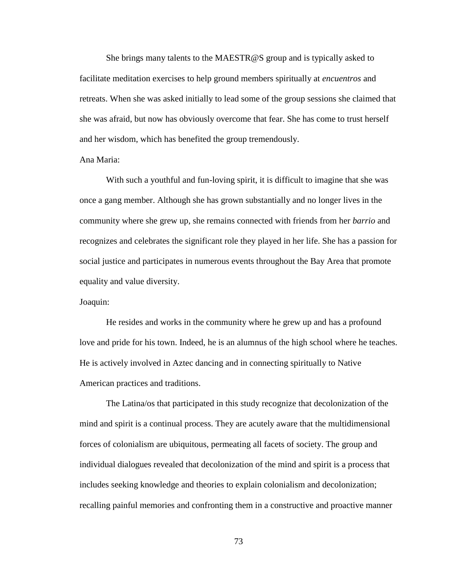She brings many talents to the MAESTR@S group and is typically asked to facilitate meditation exercises to help ground members spiritually at *encuentros* and retreats. When she was asked initially to lead some of the group sessions she claimed that she was afraid, but now has obviously overcome that fear. She has come to trust herself and her wisdom, which has benefited the group tremendously.

## Ana Maria:

With such a youthful and fun-loving spirit, it is difficult to imagine that she was once a gang member. Although she has grown substantially and no longer lives in the community where she grew up, she remains connected with friends from her *barrio* and recognizes and celebrates the significant role they played in her life. She has a passion for social justice and participates in numerous events throughout the Bay Area that promote equality and value diversity.

# Joaquin:

He resides and works in the community where he grew up and has a profound love and pride for his town. Indeed, he is an alumnus of the high school where he teaches. He is actively involved in Aztec dancing and in connecting spiritually to Native American practices and traditions.

The Latina/os that participated in this study recognize that decolonization of the mind and spirit is a continual process. They are acutely aware that the multidimensional forces of colonialism are ubiquitous, permeating all facets of society. The group and individual dialogues revealed that decolonization of the mind and spirit is a process that includes seeking knowledge and theories to explain colonialism and decolonization; recalling painful memories and confronting them in a constructive and proactive manner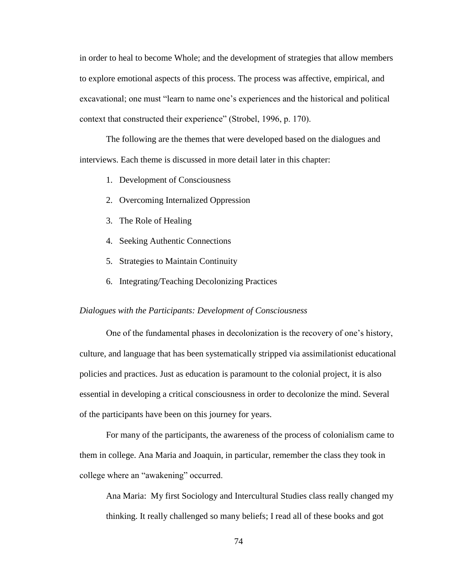in order to heal to become Whole; and the development of strategies that allow members to explore emotional aspects of this process. The process was affective, empirical, and excavational; one must "learn to name one's experiences and the historical and political context that constructed their experience" (Strobel, 1996, p. 170).

The following are the themes that were developed based on the dialogues and interviews. Each theme is discussed in more detail later in this chapter:

- 1. Development of Consciousness
- 2. Overcoming Internalized Oppression
- 3. The Role of Healing
- 4. Seeking Authentic Connections
- 5. Strategies to Maintain Continuity
- 6. Integrating/Teaching Decolonizing Practices

### *Dialogues with the Participants: Development of Consciousness*

One of the fundamental phases in decolonization is the recovery of one's history, culture, and language that has been systematically stripped via assimilationist educational policies and practices. Just as education is paramount to the colonial project, it is also essential in developing a critical consciousness in order to decolonize the mind. Several of the participants have been on this journey for years.

For many of the participants, the awareness of the process of colonialism came to them in college. Ana Maria and Joaquin, in particular, remember the class they took in college where an "awakening" occurred.

Ana Maria: My first Sociology and Intercultural Studies class really changed my thinking. It really challenged so many beliefs; I read all of these books and got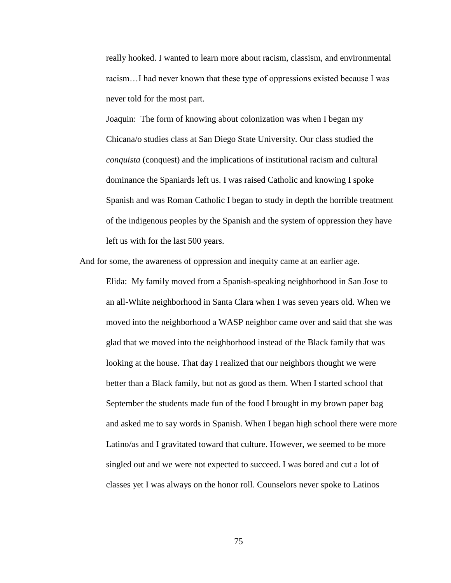really hooked. I wanted to learn more about racism, classism, and environmental racism…I had never known that these type of oppressions existed because I was never told for the most part.

Joaquin: The form of knowing about colonization was when I began my Chicana/o studies class at San Diego State University. Our class studied the *conquista* (conquest) and the implications of institutional racism and cultural dominance the Spaniards left us. I was raised Catholic and knowing I spoke Spanish and was Roman Catholic I began to study in depth the horrible treatment of the indigenous peoples by the Spanish and the system of oppression they have left us with for the last 500 years.

And for some, the awareness of oppression and inequity came at an earlier age.

Elida: My family moved from a Spanish-speaking neighborhood in San Jose to an all-White neighborhood in Santa Clara when I was seven years old. When we moved into the neighborhood a WASP neighbor came over and said that she was glad that we moved into the neighborhood instead of the Black family that was looking at the house. That day I realized that our neighbors thought we were better than a Black family, but not as good as them. When I started school that September the students made fun of the food I brought in my brown paper bag and asked me to say words in Spanish. When I began high school there were more Latino/as and I gravitated toward that culture. However, we seemed to be more singled out and we were not expected to succeed. I was bored and cut a lot of classes yet I was always on the honor roll. Counselors never spoke to Latinos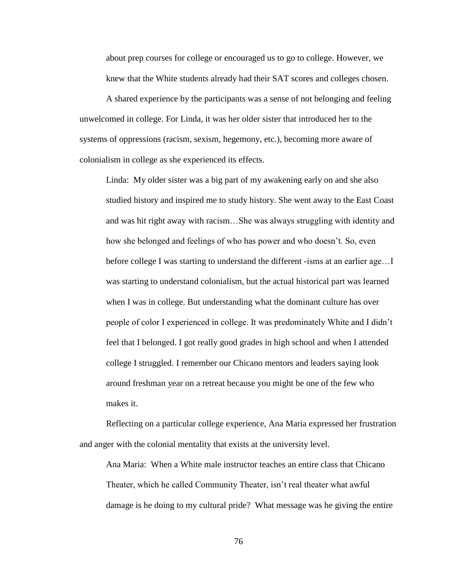about prep courses for college or encouraged us to go to college. However, we knew that the White students already had their SAT scores and colleges chosen.

A shared experience by the participants was a sense of not belonging and feeling unwelcomed in college. For Linda, it was her older sister that introduced her to the systems of oppressions (racism, sexism, hegemony, etc.), becoming more aware of colonialism in college as she experienced its effects.

Linda: My older sister was a big part of my awakening early on and she also studied history and inspired me to study history. She went away to the East Coast and was hit right away with racism…She was always struggling with identity and how she belonged and feelings of who has power and who doesn't. So, even before college I was starting to understand the different -isms at an earlier age…I was starting to understand colonialism, but the actual historical part was learned when I was in college. But understanding what the dominant culture has over people of color I experienced in college. It was predominately White and I didn't feel that I belonged. I got really good grades in high school and when I attended college I struggled. I remember our Chicano mentors and leaders saying look around freshman year on a retreat because you might be one of the few who makes it.

Reflecting on a particular college experience, Ana Maria expressed her frustration and anger with the colonial mentality that exists at the university level.

Ana Maria: When a White male instructor teaches an entire class that Chicano Theater, which he called Community Theater, isn't real theater what awful damage is he doing to my cultural pride? What message was he giving the entire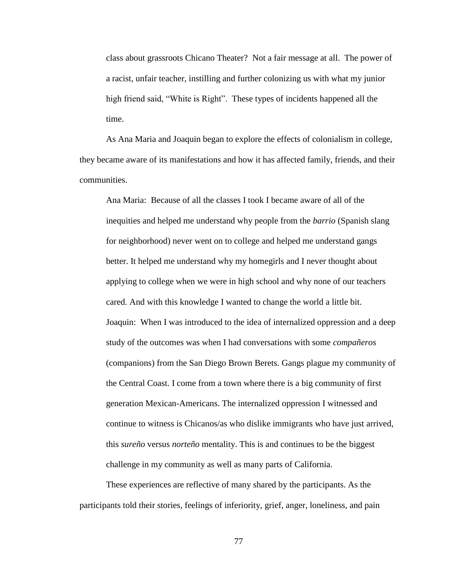class about grassroots Chicano Theater? Not a fair message at all. The power of a racist, unfair teacher, instilling and further colonizing us with what my junior high friend said, "White is Right". These types of incidents happened all the time.

As Ana Maria and Joaquin began to explore the effects of colonialism in college, they became aware of its manifestations and how it has affected family, friends, and their communities.

Ana Maria: Because of all the classes I took I became aware of all of the inequities and helped me understand why people from the *barrio* (Spanish slang for neighborhood) never went on to college and helped me understand gangs better. It helped me understand why my homegirls and I never thought about applying to college when we were in high school and why none of our teachers cared. And with this knowledge I wanted to change the world a little bit. Joaquin: When I was introduced to the idea of internalized oppression and a deep study of the outcomes was when I had conversations with some *compañeros* (companions) from the San Diego Brown Berets. Gangs plague my community of the Central Coast. I come from a town where there is a big community of first generation Mexican-Americans. The internalized oppression I witnessed and continue to witness is Chicanos/as who dislike immigrants who have just arrived, this *sureño* versus *norteño* mentality. This is and continues to be the biggest challenge in my community as well as many parts of California.

These experiences are reflective of many shared by the participants. As the participants told their stories, feelings of inferiority, grief, anger, loneliness, and pain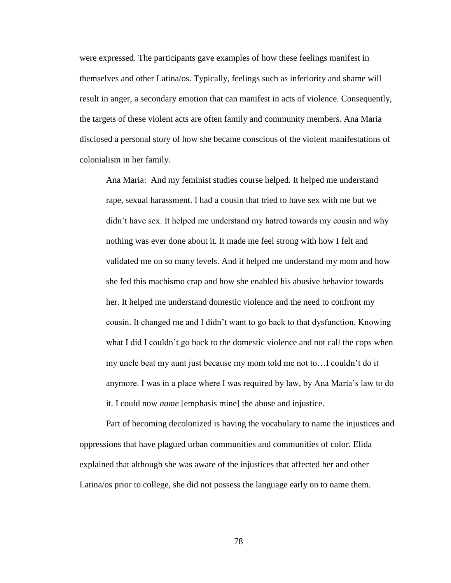were expressed. The participants gave examples of how these feelings manifest in themselves and other Latina/os. Typically, feelings such as inferiority and shame will result in anger, a secondary emotion that can manifest in acts of violence. Consequently, the targets of these violent acts are often family and community members. Ana Maria disclosed a personal story of how she became conscious of the violent manifestations of colonialism in her family.

Ana Maria: And my feminist studies course helped. It helped me understand rape, sexual harassment. I had a cousin that tried to have sex with me but we didn't have sex. It helped me understand my hatred towards my cousin and why nothing was ever done about it. It made me feel strong with how I felt and validated me on so many levels. And it helped me understand my mom and how she fed this machismo crap and how she enabled his abusive behavior towards her. It helped me understand domestic violence and the need to confront my cousin. It changed me and I didn't want to go back to that dysfunction. Knowing what I did I couldn't go back to the domestic violence and not call the cops when my uncle beat my aunt just because my mom told me not to…I couldn't do it anymore. I was in a place where I was required by law, by Ana Maria's law to do it. I could now *name* [emphasis mine] the abuse and injustice.

Part of becoming decolonized is having the vocabulary to name the injustices and oppressions that have plagued urban communities and communities of color. Elida explained that although she was aware of the injustices that affected her and other Latina/os prior to college, she did not possess the language early on to name them.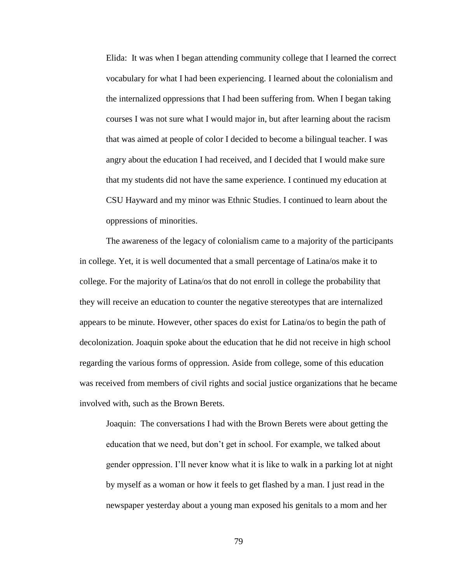Elida: It was when I began attending community college that I learned the correct vocabulary for what I had been experiencing. I learned about the colonialism and the internalized oppressions that I had been suffering from. When I began taking courses I was not sure what I would major in, but after learning about the racism that was aimed at people of color I decided to become a bilingual teacher. I was angry about the education I had received, and I decided that I would make sure that my students did not have the same experience. I continued my education at CSU Hayward and my minor was Ethnic Studies. I continued to learn about the oppressions of minorities.

The awareness of the legacy of colonialism came to a majority of the participants in college. Yet, it is well documented that a small percentage of Latina/os make it to college. For the majority of Latina/os that do not enroll in college the probability that they will receive an education to counter the negative stereotypes that are internalized appears to be minute. However, other spaces do exist for Latina/os to begin the path of decolonization. Joaquin spoke about the education that he did not receive in high school regarding the various forms of oppression. Aside from college, some of this education was received from members of civil rights and social justice organizations that he became involved with, such as the Brown Berets.

Joaquin: The conversations I had with the Brown Berets were about getting the education that we need, but don't get in school. For example, we talked about gender oppression. I'll never know what it is like to walk in a parking lot at night by myself as a woman or how it feels to get flashed by a man. I just read in the newspaper yesterday about a young man exposed his genitals to a mom and her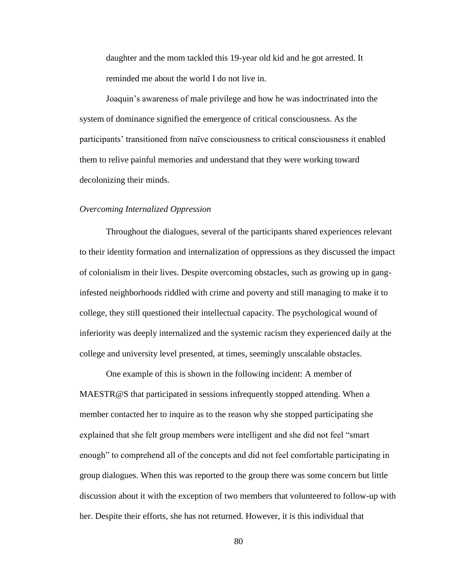daughter and the mom tackled this 19-year old kid and he got arrested. It reminded me about the world I do not live in.

Joaquin's awareness of male privilege and how he was indoctrinated into the system of dominance signified the emergence of critical consciousness. As the participants' transitioned from naïve consciousness to critical consciousness it enabled them to relive painful memories and understand that they were working toward decolonizing their minds.

### *Overcoming Internalized Oppression*

Throughout the dialogues, several of the participants shared experiences relevant to their identity formation and internalization of oppressions as they discussed the impact of colonialism in their lives. Despite overcoming obstacles, such as growing up in ganginfested neighborhoods riddled with crime and poverty and still managing to make it to college, they still questioned their intellectual capacity. The psychological wound of inferiority was deeply internalized and the systemic racism they experienced daily at the college and university level presented, at times, seemingly unscalable obstacles.

One example of this is shown in the following incident: A member of MAESTR@S that participated in sessions infrequently stopped attending. When a member contacted her to inquire as to the reason why she stopped participating she explained that she felt group members were intelligent and she did not feel "smart" enough" to comprehend all of the concepts and did not feel comfortable participating in group dialogues. When this was reported to the group there was some concern but little discussion about it with the exception of two members that volunteered to follow-up with her. Despite their efforts, she has not returned. However, it is this individual that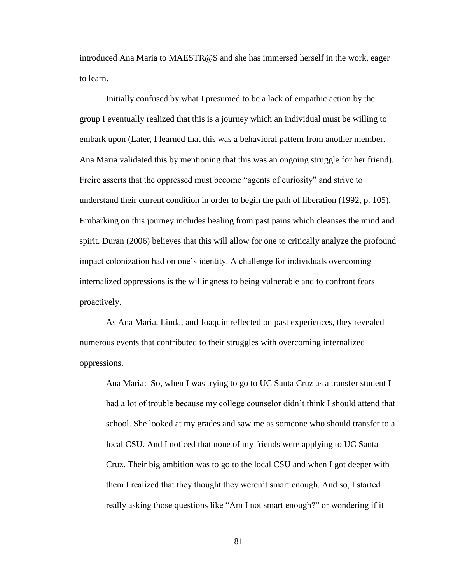introduced Ana Maria to MAESTR@S and she has immersed herself in the work, eager to learn.

Initially confused by what I presumed to be a lack of empathic action by the group I eventually realized that this is a journey which an individual must be willing to embark upon (Later, I learned that this was a behavioral pattern from another member. Ana Maria validated this by mentioning that this was an ongoing struggle for her friend). Freire asserts that the oppressed must become "agents of curiosity" and strive to understand their current condition in order to begin the path of liberation (1992, p. 105). Embarking on this journey includes healing from past pains which cleanses the mind and spirit. Duran (2006) believes that this will allow for one to critically analyze the profound impact colonization had on one's identity. A challenge for individuals overcoming internalized oppressions is the willingness to being vulnerable and to confront fears proactively.

As Ana Maria, Linda, and Joaquin reflected on past experiences, they revealed numerous events that contributed to their struggles with overcoming internalized oppressions.

Ana Maria: So, when I was trying to go to UC Santa Cruz as a transfer student I had a lot of trouble because my college counselor didn't think I should attend that school. She looked at my grades and saw me as someone who should transfer to a local CSU. And I noticed that none of my friends were applying to UC Santa Cruz. Their big ambition was to go to the local CSU and when I got deeper with them I realized that they thought they weren't smart enough. And so, I started really asking those questions like "Am I not smart enough?" or wondering if it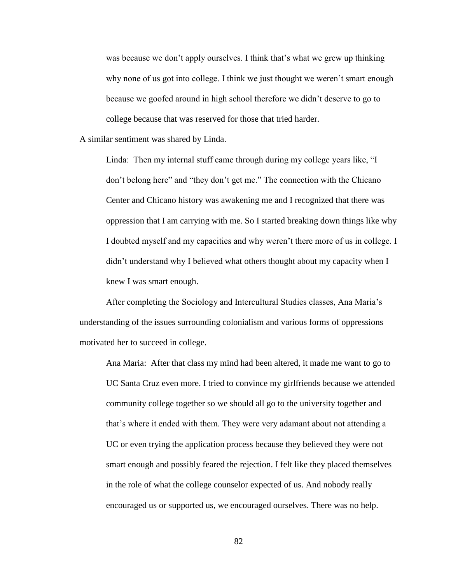was because we don't apply ourselves. I think that's what we grew up thinking why none of us got into college. I think we just thought we weren't smart enough because we goofed around in high school therefore we didn't deserve to go to college because that was reserved for those that tried harder.

A similar sentiment was shared by Linda.

Linda: Then my internal stuff came through during my college years like, "I don't belong here" and "they don't get me." The connection with the Chicano Center and Chicano history was awakening me and I recognized that there was oppression that I am carrying with me. So I started breaking down things like why I doubted myself and my capacities and why weren't there more of us in college. I didn't understand why I believed what others thought about my capacity when I knew I was smart enough.

After completing the Sociology and Intercultural Studies classes, Ana Maria's understanding of the issues surrounding colonialism and various forms of oppressions motivated her to succeed in college.

Ana Maria: After that class my mind had been altered, it made me want to go to UC Santa Cruz even more. I tried to convince my girlfriends because we attended community college together so we should all go to the university together and that's where it ended with them. They were very adamant about not attending a UC or even trying the application process because they believed they were not smart enough and possibly feared the rejection. I felt like they placed themselves in the role of what the college counselor expected of us. And nobody really encouraged us or supported us, we encouraged ourselves. There was no help.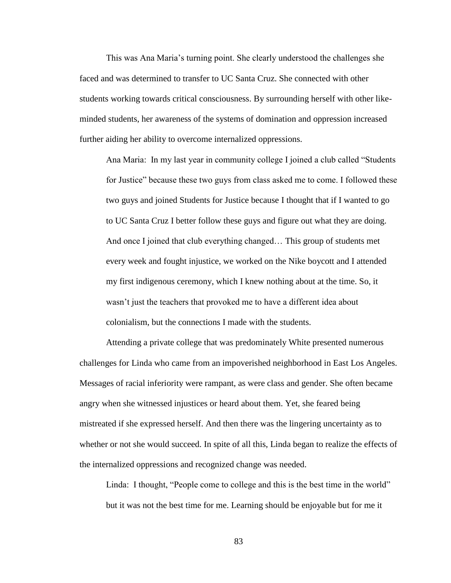This was Ana Maria's turning point. She clearly understood the challenges she faced and was determined to transfer to UC Santa Cruz. She connected with other students working towards critical consciousness. By surrounding herself with other likeminded students, her awareness of the systems of domination and oppression increased further aiding her ability to overcome internalized oppressions.

Ana Maria: In my last year in community college I joined a club called "Students" for Justice" because these two guys from class asked me to come. I followed these two guys and joined Students for Justice because I thought that if I wanted to go to UC Santa Cruz I better follow these guys and figure out what they are doing. And once I joined that club everything changed… This group of students met every week and fought injustice, we worked on the Nike boycott and I attended my first indigenous ceremony, which I knew nothing about at the time. So, it wasn't just the teachers that provoked me to have a different idea about colonialism, but the connections I made with the students.

Attending a private college that was predominately White presented numerous challenges for Linda who came from an impoverished neighborhood in East Los Angeles. Messages of racial inferiority were rampant, as were class and gender. She often became angry when she witnessed injustices or heard about them. Yet, she feared being mistreated if she expressed herself. And then there was the lingering uncertainty as to whether or not she would succeed. In spite of all this, Linda began to realize the effects of the internalized oppressions and recognized change was needed.

Linda: I thought, "People come to college and this is the best time in the world" but it was not the best time for me. Learning should be enjoyable but for me it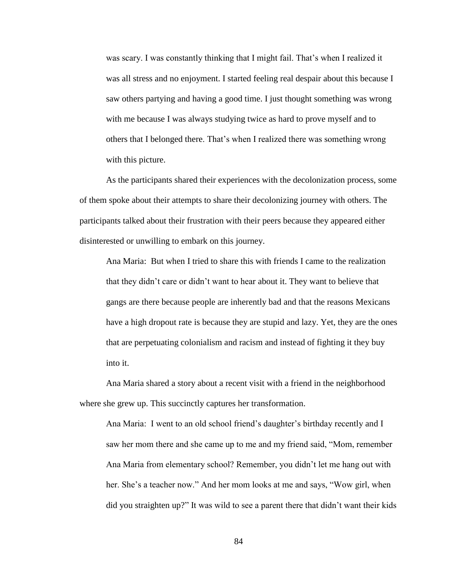was scary. I was constantly thinking that I might fail. That's when I realized it was all stress and no enjoyment. I started feeling real despair about this because I saw others partying and having a good time. I just thought something was wrong with me because I was always studying twice as hard to prove myself and to others that I belonged there. That's when I realized there was something wrong with this picture.

As the participants shared their experiences with the decolonization process, some of them spoke about their attempts to share their decolonizing journey with others. The participants talked about their frustration with their peers because they appeared either disinterested or unwilling to embark on this journey.

Ana Maria: But when I tried to share this with friends I came to the realization that they didn't care or didn't want to hear about it. They want to believe that gangs are there because people are inherently bad and that the reasons Mexicans have a high dropout rate is because they are stupid and lazy. Yet, they are the ones that are perpetuating colonialism and racism and instead of fighting it they buy into it.

Ana Maria shared a story about a recent visit with a friend in the neighborhood where she grew up. This succinctly captures her transformation.

Ana Maria: I went to an old school friend's daughter's birthday recently and I saw her mom there and she came up to me and my friend said, "Mom, remember Ana Maria from elementary school? Remember, you didn't let me hang out with her. She's a teacher now." And her mom looks at me and says, "Wow girl, when did you straighten up?" It was wild to see a parent there that didn't want their kids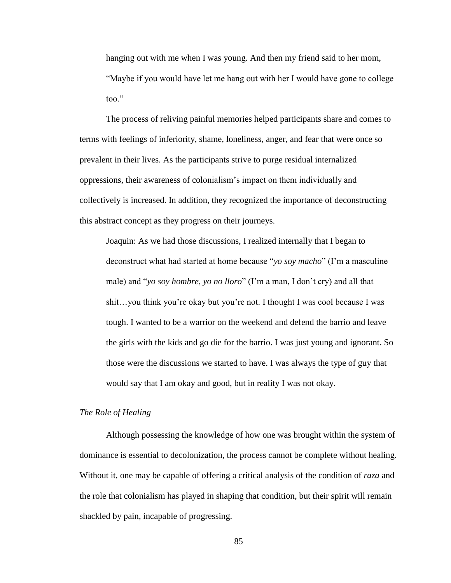hanging out with me when I was young. And then my friend said to her mom, "Maybe if you would have let me hang out with her I would have gone to college too."

The process of reliving painful memories helped participants share and comes to terms with feelings of inferiority, shame, loneliness, anger, and fear that were once so prevalent in their lives. As the participants strive to purge residual internalized oppressions, their awareness of colonialism's impact on them individually and collectively is increased. In addition, they recognized the importance of deconstructing this abstract concept as they progress on their journeys.

Joaquin: As we had those discussions, I realized internally that I began to deconstruct what had started at home because "yo soy macho" (I'm a masculine male) and "*yo soy hombre, yo no lloro*" (I'm a man, I don't cry) and all that shit…you think you're okay but you're not. I thought I was cool because I was tough. I wanted to be a warrior on the weekend and defend the barrio and leave the girls with the kids and go die for the barrio. I was just young and ignorant. So those were the discussions we started to have. I was always the type of guy that would say that I am okay and good, but in reality I was not okay.

### *The Role of Healing*

Although possessing the knowledge of how one was brought within the system of dominance is essential to decolonization, the process cannot be complete without healing. Without it, one may be capable of offering a critical analysis of the condition of *raza* and the role that colonialism has played in shaping that condition, but their spirit will remain shackled by pain, incapable of progressing.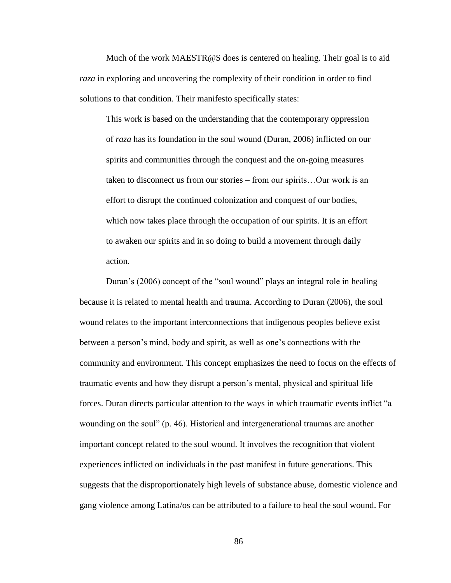Much of the work MAESTR@S does is centered on healing. Their goal is to aid *raza* in exploring and uncovering the complexity of their condition in order to find solutions to that condition. Their manifesto specifically states:

This work is based on the understanding that the contemporary oppression of *raza* has its foundation in the soul wound (Duran, 2006) inflicted on our spirits and communities through the conquest and the on-going measures taken to disconnect us from our stories – from our spirits…Our work is an effort to disrupt the continued colonization and conquest of our bodies, which now takes place through the occupation of our spirits. It is an effort to awaken our spirits and in so doing to build a movement through daily action.

Duran's (2006) concept of the "soul wound" plays an integral role in healing because it is related to mental health and trauma. According to Duran (2006), the soul wound relates to the important interconnections that indigenous peoples believe exist between a person's mind, body and spirit, as well as one's connections with the community and environment. This concept emphasizes the need to focus on the effects of traumatic events and how they disrupt a person's mental, physical and spiritual life forces. Duran directs particular attention to the ways in which traumatic events inflict "a wounding on the soul"  $(p. 46)$ . Historical and intergenerational traumas are another important concept related to the soul wound. It involves the recognition that violent experiences inflicted on individuals in the past manifest in future generations. This suggests that the disproportionately high levels of substance abuse, domestic violence and gang violence among Latina/os can be attributed to a failure to heal the soul wound. For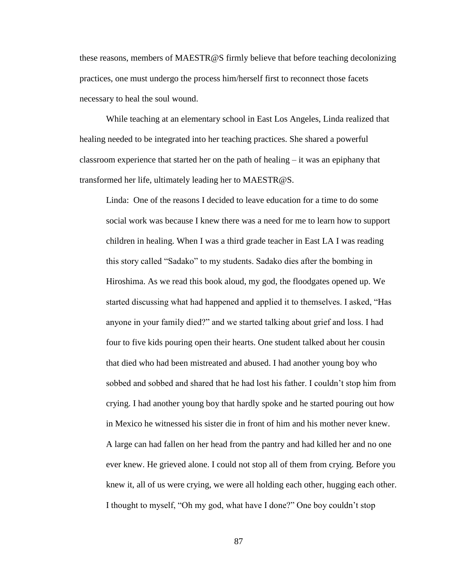these reasons, members of MAESTR@S firmly believe that before teaching decolonizing practices, one must undergo the process him/herself first to reconnect those facets necessary to heal the soul wound.

While teaching at an elementary school in East Los Angeles, Linda realized that healing needed to be integrated into her teaching practices. She shared a powerful classroom experience that started her on the path of healing – it was an epiphany that transformed her life, ultimately leading her to MAESTR@S.

Linda: One of the reasons I decided to leave education for a time to do some social work was because I knew there was a need for me to learn how to support children in healing. When I was a third grade teacher in East LA I was reading this story called "Sadako" to my students. Sadako dies after the bombing in Hiroshima. As we read this book aloud, my god, the floodgates opened up. We started discussing what had happened and applied it to themselves. I asked, "Has anyone in your family died?" and we started talking about grief and loss. I had four to five kids pouring open their hearts. One student talked about her cousin that died who had been mistreated and abused. I had another young boy who sobbed and sobbed and shared that he had lost his father. I couldn't stop him from crying. I had another young boy that hardly spoke and he started pouring out how in Mexico he witnessed his sister die in front of him and his mother never knew. A large can had fallen on her head from the pantry and had killed her and no one ever knew. He grieved alone. I could not stop all of them from crying. Before you knew it, all of us were crying, we were all holding each other, hugging each other. I thought to myself, "Oh my god, what have I done?" One boy couldn't stop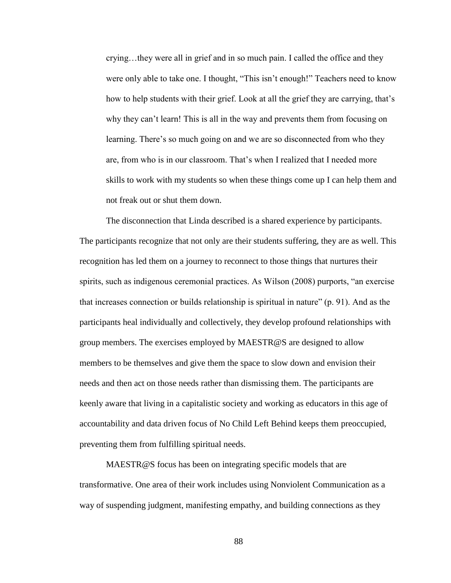crying…they were all in grief and in so much pain. I called the office and they were only able to take one. I thought, "This isn't enough!" Teachers need to know how to help students with their grief. Look at all the grief they are carrying, that's why they can't learn! This is all in the way and prevents them from focusing on learning. There's so much going on and we are so disconnected from who they are, from who is in our classroom. That's when I realized that I needed more skills to work with my students so when these things come up I can help them and not freak out or shut them down.

The disconnection that Linda described is a shared experience by participants. The participants recognize that not only are their students suffering, they are as well. This recognition has led them on a journey to reconnect to those things that nurtures their spirits, such as indigenous ceremonial practices. As Wilson (2008) purports, "an exercise that increases connection or builds relationship is spiritual in nature"  $(p. 91)$ . And as the participants heal individually and collectively, they develop profound relationships with group members. The exercises employed by MAESTR@S are designed to allow members to be themselves and give them the space to slow down and envision their needs and then act on those needs rather than dismissing them. The participants are keenly aware that living in a capitalistic society and working as educators in this age of accountability and data driven focus of No Child Left Behind keeps them preoccupied, preventing them from fulfilling spiritual needs.

MAESTR@S focus has been on integrating specific models that are transformative. One area of their work includes using Nonviolent Communication as a way of suspending judgment, manifesting empathy, and building connections as they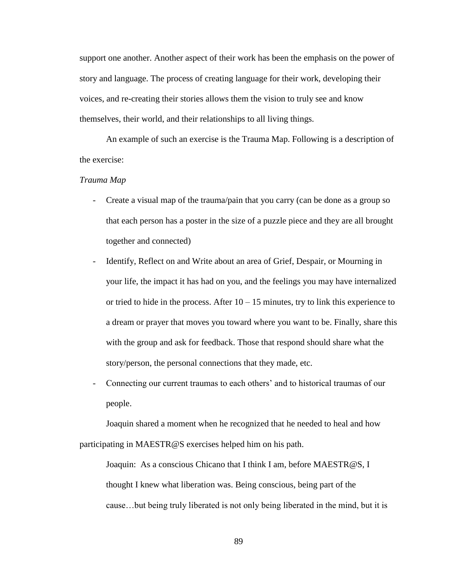support one another. Another aspect of their work has been the emphasis on the power of story and language. The process of creating language for their work, developing their voices, and re-creating their stories allows them the vision to truly see and know themselves, their world, and their relationships to all living things.

An example of such an exercise is the Trauma Map. Following is a description of the exercise:

# *Trauma Map*

- Create a visual map of the trauma/pain that you carry (can be done as a group so that each person has a poster in the size of a puzzle piece and they are all brought together and connected)
- Identify, Reflect on and Write about an area of Grief, Despair, or Mourning in your life, the impact it has had on you, and the feelings you may have internalized or tried to hide in the process. After  $10 - 15$  minutes, try to link this experience to a dream or prayer that moves you toward where you want to be. Finally, share this with the group and ask for feedback. Those that respond should share what the story/person, the personal connections that they made, etc.
- Connecting our current traumas to each others' and to historical traumas of our people.

Joaquin shared a moment when he recognized that he needed to heal and how participating in MAESTR@S exercises helped him on his path.

Joaquin: As a conscious Chicano that I think I am, before MAESTR@S, I thought I knew what liberation was. Being conscious, being part of the cause…but being truly liberated is not only being liberated in the mind, but it is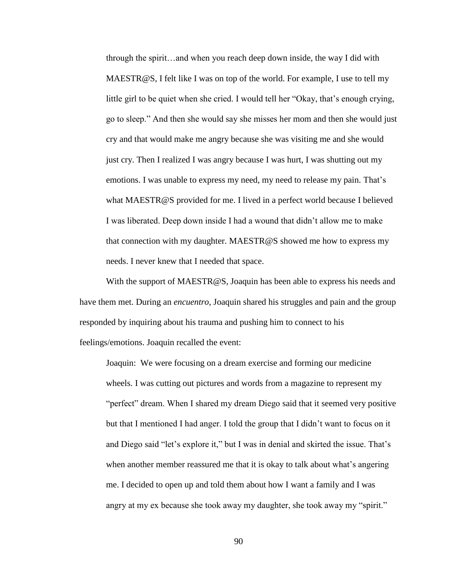through the spirit…and when you reach deep down inside, the way I did with MAESTR@S, I felt like I was on top of the world. For example, I use to tell my little girl to be quiet when she cried. I would tell her "Okay, that's enough crying, go to sleep.‖ And then she would say she misses her mom and then she would just cry and that would make me angry because she was visiting me and she would just cry. Then I realized I was angry because I was hurt, I was shutting out my emotions. I was unable to express my need, my need to release my pain. That's what MAESTR@S provided for me. I lived in a perfect world because I believed I was liberated. Deep down inside I had a wound that didn't allow me to make that connection with my daughter. MAESTR@S showed me how to express my needs. I never knew that I needed that space.

With the support of MAESTR@S, Joaquin has been able to express his needs and have them met. During an *encuentro*, Joaquin shared his struggles and pain and the group responded by inquiring about his trauma and pushing him to connect to his feelings/emotions. Joaquin recalled the event:

Joaquin: We were focusing on a dream exercise and forming our medicine wheels. I was cutting out pictures and words from a magazine to represent my "perfect" dream. When I shared my dream Diego said that it seemed very positive but that I mentioned I had anger. I told the group that I didn't want to focus on it and Diego said "let's explore it," but I was in denial and skirted the issue. That's when another member reassured me that it is okay to talk about what's angering me. I decided to open up and told them about how I want a family and I was angry at my ex because she took away my daughter, she took away my "spirit."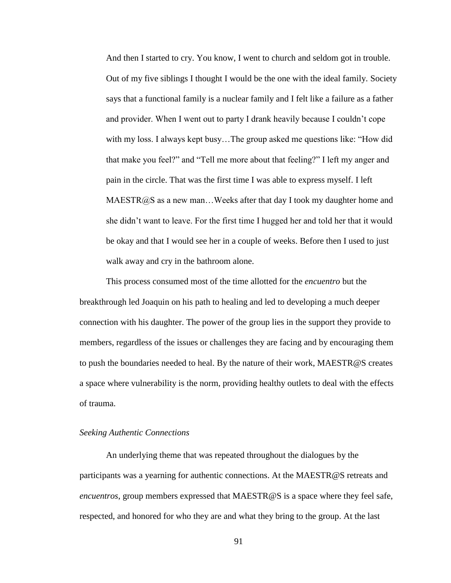And then I started to cry. You know, I went to church and seldom got in trouble. Out of my five siblings I thought I would be the one with the ideal family. Society says that a functional family is a nuclear family and I felt like a failure as a father and provider. When I went out to party I drank heavily because I couldn't cope with my loss. I always kept busy...The group asked me questions like: "How did" that make you feel?" and "Tell me more about that feeling?" I left my anger and pain in the circle. That was the first time I was able to express myself. I left  $MAESTR@S$  as a new man...Weeks after that day I took my daughter home and she didn't want to leave. For the first time I hugged her and told her that it would be okay and that I would see her in a couple of weeks. Before then I used to just walk away and cry in the bathroom alone.

This process consumed most of the time allotted for the *encuentro* but the breakthrough led Joaquin on his path to healing and led to developing a much deeper connection with his daughter. The power of the group lies in the support they provide to members, regardless of the issues or challenges they are facing and by encouraging them to push the boundaries needed to heal. By the nature of their work, MAESTR@S creates a space where vulnerability is the norm, providing healthy outlets to deal with the effects of trauma.

# *Seeking Authentic Connections*

An underlying theme that was repeated throughout the dialogues by the participants was a yearning for authentic connections. At the MAESTR@S retreats and *encuentros*, group members expressed that MAESTR@S is a space where they feel safe, respected, and honored for who they are and what they bring to the group. At the last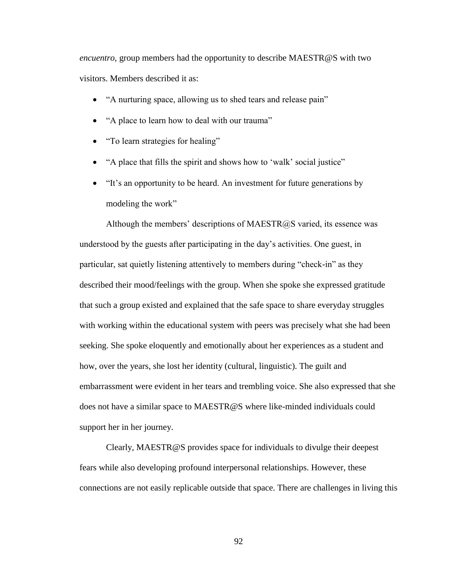*encuentro,* group members had the opportunity to describe MAESTR@S with two visitors. Members described it as:

- "A nurturing space, allowing us to shed tears and release pain"
- "A place to learn how to deal with our trauma"
- "To learn strategies for healing"
- "A place that fills the spirit and shows how to 'walk' social justice"
- "It's an opportunity to be heard. An investment for future generations by modeling the work"

Although the members' descriptions of MAESTR $@S$  varied, its essence was understood by the guests after participating in the day's activities. One guest, in particular, sat quietly listening attentively to members during "check-in" as they described their mood/feelings with the group. When she spoke she expressed gratitude that such a group existed and explained that the safe space to share everyday struggles with working within the educational system with peers was precisely what she had been seeking. She spoke eloquently and emotionally about her experiences as a student and how, over the years, she lost her identity (cultural, linguistic). The guilt and embarrassment were evident in her tears and trembling voice. She also expressed that she does not have a similar space to MAESTR@S where like-minded individuals could support her in her journey.

Clearly, MAESTR@S provides space for individuals to divulge their deepest fears while also developing profound interpersonal relationships. However, these connections are not easily replicable outside that space. There are challenges in living this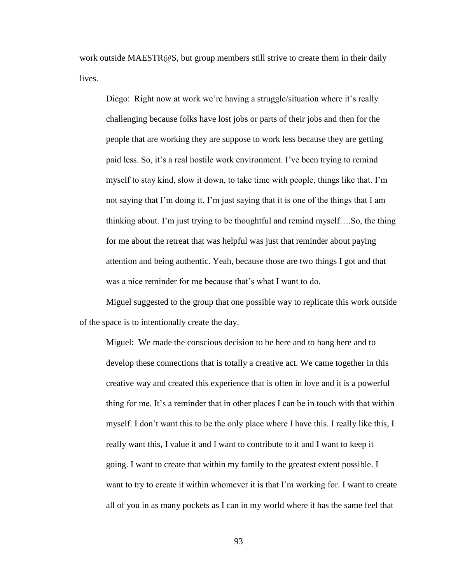work outside MAESTR@S, but group members still strive to create them in their daily lives.

Diego: Right now at work we're having a struggle/situation where it's really challenging because folks have lost jobs or parts of their jobs and then for the people that are working they are suppose to work less because they are getting paid less. So, it's a real hostile work environment. I've been trying to remind myself to stay kind, slow it down, to take time with people, things like that. I'm not saying that I'm doing it, I'm just saying that it is one of the things that I am thinking about. I'm just trying to be thoughtful and remind myself….So, the thing for me about the retreat that was helpful was just that reminder about paying attention and being authentic. Yeah, because those are two things I got and that was a nice reminder for me because that's what I want to do.

Miguel suggested to the group that one possible way to replicate this work outside of the space is to intentionally create the day.

Miguel: We made the conscious decision to be here and to hang here and to develop these connections that is totally a creative act. We came together in this creative way and created this experience that is often in love and it is a powerful thing for me. It's a reminder that in other places I can be in touch with that within myself. I don't want this to be the only place where I have this. I really like this, I really want this, I value it and I want to contribute to it and I want to keep it going. I want to create that within my family to the greatest extent possible. I want to try to create it within whomever it is that I'm working for. I want to create all of you in as many pockets as I can in my world where it has the same feel that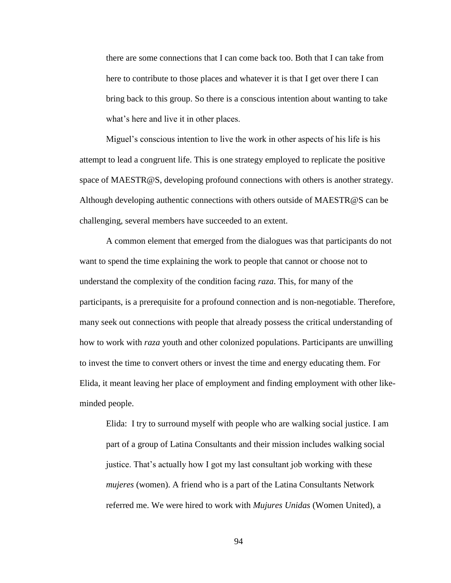there are some connections that I can come back too. Both that I can take from here to contribute to those places and whatever it is that I get over there I can bring back to this group. So there is a conscious intention about wanting to take what's here and live it in other places.

Miguel's conscious intention to live the work in other aspects of his life is his attempt to lead a congruent life. This is one strategy employed to replicate the positive space of MAESTR@S, developing profound connections with others is another strategy. Although developing authentic connections with others outside of MAESTR@S can be challenging, several members have succeeded to an extent.

A common element that emerged from the dialogues was that participants do not want to spend the time explaining the work to people that cannot or choose not to understand the complexity of the condition facing *raza*. This, for many of the participants, is a prerequisite for a profound connection and is non-negotiable. Therefore, many seek out connections with people that already possess the critical understanding of how to work with *raza* youth and other colonized populations. Participants are unwilling to invest the time to convert others or invest the time and energy educating them. For Elida, it meant leaving her place of employment and finding employment with other likeminded people.

Elida: I try to surround myself with people who are walking social justice. I am part of a group of Latina Consultants and their mission includes walking social justice. That's actually how I got my last consultant job working with these *mujeres* (women). A friend who is a part of the Latina Consultants Network referred me. We were hired to work with *Mujures Unidas* (Women United), a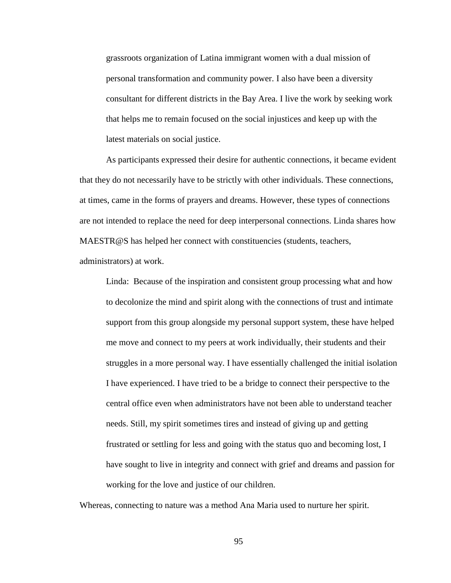grassroots organization of Latina immigrant women with a dual mission of personal transformation and community power. I also have been a diversity consultant for different districts in the Bay Area. I live the work by seeking work that helps me to remain focused on the social injustices and keep up with the latest materials on social justice.

As participants expressed their desire for authentic connections, it became evident that they do not necessarily have to be strictly with other individuals. These connections, at times, came in the forms of prayers and dreams. However, these types of connections are not intended to replace the need for deep interpersonal connections. Linda shares how MAESTR@S has helped her connect with constituencies (students, teachers, administrators) at work.

Linda: Because of the inspiration and consistent group processing what and how to decolonize the mind and spirit along with the connections of trust and intimate support from this group alongside my personal support system, these have helped me move and connect to my peers at work individually, their students and their struggles in a more personal way. I have essentially challenged the initial isolation I have experienced. I have tried to be a bridge to connect their perspective to the central office even when administrators have not been able to understand teacher needs. Still, my spirit sometimes tires and instead of giving up and getting frustrated or settling for less and going with the status quo and becoming lost, I have sought to live in integrity and connect with grief and dreams and passion for working for the love and justice of our children.

Whereas, connecting to nature was a method Ana Maria used to nurture her spirit.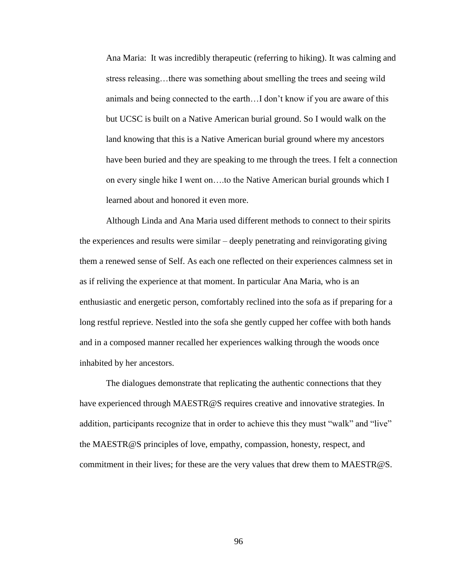Ana Maria: It was incredibly therapeutic (referring to hiking). It was calming and stress releasing…there was something about smelling the trees and seeing wild animals and being connected to the earth…I don't know if you are aware of this but UCSC is built on a Native American burial ground. So I would walk on the land knowing that this is a Native American burial ground where my ancestors have been buried and they are speaking to me through the trees. I felt a connection on every single hike I went on….to the Native American burial grounds which I learned about and honored it even more.

Although Linda and Ana Maria used different methods to connect to their spirits the experiences and results were similar – deeply penetrating and reinvigorating giving them a renewed sense of Self. As each one reflected on their experiences calmness set in as if reliving the experience at that moment. In particular Ana Maria, who is an enthusiastic and energetic person, comfortably reclined into the sofa as if preparing for a long restful reprieve. Nestled into the sofa she gently cupped her coffee with both hands and in a composed manner recalled her experiences walking through the woods once inhabited by her ancestors.

The dialogues demonstrate that replicating the authentic connections that they have experienced through MAESTR@S requires creative and innovative strategies. In addition, participants recognize that in order to achieve this they must "walk" and "live" the MAESTR@S principles of love, empathy, compassion, honesty, respect, and commitment in their lives; for these are the very values that drew them to MAESTR@S.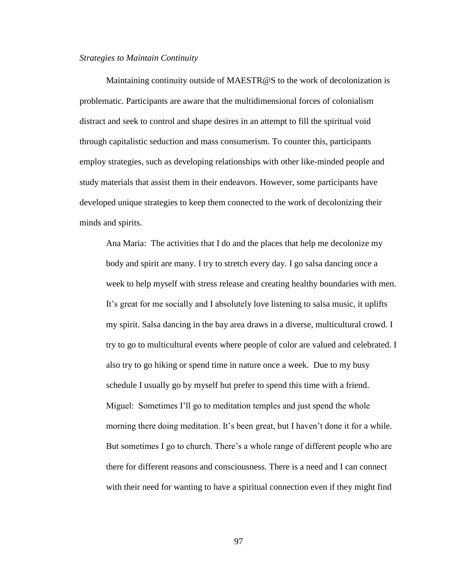### *Strategies to Maintain Continuity*

Maintaining continuity outside of MAESTR@S to the work of decolonization is problematic. Participants are aware that the multidimensional forces of colonialism distract and seek to control and shape desires in an attempt to fill the spiritual void through capitalistic seduction and mass consumerism. To counter this, participants employ strategies, such as developing relationships with other like-minded people and study materials that assist them in their endeavors. However, some participants have developed unique strategies to keep them connected to the work of decolonizing their minds and spirits.

Ana Maria: The activities that I do and the places that help me decolonize my body and spirit are many. I try to stretch every day. I go salsa dancing once a week to help myself with stress release and creating healthy boundaries with men. It's great for me socially and I absolutely love listening to salsa music, it uplifts my spirit. Salsa dancing in the bay area draws in a diverse, multicultural crowd. I try to go to multicultural events where people of color are valued and celebrated. I also try to go hiking or spend time in nature once a week. Due to my busy schedule I usually go by myself but prefer to spend this time with a friend. Miguel: Sometimes I'll go to meditation temples and just spend the whole morning there doing meditation. It's been great, but I haven't done it for a while. But sometimes I go to church. There's a whole range of different people who are there for different reasons and consciousness. There is a need and I can connect with their need for wanting to have a spiritual connection even if they might find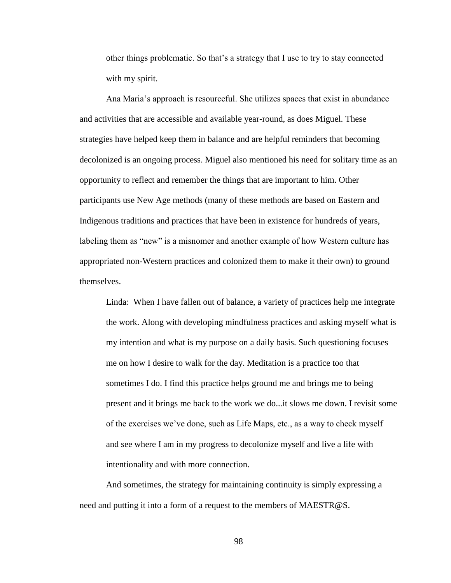other things problematic. So that's a strategy that I use to try to stay connected with my spirit.

Ana Maria's approach is resourceful. She utilizes spaces that exist in abundance and activities that are accessible and available year-round, as does Miguel. These strategies have helped keep them in balance and are helpful reminders that becoming decolonized is an ongoing process. Miguel also mentioned his need for solitary time as an opportunity to reflect and remember the things that are important to him. Other participants use New Age methods (many of these methods are based on Eastern and Indigenous traditions and practices that have been in existence for hundreds of years, labeling them as "new" is a misnomer and another example of how Western culture has appropriated non-Western practices and colonized them to make it their own) to ground themselves.

Linda: When I have fallen out of balance, a variety of practices help me integrate the work. Along with developing mindfulness practices and asking myself what is my intention and what is my purpose on a daily basis. Such questioning focuses me on how I desire to walk for the day. Meditation is a practice too that sometimes I do. I find this practice helps ground me and brings me to being present and it brings me back to the work we do...it slows me down. I revisit some of the exercises we've done, such as Life Maps, etc., as a way to check myself and see where I am in my progress to decolonize myself and live a life with intentionality and with more connection.

And sometimes, the strategy for maintaining continuity is simply expressing a need and putting it into a form of a request to the members of MAESTR@S.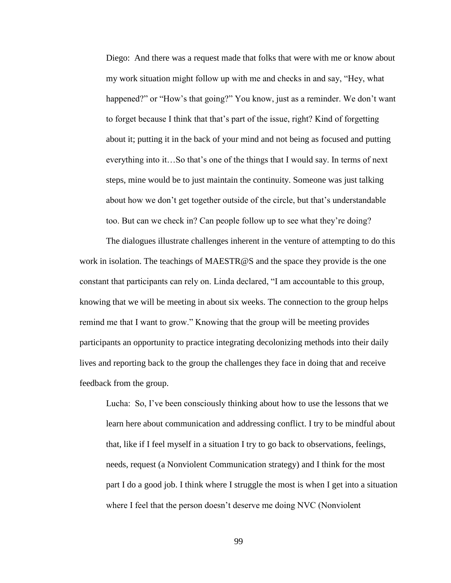Diego: And there was a request made that folks that were with me or know about my work situation might follow up with me and checks in and say, "Hey, what happened?" or "How's that going?" You know, just as a reminder. We don't want to forget because I think that that's part of the issue, right? Kind of forgetting about it; putting it in the back of your mind and not being as focused and putting everything into it…So that's one of the things that I would say. In terms of next steps, mine would be to just maintain the continuity. Someone was just talking about how we don't get together outside of the circle, but that's understandable too. But can we check in? Can people follow up to see what they're doing?

The dialogues illustrate challenges inherent in the venture of attempting to do this work in isolation. The teachings of MAESTR@S and the space they provide is the one constant that participants can rely on. Linda declared, "I am accountable to this group, knowing that we will be meeting in about six weeks. The connection to the group helps remind me that I want to grow." Knowing that the group will be meeting provides participants an opportunity to practice integrating decolonizing methods into their daily lives and reporting back to the group the challenges they face in doing that and receive feedback from the group.

Lucha: So, I've been consciously thinking about how to use the lessons that we learn here about communication and addressing conflict. I try to be mindful about that, like if I feel myself in a situation I try to go back to observations, feelings, needs, request (a Nonviolent Communication strategy) and I think for the most part I do a good job. I think where I struggle the most is when I get into a situation where I feel that the person doesn't deserve me doing NVC (Nonviolent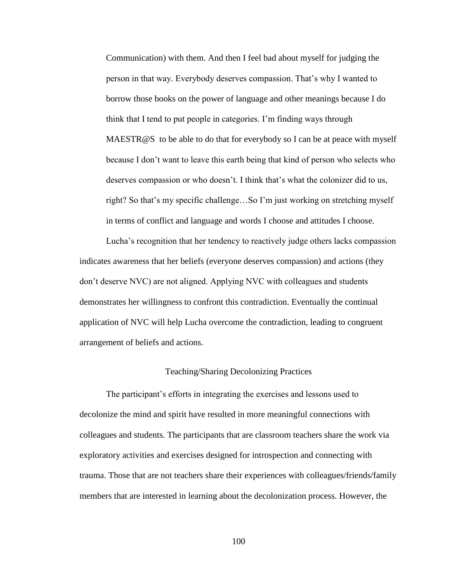Communication) with them. And then I feel bad about myself for judging the person in that way. Everybody deserves compassion. That's why I wanted to borrow those books on the power of language and other meanings because I do think that I tend to put people in categories. I'm finding ways through MAESTR@S to be able to do that for everybody so I can be at peace with myself because I don't want to leave this earth being that kind of person who selects who deserves compassion or who doesn't. I think that's what the colonizer did to us, right? So that's my specific challenge…So I'm just working on stretching myself in terms of conflict and language and words I choose and attitudes I choose.

Lucha's recognition that her tendency to reactively judge others lacks compassion indicates awareness that her beliefs (everyone deserves compassion) and actions (they don't deserve NVC) are not aligned. Applying NVC with colleagues and students demonstrates her willingness to confront this contradiction. Eventually the continual application of NVC will help Lucha overcome the contradiction, leading to congruent arrangement of beliefs and actions.

#### Teaching/Sharing Decolonizing Practices

The participant's efforts in integrating the exercises and lessons used to decolonize the mind and spirit have resulted in more meaningful connections with colleagues and students. The participants that are classroom teachers share the work via exploratory activities and exercises designed for introspection and connecting with trauma. Those that are not teachers share their experiences with colleagues/friends/family members that are interested in learning about the decolonization process. However, the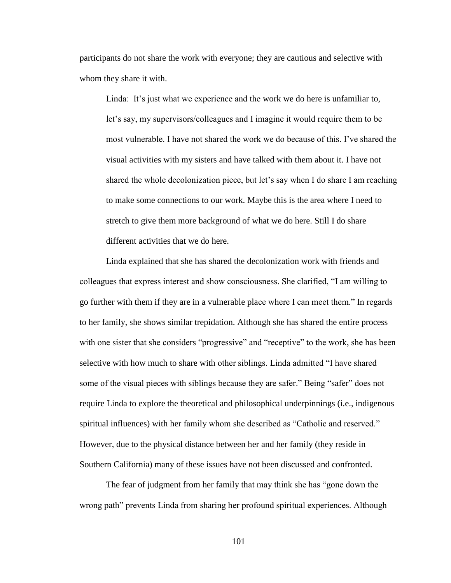participants do not share the work with everyone; they are cautious and selective with whom they share it with.

Linda: It's just what we experience and the work we do here is unfamiliar to, let's say, my supervisors/colleagues and I imagine it would require them to be most vulnerable. I have not shared the work we do because of this. I've shared the visual activities with my sisters and have talked with them about it. I have not shared the whole decolonization piece, but let's say when I do share I am reaching to make some connections to our work. Maybe this is the area where I need to stretch to give them more background of what we do here. Still I do share different activities that we do here.

Linda explained that she has shared the decolonization work with friends and colleagues that express interest and show consciousness. She clarified, "I am willing to go further with them if they are in a vulnerable place where I can meet them." In regards to her family, she shows similar trepidation. Although she has shared the entire process with one sister that she considers "progressive" and "receptive" to the work, she has been selective with how much to share with other siblings. Linda admitted "I have shared some of the visual pieces with siblings because they are safer." Being "safer" does not require Linda to explore the theoretical and philosophical underpinnings (i.e., indigenous spiritual influences) with her family whom she described as "Catholic and reserved." However, due to the physical distance between her and her family (they reside in Southern California) many of these issues have not been discussed and confronted.

The fear of judgment from her family that may think she has "gone down the wrong path" prevents Linda from sharing her profound spiritual experiences. Although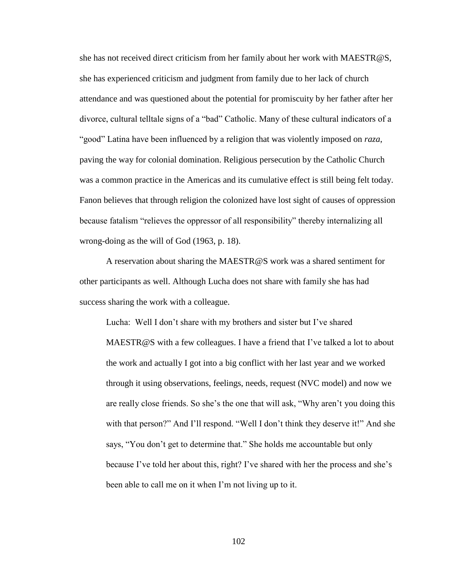she has not received direct criticism from her family about her work with MAESTR@S, she has experienced criticism and judgment from family due to her lack of church attendance and was questioned about the potential for promiscuity by her father after her divorce, cultural telltale signs of a "bad" Catholic. Many of these cultural indicators of a ―good‖ Latina have been influenced by a religion that was violently imposed on *raza*, paving the way for colonial domination. Religious persecution by the Catholic Church was a common practice in the Americas and its cumulative effect is still being felt today. Fanon believes that through religion the colonized have lost sight of causes of oppression because fatalism "relieves the oppressor of all responsibility" thereby internalizing all wrong-doing as the will of God (1963, p. 18).

A reservation about sharing the MAESTR@S work was a shared sentiment for other participants as well. Although Lucha does not share with family she has had success sharing the work with a colleague.

Lucha: Well I don't share with my brothers and sister but I've shared MAESTR@S with a few colleagues. I have a friend that I've talked a lot to about the work and actually I got into a big conflict with her last year and we worked through it using observations, feelings, needs, request (NVC model) and now we are really close friends. So she's the one that will ask, "Why aren't you doing this with that person?" And I'll respond. "Well I don't think they deserve it!" And she says, "You don't get to determine that." She holds me accountable but only because I've told her about this, right? I've shared with her the process and she's been able to call me on it when I'm not living up to it.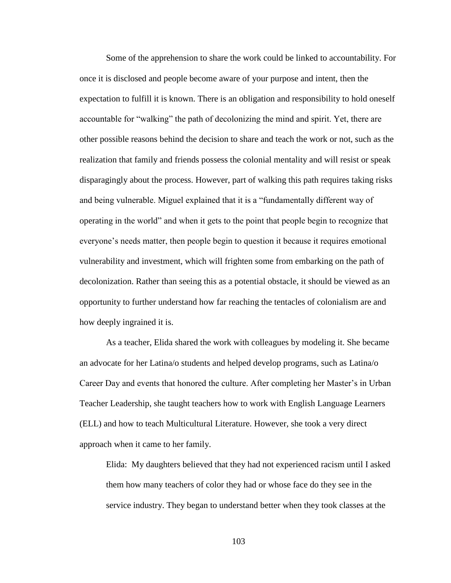Some of the apprehension to share the work could be linked to accountability. For once it is disclosed and people become aware of your purpose and intent, then the expectation to fulfill it is known. There is an obligation and responsibility to hold oneself accountable for "walking" the path of decolonizing the mind and spirit. Yet, there are other possible reasons behind the decision to share and teach the work or not, such as the realization that family and friends possess the colonial mentality and will resist or speak disparagingly about the process. However, part of walking this path requires taking risks and being vulnerable. Miguel explained that it is a "fundamentally different way of operating in the world" and when it gets to the point that people begin to recognize that everyone's needs matter, then people begin to question it because it requires emotional vulnerability and investment, which will frighten some from embarking on the path of decolonization. Rather than seeing this as a potential obstacle, it should be viewed as an opportunity to further understand how far reaching the tentacles of colonialism are and how deeply ingrained it is.

As a teacher, Elida shared the work with colleagues by modeling it. She became an advocate for her Latina/o students and helped develop programs, such as Latina/o Career Day and events that honored the culture. After completing her Master's in Urban Teacher Leadership, she taught teachers how to work with English Language Learners (ELL) and how to teach Multicultural Literature. However, she took a very direct approach when it came to her family.

Elida: My daughters believed that they had not experienced racism until I asked them how many teachers of color they had or whose face do they see in the service industry. They began to understand better when they took classes at the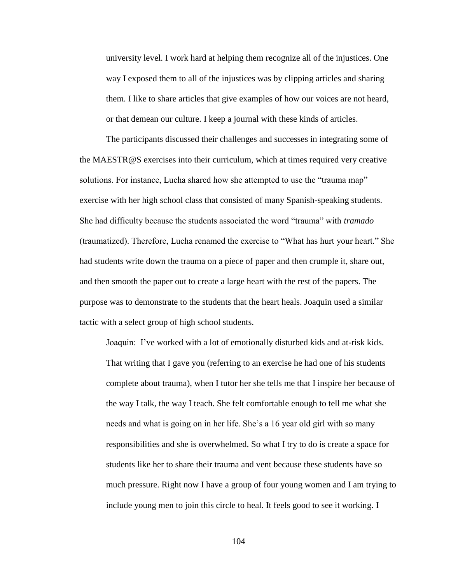university level. I work hard at helping them recognize all of the injustices. One way I exposed them to all of the injustices was by clipping articles and sharing them. I like to share articles that give examples of how our voices are not heard, or that demean our culture. I keep a journal with these kinds of articles.

The participants discussed their challenges and successes in integrating some of the MAESTR@S exercises into their curriculum, which at times required very creative solutions. For instance, Lucha shared how she attempted to use the "trauma map" exercise with her high school class that consisted of many Spanish-speaking students. She had difficulty because the students associated the word "trauma" with *tramado* (traumatized). Therefore, Lucha renamed the exercise to "What has hurt your heart." She had students write down the trauma on a piece of paper and then crumple it, share out, and then smooth the paper out to create a large heart with the rest of the papers. The purpose was to demonstrate to the students that the heart heals. Joaquin used a similar tactic with a select group of high school students.

Joaquin: I've worked with a lot of emotionally disturbed kids and at-risk kids. That writing that I gave you (referring to an exercise he had one of his students complete about trauma), when I tutor her she tells me that I inspire her because of the way I talk, the way I teach. She felt comfortable enough to tell me what she needs and what is going on in her life. She's a 16 year old girl with so many responsibilities and she is overwhelmed. So what I try to do is create a space for students like her to share their trauma and vent because these students have so much pressure. Right now I have a group of four young women and I am trying to include young men to join this circle to heal. It feels good to see it working. I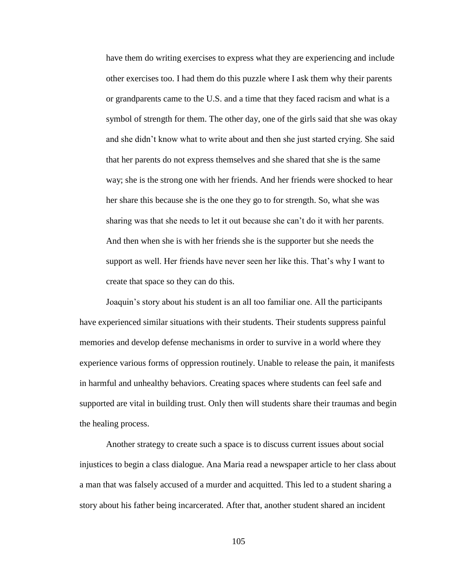have them do writing exercises to express what they are experiencing and include other exercises too. I had them do this puzzle where I ask them why their parents or grandparents came to the U.S. and a time that they faced racism and what is a symbol of strength for them. The other day, one of the girls said that she was okay and she didn't know what to write about and then she just started crying. She said that her parents do not express themselves and she shared that she is the same way; she is the strong one with her friends. And her friends were shocked to hear her share this because she is the one they go to for strength. So, what she was sharing was that she needs to let it out because she can't do it with her parents. And then when she is with her friends she is the supporter but she needs the support as well. Her friends have never seen her like this. That's why I want to create that space so they can do this.

Joaquin's story about his student is an all too familiar one. All the participants have experienced similar situations with their students. Their students suppress painful memories and develop defense mechanisms in order to survive in a world where they experience various forms of oppression routinely. Unable to release the pain, it manifests in harmful and unhealthy behaviors. Creating spaces where students can feel safe and supported are vital in building trust. Only then will students share their traumas and begin the healing process.

Another strategy to create such a space is to discuss current issues about social injustices to begin a class dialogue. Ana Maria read a newspaper article to her class about a man that was falsely accused of a murder and acquitted. This led to a student sharing a story about his father being incarcerated. After that, another student shared an incident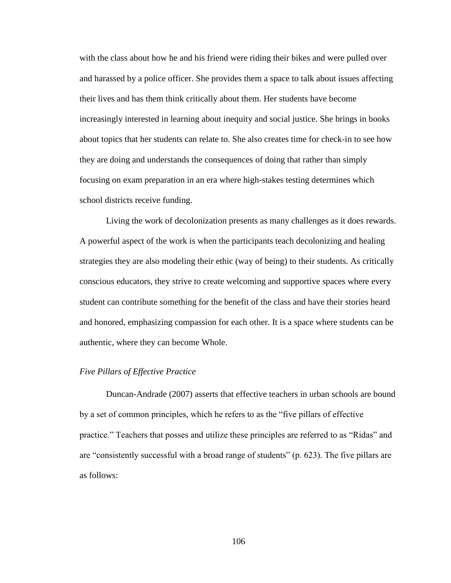with the class about how he and his friend were riding their bikes and were pulled over and harassed by a police officer. She provides them a space to talk about issues affecting their lives and has them think critically about them. Her students have become increasingly interested in learning about inequity and social justice. She brings in books about topics that her students can relate to. She also creates time for check-in to see how they are doing and understands the consequences of doing that rather than simply focusing on exam preparation in an era where high-stakes testing determines which school districts receive funding.

Living the work of decolonization presents as many challenges as it does rewards. A powerful aspect of the work is when the participants teach decolonizing and healing strategies they are also modeling their ethic (way of being) to their students. As critically conscious educators, they strive to create welcoming and supportive spaces where every student can contribute something for the benefit of the class and have their stories heard and honored, emphasizing compassion for each other. It is a space where students can be authentic, where they can become Whole.

#### *Five Pillars of Effective Practice*

Duncan-Andrade (2007) asserts that effective teachers in urban schools are bound by a set of common principles, which he refers to as the "five pillars of effective" practice." Teachers that posses and utilize these principles are referred to as "Ridas" and are "consistently successful with a broad range of students" (p. 623). The five pillars are as follows: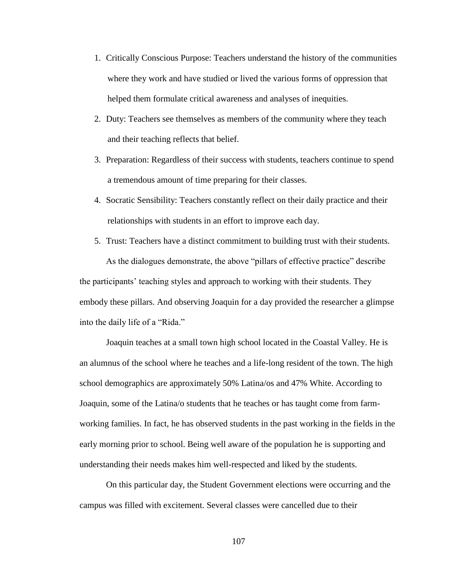- 1. Critically Conscious Purpose: Teachers understand the history of the communities where they work and have studied or lived the various forms of oppression that helped them formulate critical awareness and analyses of inequities.
- 2. Duty: Teachers see themselves as members of the community where they teach and their teaching reflects that belief.
- 3. Preparation: Regardless of their success with students, teachers continue to spend a tremendous amount of time preparing for their classes.
- 4. Socratic Sensibility: Teachers constantly reflect on their daily practice and their relationships with students in an effort to improve each day.
- 5. Trust: Teachers have a distinct commitment to building trust with their students. As the dialogues demonstrate, the above "pillars of effective practice" describe the participants' teaching styles and approach to working with their students. They embody these pillars. And observing Joaquin for a day provided the researcher a glimpse into the daily life of a "Rida."

Joaquin teaches at a small town high school located in the Coastal Valley. He is an alumnus of the school where he teaches and a life-long resident of the town. The high school demographics are approximately 50% Latina/os and 47% White. According to Joaquin, some of the Latina/o students that he teaches or has taught come from farmworking families. In fact, he has observed students in the past working in the fields in the early morning prior to school. Being well aware of the population he is supporting and understanding their needs makes him well-respected and liked by the students.

On this particular day, the Student Government elections were occurring and the campus was filled with excitement. Several classes were cancelled due to their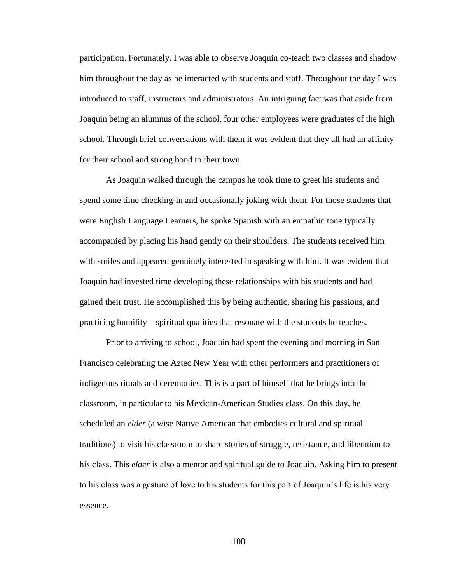participation. Fortunately, I was able to observe Joaquin co-teach two classes and shadow him throughout the day as he interacted with students and staff. Throughout the day I was introduced to staff, instructors and administrators. An intriguing fact was that aside from Joaquin being an alumnus of the school, four other employees were graduates of the high school. Through brief conversations with them it was evident that they all had an affinity for their school and strong bond to their town.

As Joaquin walked through the campus he took time to greet his students and spend some time checking-in and occasionally joking with them. For those students that were English Language Learners, he spoke Spanish with an empathic tone typically accompanied by placing his hand gently on their shoulders. The students received him with smiles and appeared genuinely interested in speaking with him. It was evident that Joaquin had invested time developing these relationships with his students and had gained their trust. He accomplished this by being authentic, sharing his passions, and practicing humility – spiritual qualities that resonate with the students he teaches.

Prior to arriving to school, Joaquin had spent the evening and morning in San Francisco celebrating the Aztec New Year with other performers and practitioners of indigenous rituals and ceremonies. This is a part of himself that he brings into the classroom, in particular to his Mexican-American Studies class. On this day, he scheduled an *elder* (a wise Native American that embodies cultural and spiritual traditions) to visit his classroom to share stories of struggle, resistance, and liberation to his class. This *elder* is also a mentor and spiritual guide to Joaquin. Asking him to present to his class was a gesture of love to his students for this part of Joaquin's life is his very essence.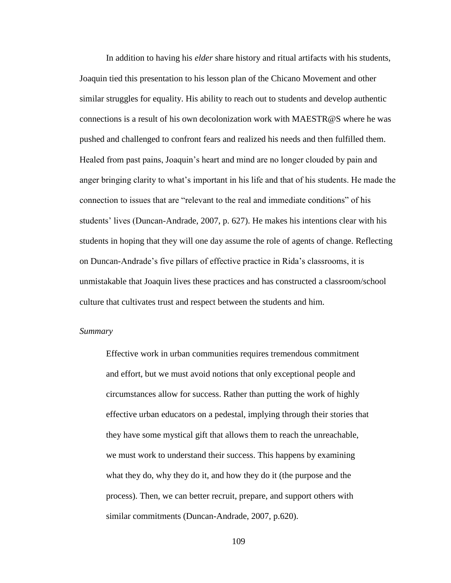In addition to having his *elder* share history and ritual artifacts with his students, Joaquin tied this presentation to his lesson plan of the Chicano Movement and other similar struggles for equality. His ability to reach out to students and develop authentic connections is a result of his own decolonization work with MAESTR@S where he was pushed and challenged to confront fears and realized his needs and then fulfilled them. Healed from past pains, Joaquin's heart and mind are no longer clouded by pain and anger bringing clarity to what's important in his life and that of his students. He made the connection to issues that are "relevant to the real and immediate conditions" of his students' lives (Duncan-Andrade, 2007, p. 627). He makes his intentions clear with his students in hoping that they will one day assume the role of agents of change. Reflecting on Duncan-Andrade's five pillars of effective practice in Rida's classrooms, it is unmistakable that Joaquin lives these practices and has constructed a classroom/school culture that cultivates trust and respect between the students and him.

### *Summary*

Effective work in urban communities requires tremendous commitment and effort, but we must avoid notions that only exceptional people and circumstances allow for success. Rather than putting the work of highly effective urban educators on a pedestal, implying through their stories that they have some mystical gift that allows them to reach the unreachable, we must work to understand their success. This happens by examining what they do, why they do it, and how they do it (the purpose and the process). Then, we can better recruit, prepare, and support others with similar commitments (Duncan-Andrade, 2007, p.620).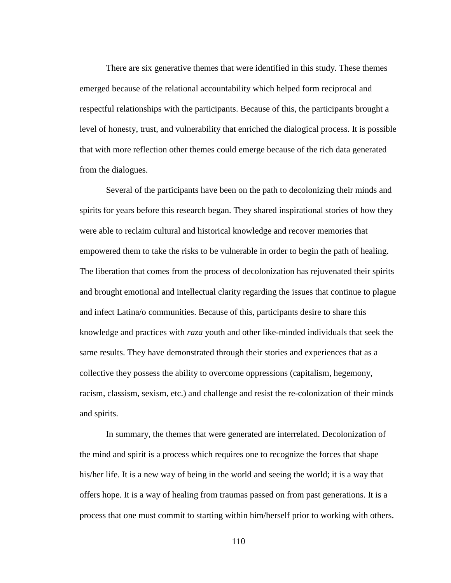There are six generative themes that were identified in this study. These themes emerged because of the relational accountability which helped form reciprocal and respectful relationships with the participants. Because of this, the participants brought a level of honesty, trust, and vulnerability that enriched the dialogical process. It is possible that with more reflection other themes could emerge because of the rich data generated from the dialogues.

Several of the participants have been on the path to decolonizing their minds and spirits for years before this research began. They shared inspirational stories of how they were able to reclaim cultural and historical knowledge and recover memories that empowered them to take the risks to be vulnerable in order to begin the path of healing. The liberation that comes from the process of decolonization has rejuvenated their spirits and brought emotional and intellectual clarity regarding the issues that continue to plague and infect Latina/o communities. Because of this, participants desire to share this knowledge and practices with *raza* youth and other like-minded individuals that seek the same results. They have demonstrated through their stories and experiences that as a collective they possess the ability to overcome oppressions (capitalism, hegemony, racism, classism, sexism, etc.) and challenge and resist the re-colonization of their minds and spirits.

In summary, the themes that were generated are interrelated. Decolonization of the mind and spirit is a process which requires one to recognize the forces that shape his/her life. It is a new way of being in the world and seeing the world; it is a way that offers hope. It is a way of healing from traumas passed on from past generations. It is a process that one must commit to starting within him/herself prior to working with others.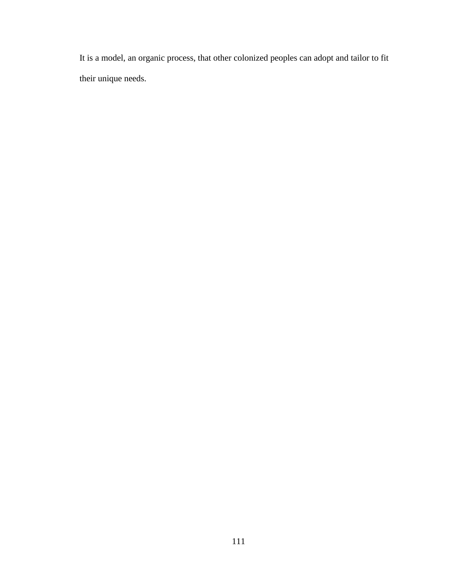It is a model, an organic process, that other colonized peoples can adopt and tailor to fit their unique needs.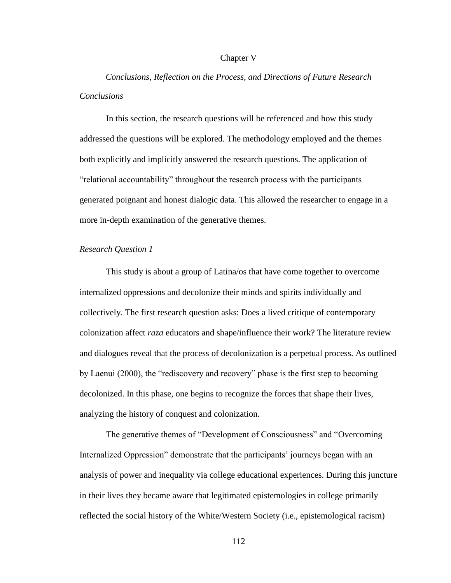### Chapter V

*Conclusions, Reflection on the Process, and Directions of Future Research Conclusions*

In this section, the research questions will be referenced and how this study addressed the questions will be explored. The methodology employed and the themes both explicitly and implicitly answered the research questions. The application of "relational accountability" throughout the research process with the participants generated poignant and honest dialogic data. This allowed the researcher to engage in a more in-depth examination of the generative themes.

## *Research Question 1*

This study is about a group of Latina/os that have come together to overcome internalized oppressions and decolonize their minds and spirits individually and collectively. The first research question asks: Does a lived critique of contemporary colonization affect *raza* educators and shape/influence their work? The literature review and dialogues reveal that the process of decolonization is a perpetual process. As outlined by Laenui (2000), the "rediscovery and recovery" phase is the first step to becoming decolonized. In this phase, one begins to recognize the forces that shape their lives, analyzing the history of conquest and colonization.

The generative themes of "Development of Consciousness" and "Overcoming Internalized Oppression" demonstrate that the participants' journeys began with an analysis of power and inequality via college educational experiences. During this juncture in their lives they became aware that legitimated epistemologies in college primarily reflected the social history of the White/Western Society (i.e., epistemological racism)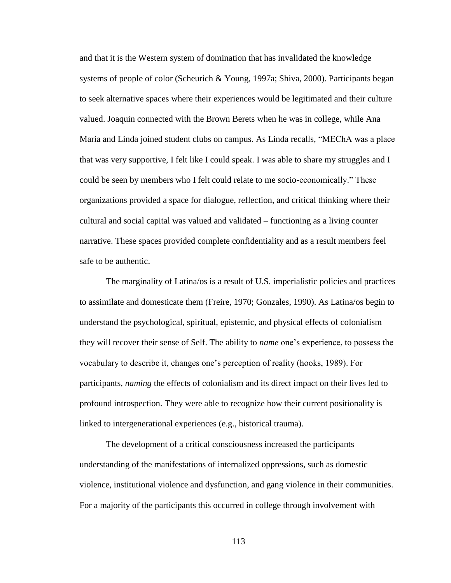and that it is the Western system of domination that has invalidated the knowledge systems of people of color (Scheurich & Young, 1997a; Shiva, 2000). Participants began to seek alternative spaces where their experiences would be legitimated and their culture valued. Joaquin connected with the Brown Berets when he was in college, while Ana Maria and Linda joined student clubs on campus. As Linda recalls, "MEChA was a place that was very supportive, I felt like I could speak. I was able to share my struggles and I could be seen by members who I felt could relate to me socio-economically." These organizations provided a space for dialogue, reflection, and critical thinking where their cultural and social capital was valued and validated – functioning as a living counter narrative. These spaces provided complete confidentiality and as a result members feel safe to be authentic.

The marginality of Latina/os is a result of U.S. imperialistic policies and practices to assimilate and domesticate them (Freire, 1970; Gonzales, 1990). As Latina/os begin to understand the psychological, spiritual, epistemic, and physical effects of colonialism they will recover their sense of Self. The ability to *name* one's experience, to possess the vocabulary to describe it, changes one's perception of reality (hooks, 1989). For participants, *naming* the effects of colonialism and its direct impact on their lives led to profound introspection. They were able to recognize how their current positionality is linked to intergenerational experiences (e.g., historical trauma).

The development of a critical consciousness increased the participants understanding of the manifestations of internalized oppressions, such as domestic violence, institutional violence and dysfunction, and gang violence in their communities. For a majority of the participants this occurred in college through involvement with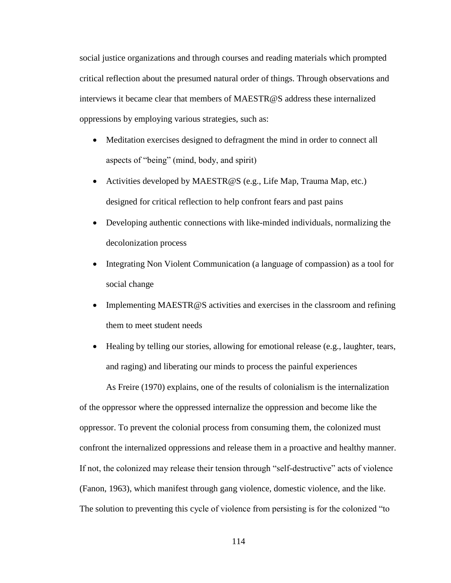social justice organizations and through courses and reading materials which prompted critical reflection about the presumed natural order of things. Through observations and interviews it became clear that members of MAESTR@S address these internalized oppressions by employing various strategies, such as:

- Meditation exercises designed to defragment the mind in order to connect all aspects of "being" (mind, body, and spirit)
- Activities developed by MAESTR@S (e.g., Life Map, Trauma Map, etc.) designed for critical reflection to help confront fears and past pains
- Developing authentic connections with like-minded individuals, normalizing the decolonization process
- Integrating Non Violent Communication (a language of compassion) as a tool for social change
- Implementing MAESTR $@S$  activities and exercises in the classroom and refining them to meet student needs
- Healing by telling our stories, allowing for emotional release (e.g., laughter, tears, and raging) and liberating our minds to process the painful experiences

As Freire (1970) explains, one of the results of colonialism is the internalization of the oppressor where the oppressed internalize the oppression and become like the oppressor. To prevent the colonial process from consuming them, the colonized must confront the internalized oppressions and release them in a proactive and healthy manner. If not, the colonized may release their tension through "self-destructive" acts of violence (Fanon, 1963), which manifest through gang violence, domestic violence, and the like. The solution to preventing this cycle of violence from persisting is for the colonized "to"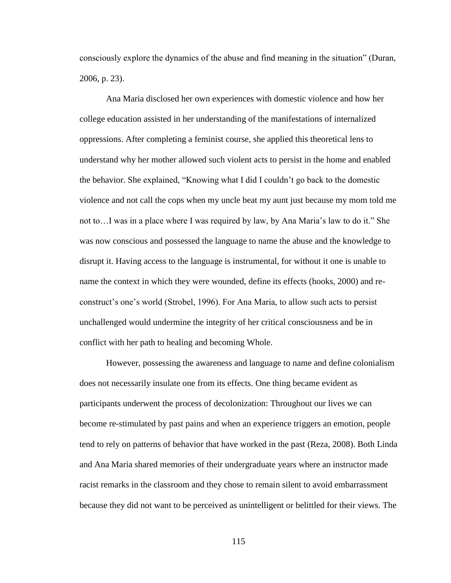consciously explore the dynamics of the abuse and find meaning in the situation" (Duran, 2006, p. 23).

Ana Maria disclosed her own experiences with domestic violence and how her college education assisted in her understanding of the manifestations of internalized oppressions. After completing a feminist course, she applied this theoretical lens to understand why her mother allowed such violent acts to persist in the home and enabled the behavior. She explained, "Knowing what I did I couldn't go back to the domestic violence and not call the cops when my uncle beat my aunt just because my mom told me not to…I was in a place where I was required by law, by Ana Maria's law to do it." She was now conscious and possessed the language to name the abuse and the knowledge to disrupt it. Having access to the language is instrumental, for without it one is unable to name the context in which they were wounded, define its effects (hooks, 2000) and reconstruct's one's world (Strobel, 1996). For Ana Maria, to allow such acts to persist unchallenged would undermine the integrity of her critical consciousness and be in conflict with her path to healing and becoming Whole.

However, possessing the awareness and language to name and define colonialism does not necessarily insulate one from its effects. One thing became evident as participants underwent the process of decolonization: Throughout our lives we can become re-stimulated by past pains and when an experience triggers an emotion, people tend to rely on patterns of behavior that have worked in the past (Reza, 2008). Both Linda and Ana Maria shared memories of their undergraduate years where an instructor made racist remarks in the classroom and they chose to remain silent to avoid embarrassment because they did not want to be perceived as unintelligent or belittled for their views. The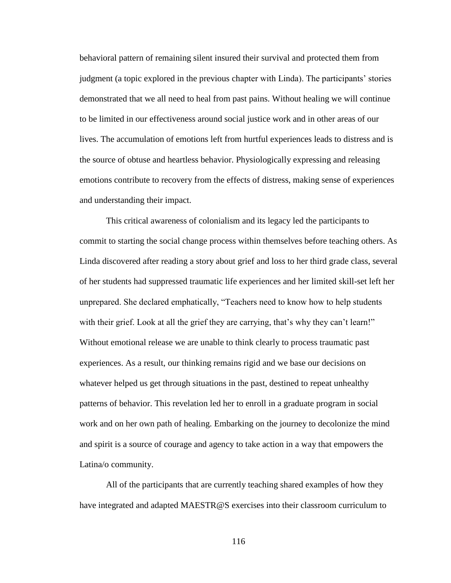behavioral pattern of remaining silent insured their survival and protected them from judgment (a topic explored in the previous chapter with Linda). The participants' stories demonstrated that we all need to heal from past pains. Without healing we will continue to be limited in our effectiveness around social justice work and in other areas of our lives. The accumulation of emotions left from hurtful experiences leads to distress and is the source of obtuse and heartless behavior. Physiologically expressing and releasing emotions contribute to recovery from the effects of distress, making sense of experiences and understanding their impact.

This critical awareness of colonialism and its legacy led the participants to commit to starting the social change process within themselves before teaching others. As Linda discovered after reading a story about grief and loss to her third grade class, several of her students had suppressed traumatic life experiences and her limited skill-set left her unprepared. She declared emphatically, "Teachers need to know how to help students with their grief. Look at all the grief they are carrying, that's why they can't learn!" Without emotional release we are unable to think clearly to process traumatic past experiences. As a result, our thinking remains rigid and we base our decisions on whatever helped us get through situations in the past, destined to repeat unhealthy patterns of behavior. This revelation led her to enroll in a graduate program in social work and on her own path of healing. Embarking on the journey to decolonize the mind and spirit is a source of courage and agency to take action in a way that empowers the Latina/o community.

All of the participants that are currently teaching shared examples of how they have integrated and adapted MAESTR@S exercises into their classroom curriculum to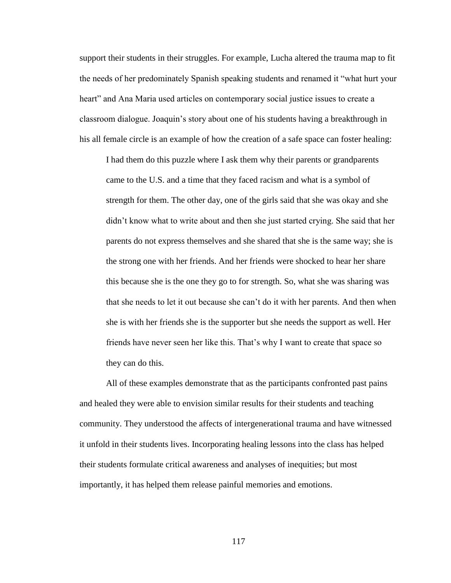support their students in their struggles. For example, Lucha altered the trauma map to fit the needs of her predominately Spanish speaking students and renamed it "what hurt your heart" and Ana Maria used articles on contemporary social justice issues to create a classroom dialogue. Joaquin's story about one of his students having a breakthrough in his all female circle is an example of how the creation of a safe space can foster healing:

I had them do this puzzle where I ask them why their parents or grandparents came to the U.S. and a time that they faced racism and what is a symbol of strength for them. The other day, one of the girls said that she was okay and she didn't know what to write about and then she just started crying. She said that her parents do not express themselves and she shared that she is the same way; she is the strong one with her friends. And her friends were shocked to hear her share this because she is the one they go to for strength. So, what she was sharing was that she needs to let it out because she can't do it with her parents. And then when she is with her friends she is the supporter but she needs the support as well. Her friends have never seen her like this. That's why I want to create that space so they can do this.

All of these examples demonstrate that as the participants confronted past pains and healed they were able to envision similar results for their students and teaching community. They understood the affects of intergenerational trauma and have witnessed it unfold in their students lives. Incorporating healing lessons into the class has helped their students formulate critical awareness and analyses of inequities; but most importantly, it has helped them release painful memories and emotions.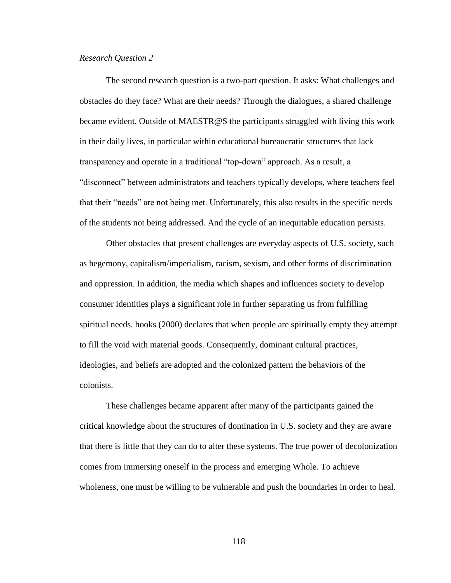### *Research Question 2*

The second research question is a two-part question. It asks: What challenges and obstacles do they face? What are their needs? Through the dialogues, a shared challenge became evident. Outside of MAESTR@S the participants struggled with living this work in their daily lives, in particular within educational bureaucratic structures that lack transparency and operate in a traditional "top-down" approach. As a result, a "disconnect" between administrators and teachers typically develops, where teachers feel that their "needs" are not being met. Unfortunately, this also results in the specific needs of the students not being addressed. And the cycle of an inequitable education persists.

Other obstacles that present challenges are everyday aspects of U.S. society, such as hegemony, capitalism/imperialism, racism, sexism, and other forms of discrimination and oppression. In addition, the media which shapes and influences society to develop consumer identities plays a significant role in further separating us from fulfilling spiritual needs. hooks (2000) declares that when people are spiritually empty they attempt to fill the void with material goods. Consequently, dominant cultural practices, ideologies, and beliefs are adopted and the colonized pattern the behaviors of the colonists.

These challenges became apparent after many of the participants gained the critical knowledge about the structures of domination in U.S. society and they are aware that there is little that they can do to alter these systems. The true power of decolonization comes from immersing oneself in the process and emerging Whole. To achieve wholeness, one must be willing to be vulnerable and push the boundaries in order to heal.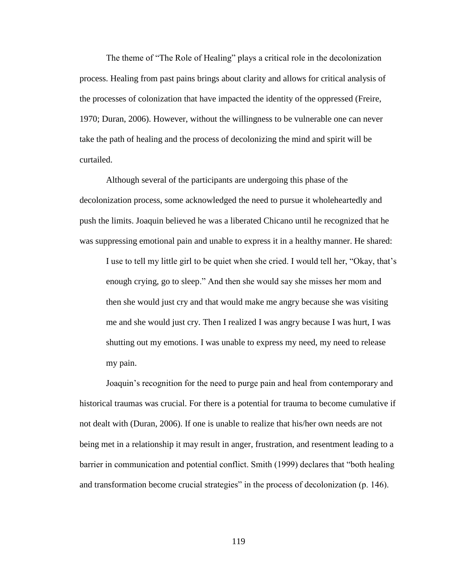The theme of "The Role of Healing" plays a critical role in the decolonization process. Healing from past pains brings about clarity and allows for critical analysis of the processes of colonization that have impacted the identity of the oppressed (Freire, 1970; Duran, 2006). However, without the willingness to be vulnerable one can never take the path of healing and the process of decolonizing the mind and spirit will be curtailed.

Although several of the participants are undergoing this phase of the decolonization process, some acknowledged the need to pursue it wholeheartedly and push the limits. Joaquin believed he was a liberated Chicano until he recognized that he was suppressing emotional pain and unable to express it in a healthy manner. He shared:

I use to tell my little girl to be quiet when she cried. I would tell her, "Okay, that's enough crying, go to sleep." And then she would say she misses her mom and then she would just cry and that would make me angry because she was visiting me and she would just cry. Then I realized I was angry because I was hurt, I was shutting out my emotions. I was unable to express my need, my need to release my pain.

Joaquin's recognition for the need to purge pain and heal from contemporary and historical traumas was crucial. For there is a potential for trauma to become cumulative if not dealt with (Duran, 2006). If one is unable to realize that his/her own needs are not being met in a relationship it may result in anger, frustration, and resentment leading to a barrier in communication and potential conflict. Smith (1999) declares that "both healing and transformation become crucial strategies" in the process of decolonization (p. 146).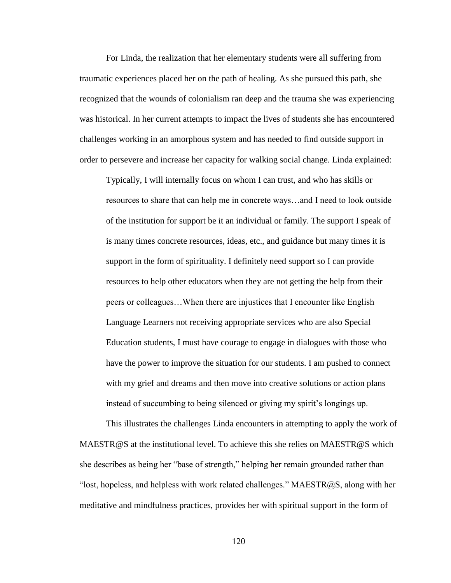For Linda, the realization that her elementary students were all suffering from traumatic experiences placed her on the path of healing. As she pursued this path, she recognized that the wounds of colonialism ran deep and the trauma she was experiencing was historical. In her current attempts to impact the lives of students she has encountered challenges working in an amorphous system and has needed to find outside support in order to persevere and increase her capacity for walking social change. Linda explained:

Typically, I will internally focus on whom I can trust, and who has skills or resources to share that can help me in concrete ways…and I need to look outside of the institution for support be it an individual or family. The support I speak of is many times concrete resources, ideas, etc., and guidance but many times it is support in the form of spirituality. I definitely need support so I can provide resources to help other educators when they are not getting the help from their peers or colleagues…When there are injustices that I encounter like English Language Learners not receiving appropriate services who are also Special Education students, I must have courage to engage in dialogues with those who have the power to improve the situation for our students. I am pushed to connect with my grief and dreams and then move into creative solutions or action plans instead of succumbing to being silenced or giving my spirit's longings up.

This illustrates the challenges Linda encounters in attempting to apply the work of MAESTR@S at the institutional level. To achieve this she relies on MAESTR@S which she describes as being her "base of strength," helping her remain grounded rather than "lost, hopeless, and helpless with work related challenges." MAESTR@S, along with her meditative and mindfulness practices, provides her with spiritual support in the form of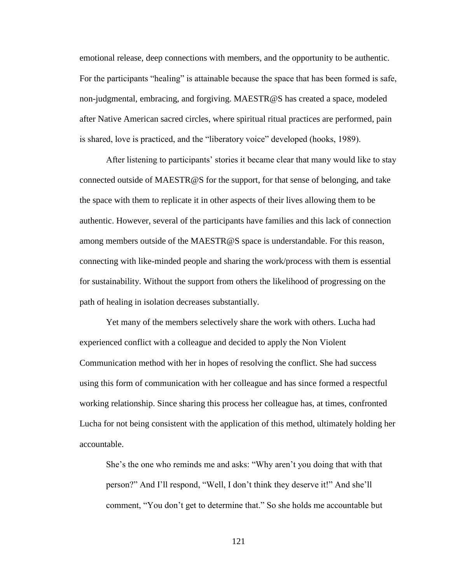emotional release, deep connections with members, and the opportunity to be authentic. For the participants "healing" is attainable because the space that has been formed is safe, non-judgmental, embracing, and forgiving. MAESTR@S has created a space, modeled after Native American sacred circles, where spiritual ritual practices are performed, pain is shared, love is practiced, and the "liberatory voice" developed (hooks, 1989).

After listening to participants' stories it became clear that many would like to stay connected outside of MAESTR@S for the support, for that sense of belonging, and take the space with them to replicate it in other aspects of their lives allowing them to be authentic. However, several of the participants have families and this lack of connection among members outside of the MAESTR@S space is understandable. For this reason, connecting with like-minded people and sharing the work/process with them is essential for sustainability. Without the support from others the likelihood of progressing on the path of healing in isolation decreases substantially.

Yet many of the members selectively share the work with others. Lucha had experienced conflict with a colleague and decided to apply the Non Violent Communication method with her in hopes of resolving the conflict. She had success using this form of communication with her colleague and has since formed a respectful working relationship. Since sharing this process her colleague has, at times, confronted Lucha for not being consistent with the application of this method, ultimately holding her accountable.

She's the one who reminds me and asks: "Why aren't you doing that with that person?" And I'll respond, "Well, I don't think they deserve it!" And she'll comment, "You don't get to determine that." So she holds me accountable but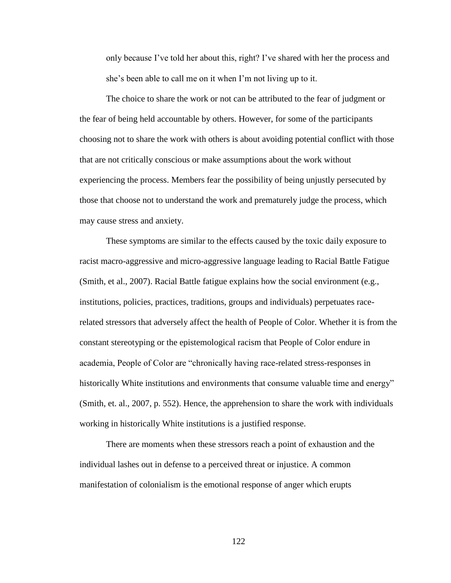only because I've told her about this, right? I've shared with her the process and she's been able to call me on it when I'm not living up to it.

The choice to share the work or not can be attributed to the fear of judgment or the fear of being held accountable by others. However, for some of the participants choosing not to share the work with others is about avoiding potential conflict with those that are not critically conscious or make assumptions about the work without experiencing the process. Members fear the possibility of being unjustly persecuted by those that choose not to understand the work and prematurely judge the process, which may cause stress and anxiety.

These symptoms are similar to the effects caused by the toxic daily exposure to racist macro-aggressive and micro-aggressive language leading to Racial Battle Fatigue (Smith, et al., 2007). Racial Battle fatigue explains how the social environment (e.g., institutions, policies, practices, traditions, groups and individuals) perpetuates racerelated stressors that adversely affect the health of People of Color. Whether it is from the constant stereotyping or the epistemological racism that People of Color endure in academia, People of Color are "chronically having race-related stress-responses in historically White institutions and environments that consume valuable time and energy" (Smith, et. al., 2007, p. 552). Hence, the apprehension to share the work with individuals working in historically White institutions is a justified response.

There are moments when these stressors reach a point of exhaustion and the individual lashes out in defense to a perceived threat or injustice. A common manifestation of colonialism is the emotional response of anger which erupts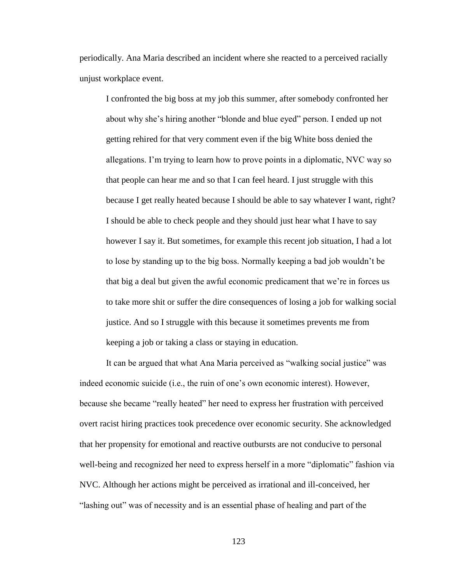periodically. Ana Maria described an incident where she reacted to a perceived racially unjust workplace event.

I confronted the big boss at my job this summer, after somebody confronted her about why she's hiring another "blonde and blue eyed" person. I ended up not getting rehired for that very comment even if the big White boss denied the allegations. I'm trying to learn how to prove points in a diplomatic, NVC way so that people can hear me and so that I can feel heard. I just struggle with this because I get really heated because I should be able to say whatever I want, right? I should be able to check people and they should just hear what I have to say however I say it. But sometimes, for example this recent job situation, I had a lot to lose by standing up to the big boss. Normally keeping a bad job wouldn't be that big a deal but given the awful economic predicament that we're in forces us to take more shit or suffer the dire consequences of losing a job for walking social justice. And so I struggle with this because it sometimes prevents me from keeping a job or taking a class or staying in education.

It can be argued that what Ana Maria perceived as "walking social justice" was indeed economic suicide (i.e., the ruin of one's own economic interest). However, because she became "really heated" her need to express her frustration with perceived overt racist hiring practices took precedence over economic security. She acknowledged that her propensity for emotional and reactive outbursts are not conducive to personal well-being and recognized her need to express herself in a more "diplomatic" fashion via NVC. Although her actions might be perceived as irrational and ill-conceived, her ―lashing out‖ was of necessity and is an essential phase of healing and part of the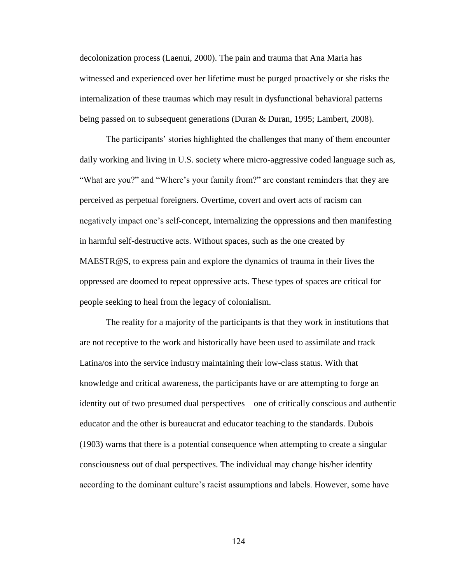decolonization process (Laenui, 2000). The pain and trauma that Ana Maria has witnessed and experienced over her lifetime must be purged proactively or she risks the internalization of these traumas which may result in dysfunctional behavioral patterns being passed on to subsequent generations (Duran & Duran, 1995; Lambert, 2008).

The participants' stories highlighted the challenges that many of them encounter daily working and living in U.S. society where micro-aggressive coded language such as, "What are you?" and "Where's your family from?" are constant reminders that they are perceived as perpetual foreigners. Overtime, covert and overt acts of racism can negatively impact one's self-concept, internalizing the oppressions and then manifesting in harmful self-destructive acts. Without spaces, such as the one created by MAESTR@S, to express pain and explore the dynamics of trauma in their lives the oppressed are doomed to repeat oppressive acts. These types of spaces are critical for people seeking to heal from the legacy of colonialism.

The reality for a majority of the participants is that they work in institutions that are not receptive to the work and historically have been used to assimilate and track Latina/os into the service industry maintaining their low-class status. With that knowledge and critical awareness, the participants have or are attempting to forge an identity out of two presumed dual perspectives – one of critically conscious and authentic educator and the other is bureaucrat and educator teaching to the standards. Dubois (1903) warns that there is a potential consequence when attempting to create a singular consciousness out of dual perspectives. The individual may change his/her identity according to the dominant culture's racist assumptions and labels. However, some have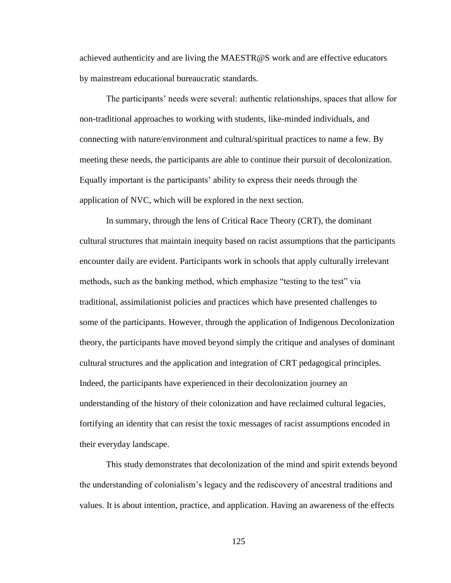achieved authenticity and are living the MAESTR@S work and are effective educators by mainstream educational bureaucratic standards.

The participants' needs were several: authentic relationships, spaces that allow for non-traditional approaches to working with students, like-minded individuals, and connecting with nature/environment and cultural/spiritual practices to name a few. By meeting these needs, the participants are able to continue their pursuit of decolonization. Equally important is the participants' ability to express their needs through the application of NVC, which will be explored in the next section.

In summary, through the lens of Critical Race Theory (CRT), the dominant cultural structures that maintain inequity based on racist assumptions that the participants encounter daily are evident. Participants work in schools that apply culturally irrelevant methods, such as the banking method, which emphasize "testing to the test" via traditional, assimilationist policies and practices which have presented challenges to some of the participants. However, through the application of Indigenous Decolonization theory, the participants have moved beyond simply the critique and analyses of dominant cultural structures and the application and integration of CRT pedagogical principles. Indeed, the participants have experienced in their decolonization journey an understanding of the history of their colonization and have reclaimed cultural legacies, fortifying an identity that can resist the toxic messages of racist assumptions encoded in their everyday landscape.

This study demonstrates that decolonization of the mind and spirit extends beyond the understanding of colonialism's legacy and the rediscovery of ancestral traditions and values. It is about intention, practice, and application. Having an awareness of the effects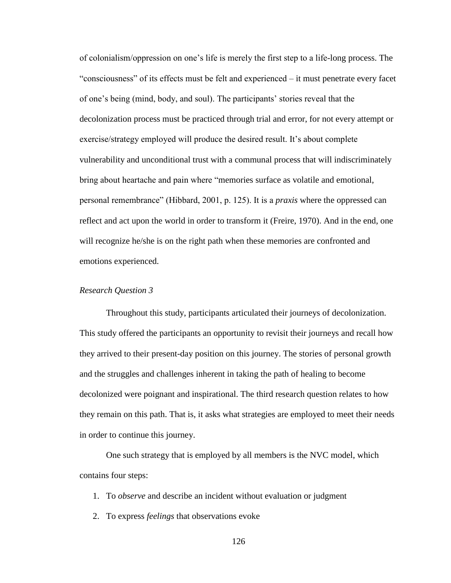of colonialism/oppression on one's life is merely the first step to a life-long process. The ―consciousness‖ of its effects must be felt and experienced – it must penetrate every facet of one's being (mind, body, and soul). The participants' stories reveal that the decolonization process must be practiced through trial and error, for not every attempt or exercise/strategy employed will produce the desired result. It's about complete vulnerability and unconditional trust with a communal process that will indiscriminately bring about heartache and pain where "memories surface as volatile and emotional, personal remembrance‖ (Hibbard, 2001, p. 125). It is a *praxis* where the oppressed can reflect and act upon the world in order to transform it (Freire, 1970). And in the end, one will recognize he/she is on the right path when these memories are confronted and emotions experienced.

# *Research Question 3*

Throughout this study, participants articulated their journeys of decolonization. This study offered the participants an opportunity to revisit their journeys and recall how they arrived to their present-day position on this journey. The stories of personal growth and the struggles and challenges inherent in taking the path of healing to become decolonized were poignant and inspirational. The third research question relates to how they remain on this path. That is, it asks what strategies are employed to meet their needs in order to continue this journey.

One such strategy that is employed by all members is the NVC model, which contains four steps:

- 1. To *observe* and describe an incident without evaluation or judgment
- 2. To express *feelings* that observations evoke
	- 126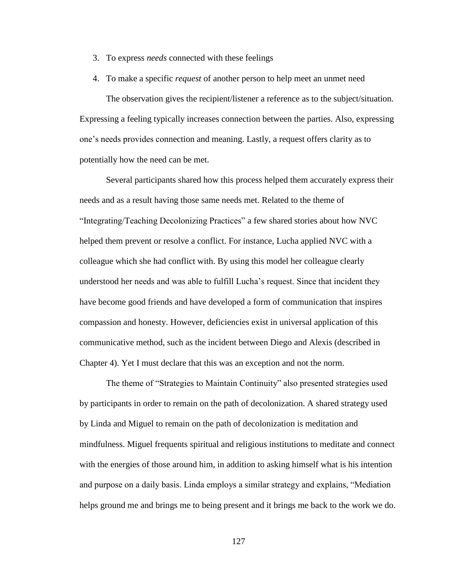- 3. To express *needs* connected with these feelings
- 4. To make a specific *request* of another person to help meet an unmet need

The observation gives the recipient/listener a reference as to the subject/situation. Expressing a feeling typically increases connection between the parties. Also, expressing one's needs provides connection and meaning. Lastly, a request offers clarity as to potentially how the need can be met.

Several participants shared how this process helped them accurately express their needs and as a result having those same needs met. Related to the theme of ―Integrating/Teaching Decolonizing Practices‖ a few shared stories about how NVC helped them prevent or resolve a conflict. For instance, Lucha applied NVC with a colleague which she had conflict with. By using this model her colleague clearly understood her needs and was able to fulfill Lucha's request. Since that incident they have become good friends and have developed a form of communication that inspires compassion and honesty. However, deficiencies exist in universal application of this communicative method, such as the incident between Diego and Alexis (described in Chapter 4). Yet I must declare that this was an exception and not the norm.

The theme of "Strategies to Maintain Continuity" also presented strategies used by participants in order to remain on the path of decolonization. A shared strategy used by Linda and Miguel to remain on the path of decolonization is meditation and mindfulness. Miguel frequents spiritual and religious institutions to meditate and connect with the energies of those around him, in addition to asking himself what is his intention and purpose on a daily basis. Linda employs a similar strategy and explains, "Mediation" helps ground me and brings me to being present and it brings me back to the work we do.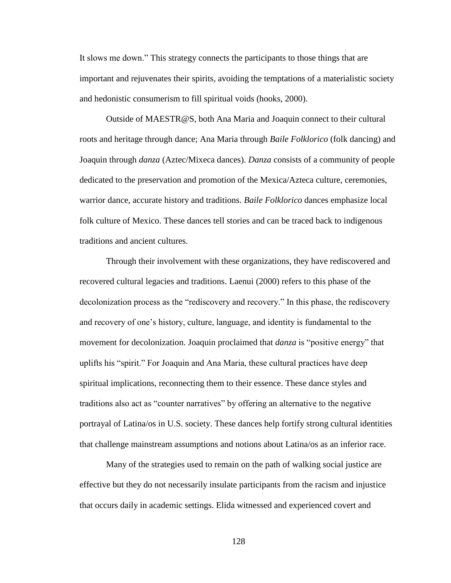It slows me down." This strategy connects the participants to those things that are important and rejuvenates their spirits, avoiding the temptations of a materialistic society and hedonistic consumerism to fill spiritual voids (hooks, 2000).

Outside of MAESTR@S, both Ana Maria and Joaquin connect to their cultural roots and heritage through dance; Ana Maria through *Baile Folklorico* (folk dancing) and Joaquin through *danza* (Aztec/Mixeca dances). *Danza* consists of a community of people dedicated to the preservation and promotion of the Mexica/Azteca culture, ceremonies, warrior dance, accurate history and traditions. *Baile Folklorico* dances emphasize local folk culture of Mexico. These dances tell stories and can be traced back to indigenous traditions and ancient cultures.

Through their involvement with these organizations, they have rediscovered and recovered cultural legacies and traditions. Laenui (2000) refers to this phase of the decolonization process as the "rediscovery and recovery." In this phase, the rediscovery and recovery of one's history, culture, language, and identity is fundamental to the movement for decolonization. Joaquin proclaimed that *danza* is "positive energy" that uplifts his "spirit." For Joaquin and Ana Maria, these cultural practices have deep spiritual implications, reconnecting them to their essence. These dance styles and traditions also act as "counter narratives" by offering an alternative to the negative portrayal of Latina/os in U.S. society. These dances help fortify strong cultural identities that challenge mainstream assumptions and notions about Latina/os as an inferior race.

Many of the strategies used to remain on the path of walking social justice are effective but they do not necessarily insulate participants from the racism and injustice that occurs daily in academic settings. Elida witnessed and experienced covert and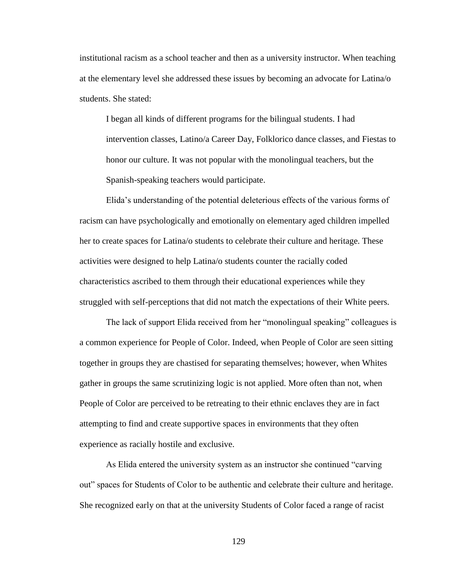institutional racism as a school teacher and then as a university instructor. When teaching at the elementary level she addressed these issues by becoming an advocate for Latina/o students. She stated:

I began all kinds of different programs for the bilingual students. I had intervention classes, Latino/a Career Day, Folklorico dance classes, and Fiestas to honor our culture. It was not popular with the monolingual teachers, but the Spanish-speaking teachers would participate.

Elida's understanding of the potential deleterious effects of the various forms of racism can have psychologically and emotionally on elementary aged children impelled her to create spaces for Latina/o students to celebrate their culture and heritage. These activities were designed to help Latina/o students counter the racially coded characteristics ascribed to them through their educational experiences while they struggled with self-perceptions that did not match the expectations of their White peers.

The lack of support Elida received from her "monolingual speaking" colleagues is a common experience for People of Color. Indeed, when People of Color are seen sitting together in groups they are chastised for separating themselves; however, when Whites gather in groups the same scrutinizing logic is not applied. More often than not, when People of Color are perceived to be retreating to their ethnic enclaves they are in fact attempting to find and create supportive spaces in environments that they often experience as racially hostile and exclusive.

As Elida entered the university system as an instructor she continued "carving" out" spaces for Students of Color to be authentic and celebrate their culture and heritage. She recognized early on that at the university Students of Color faced a range of racist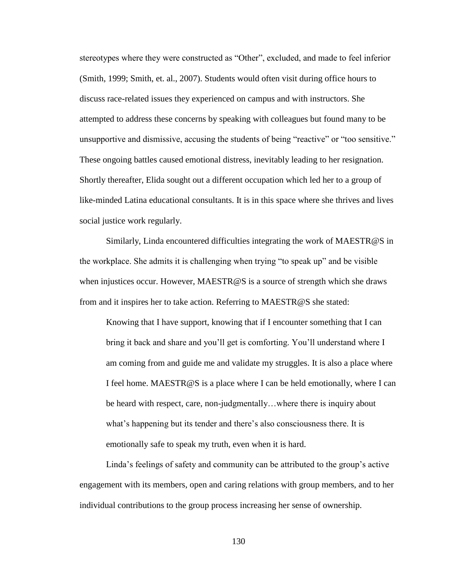stereotypes where they were constructed as "Other", excluded, and made to feel inferior (Smith, 1999; Smith, et. al., 2007). Students would often visit during office hours to discuss race-related issues they experienced on campus and with instructors. She attempted to address these concerns by speaking with colleagues but found many to be unsupportive and dismissive, accusing the students of being "reactive" or "too sensitive." These ongoing battles caused emotional distress, inevitably leading to her resignation. Shortly thereafter, Elida sought out a different occupation which led her to a group of like-minded Latina educational consultants. It is in this space where she thrives and lives social justice work regularly.

Similarly, Linda encountered difficulties integrating the work of MAESTR@S in the workplace. She admits it is challenging when trying "to speak up" and be visible when injustices occur. However, MAESTR@S is a source of strength which she draws from and it inspires her to take action. Referring to MAESTR@S she stated:

Knowing that I have support, knowing that if I encounter something that I can bring it back and share and you'll get is comforting. You'll understand where I am coming from and guide me and validate my struggles. It is also a place where I feel home. MAESTR@S is a place where I can be held emotionally, where I can be heard with respect, care, non-judgmentally…where there is inquiry about what's happening but its tender and there's also consciousness there. It is emotionally safe to speak my truth, even when it is hard.

Linda's feelings of safety and community can be attributed to the group's active engagement with its members, open and caring relations with group members, and to her individual contributions to the group process increasing her sense of ownership.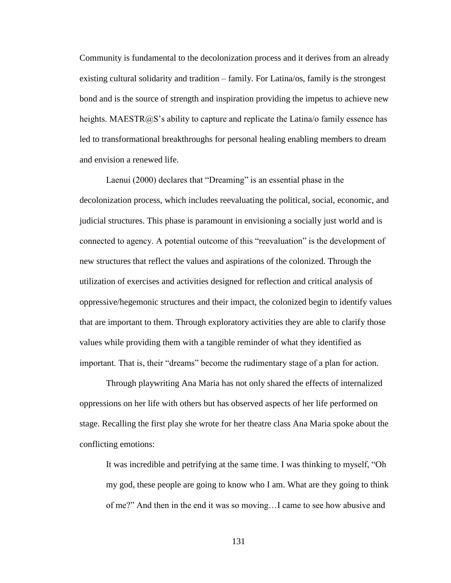Community is fundamental to the decolonization process and it derives from an already existing cultural solidarity and tradition – family. For Latina/os, family is the strongest bond and is the source of strength and inspiration providing the impetus to achieve new heights. MAESTR $@S$ 's ability to capture and replicate the Latina/o family essence has led to transformational breakthroughs for personal healing enabling members to dream and envision a renewed life.

Laenui (2000) declares that "Dreaming" is an essential phase in the decolonization process, which includes reevaluating the political, social, economic, and judicial structures. This phase is paramount in envisioning a socially just world and is connected to agency. A potential outcome of this "reevaluation" is the development of new structures that reflect the values and aspirations of the colonized. Through the utilization of exercises and activities designed for reflection and critical analysis of oppressive/hegemonic structures and their impact, the colonized begin to identify values that are important to them. Through exploratory activities they are able to clarify those values while providing them with a tangible reminder of what they identified as important. That is, their "dreams" become the rudimentary stage of a plan for action.

Through playwriting Ana Maria has not only shared the effects of internalized oppressions on her life with others but has observed aspects of her life performed on stage. Recalling the first play she wrote for her theatre class Ana Maria spoke about the conflicting emotions:

It was incredible and petrifying at the same time. I was thinking to myself, "Oh my god, these people are going to know who I am. What are they going to think of me?" And then in the end it was so moving...I came to see how abusive and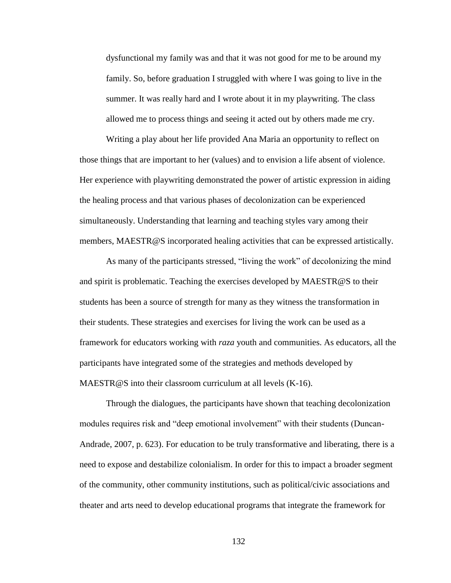dysfunctional my family was and that it was not good for me to be around my family. So, before graduation I struggled with where I was going to live in the summer. It was really hard and I wrote about it in my playwriting. The class allowed me to process things and seeing it acted out by others made me cry.

Writing a play about her life provided Ana Maria an opportunity to reflect on those things that are important to her (values) and to envision a life absent of violence. Her experience with playwriting demonstrated the power of artistic expression in aiding the healing process and that various phases of decolonization can be experienced simultaneously. Understanding that learning and teaching styles vary among their members, MAESTR@S incorporated healing activities that can be expressed artistically.

As many of the participants stressed, "living the work" of decolonizing the mind and spirit is problematic. Teaching the exercises developed by MAESTR@S to their students has been a source of strength for many as they witness the transformation in their students. These strategies and exercises for living the work can be used as a framework for educators working with *raza* youth and communities. As educators, all the participants have integrated some of the strategies and methods developed by MAESTR@S into their classroom curriculum at all levels (K-16).

Through the dialogues, the participants have shown that teaching decolonization modules requires risk and "deep emotional involvement" with their students (Duncan-Andrade, 2007, p. 623). For education to be truly transformative and liberating, there is a need to expose and destabilize colonialism. In order for this to impact a broader segment of the community, other community institutions, such as political/civic associations and theater and arts need to develop educational programs that integrate the framework for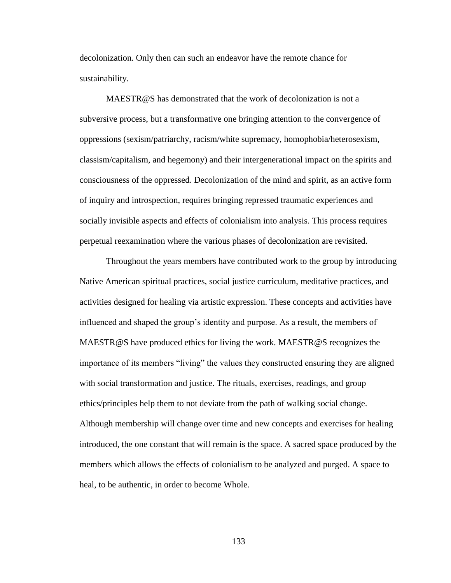decolonization. Only then can such an endeavor have the remote chance for sustainability.

MAESTR@S has demonstrated that the work of decolonization is not a subversive process, but a transformative one bringing attention to the convergence of oppressions (sexism/patriarchy, racism/white supremacy, homophobia/heterosexism, classism/capitalism, and hegemony) and their intergenerational impact on the spirits and consciousness of the oppressed. Decolonization of the mind and spirit, as an active form of inquiry and introspection, requires bringing repressed traumatic experiences and socially invisible aspects and effects of colonialism into analysis. This process requires perpetual reexamination where the various phases of decolonization are revisited.

Throughout the years members have contributed work to the group by introducing Native American spiritual practices, social justice curriculum, meditative practices, and activities designed for healing via artistic expression. These concepts and activities have influenced and shaped the group's identity and purpose. As a result, the members of MAESTR@S have produced ethics for living the work. MAESTR@S recognizes the importance of its members "living" the values they constructed ensuring they are aligned with social transformation and justice. The rituals, exercises, readings, and group ethics/principles help them to not deviate from the path of walking social change. Although membership will change over time and new concepts and exercises for healing introduced, the one constant that will remain is the space. A sacred space produced by the members which allows the effects of colonialism to be analyzed and purged. A space to heal, to be authentic, in order to become Whole.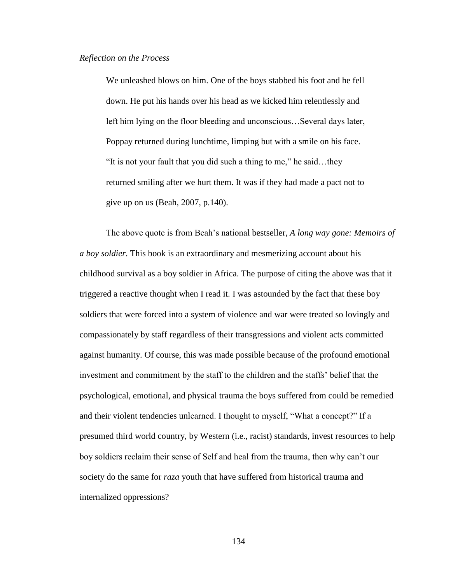We unleashed blows on him. One of the boys stabbed his foot and he fell down. He put his hands over his head as we kicked him relentlessly and left him lying on the floor bleeding and unconscious…Several days later, Poppay returned during lunchtime, limping but with a smile on his face. "It is not your fault that you did such a thing to me," he said...they returned smiling after we hurt them. It was if they had made a pact not to give up on us (Beah, 2007, p.140).

The above quote is from Beah's national bestseller, *A long way gone: Memoirs of a boy soldier*. This book is an extraordinary and mesmerizing account about his childhood survival as a boy soldier in Africa. The purpose of citing the above was that it triggered a reactive thought when I read it. I was astounded by the fact that these boy soldiers that were forced into a system of violence and war were treated so lovingly and compassionately by staff regardless of their transgressions and violent acts committed against humanity. Of course, this was made possible because of the profound emotional investment and commitment by the staff to the children and the staffs' belief that the psychological, emotional, and physical trauma the boys suffered from could be remedied and their violent tendencies unlearned. I thought to myself, "What a concept?" If a presumed third world country, by Western (i.e., racist) standards, invest resources to help boy soldiers reclaim their sense of Self and heal from the trauma, then why can't our society do the same for *raza* youth that have suffered from historical trauma and internalized oppressions?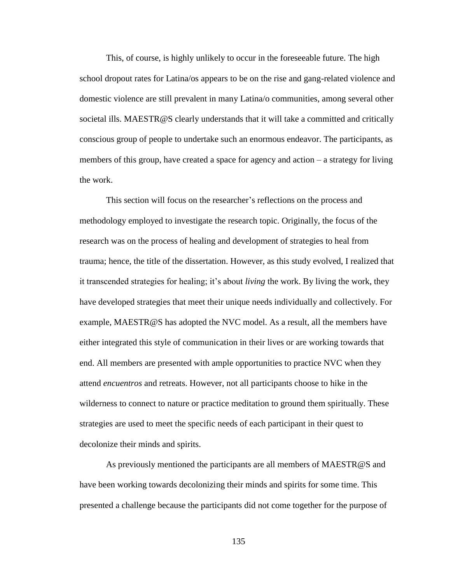This, of course, is highly unlikely to occur in the foreseeable future. The high school dropout rates for Latina/os appears to be on the rise and gang-related violence and domestic violence are still prevalent in many Latina/o communities, among several other societal ills. MAESTR@S clearly understands that it will take a committed and critically conscious group of people to undertake such an enormous endeavor. The participants, as members of this group, have created a space for agency and action – a strategy for living the work.

This section will focus on the researcher's reflections on the process and methodology employed to investigate the research topic. Originally, the focus of the research was on the process of healing and development of strategies to heal from trauma; hence, the title of the dissertation. However, as this study evolved, I realized that it transcended strategies for healing; it's about *living* the work. By living the work, they have developed strategies that meet their unique needs individually and collectively. For example, MAESTR@S has adopted the NVC model. As a result, all the members have either integrated this style of communication in their lives or are working towards that end. All members are presented with ample opportunities to practice NVC when they attend *encuentros* and retreats. However, not all participants choose to hike in the wilderness to connect to nature or practice meditation to ground them spiritually. These strategies are used to meet the specific needs of each participant in their quest to decolonize their minds and spirits.

As previously mentioned the participants are all members of MAESTR@S and have been working towards decolonizing their minds and spirits for some time. This presented a challenge because the participants did not come together for the purpose of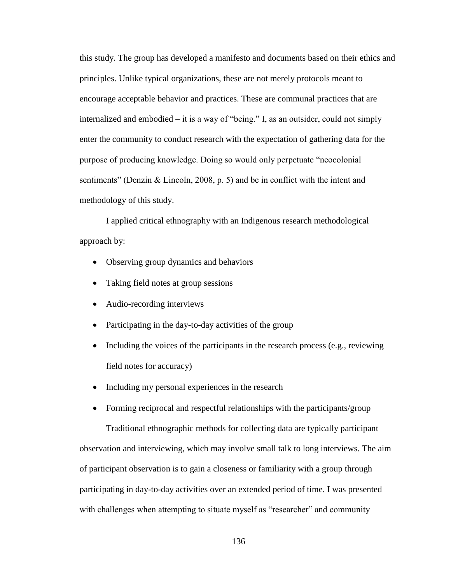this study. The group has developed a manifesto and documents based on their ethics and principles. Unlike typical organizations, these are not merely protocols meant to encourage acceptable behavior and practices. These are communal practices that are internalized and embodied – it is a way of "being." I, as an outsider, could not simply enter the community to conduct research with the expectation of gathering data for the purpose of producing knowledge. Doing so would only perpetuate "neocolonial" sentiments" (Denzin & Lincoln, 2008, p. 5) and be in conflict with the intent and methodology of this study.

I applied critical ethnography with an Indigenous research methodological approach by:

- Observing group dynamics and behaviors
- Taking field notes at group sessions
- Audio-recording interviews
- Participating in the day-to-day activities of the group
- Including the voices of the participants in the research process (e.g., reviewing field notes for accuracy)
- Including my personal experiences in the research

• Forming reciprocal and respectful relationships with the participants/group Traditional ethnographic methods for collecting data are typically participant observation and interviewing, which may involve small talk to long interviews. The aim of participant observation is to gain a closeness or familiarity with a group through participating in day-to-day activities over an extended period of time. I was presented

with challenges when attempting to situate myself as "researcher" and community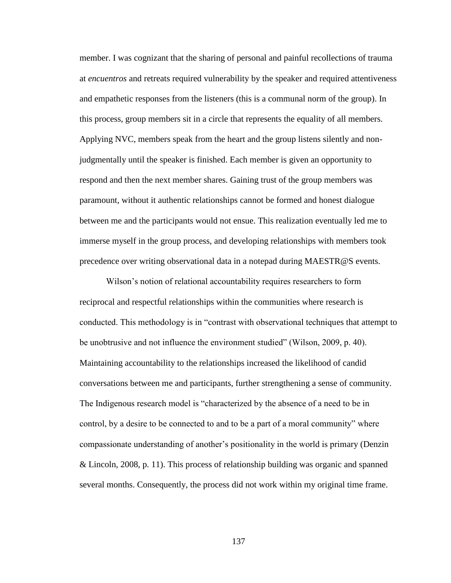member. I was cognizant that the sharing of personal and painful recollections of trauma at *encuentros* and retreats required vulnerability by the speaker and required attentiveness and empathetic responses from the listeners (this is a communal norm of the group). In this process, group members sit in a circle that represents the equality of all members. Applying NVC, members speak from the heart and the group listens silently and nonjudgmentally until the speaker is finished. Each member is given an opportunity to respond and then the next member shares. Gaining trust of the group members was paramount, without it authentic relationships cannot be formed and honest dialogue between me and the participants would not ensue. This realization eventually led me to immerse myself in the group process, and developing relationships with members took precedence over writing observational data in a notepad during MAESTR@S events.

Wilson's notion of relational accountability requires researchers to form reciprocal and respectful relationships within the communities where research is conducted. This methodology is in "contrast with observational techniques that attempt to be unobtrusive and not influence the environment studied" (Wilson, 2009, p. 40). Maintaining accountability to the relationships increased the likelihood of candid conversations between me and participants, further strengthening a sense of community. The Indigenous research model is "characterized by the absence of a need to be in control, by a desire to be connected to and to be a part of a moral community" where compassionate understanding of another's positionality in the world is primary (Denzin & Lincoln, 2008, p. 11). This process of relationship building was organic and spanned several months. Consequently, the process did not work within my original time frame.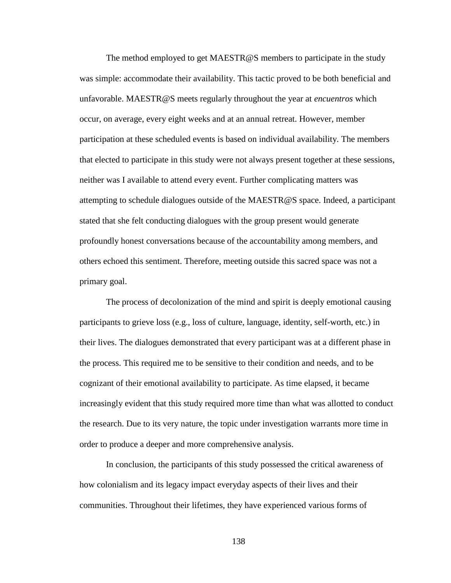The method employed to get MAESTR@S members to participate in the study was simple: accommodate their availability. This tactic proved to be both beneficial and unfavorable. MAESTR@S meets regularly throughout the year at *encuentros* which occur, on average, every eight weeks and at an annual retreat. However, member participation at these scheduled events is based on individual availability. The members that elected to participate in this study were not always present together at these sessions, neither was I available to attend every event. Further complicating matters was attempting to schedule dialogues outside of the MAESTR@S space. Indeed, a participant stated that she felt conducting dialogues with the group present would generate profoundly honest conversations because of the accountability among members, and others echoed this sentiment. Therefore, meeting outside this sacred space was not a primary goal.

The process of decolonization of the mind and spirit is deeply emotional causing participants to grieve loss (e.g., loss of culture, language, identity, self-worth, etc.) in their lives. The dialogues demonstrated that every participant was at a different phase in the process. This required me to be sensitive to their condition and needs, and to be cognizant of their emotional availability to participate. As time elapsed, it became increasingly evident that this study required more time than what was allotted to conduct the research. Due to its very nature, the topic under investigation warrants more time in order to produce a deeper and more comprehensive analysis.

In conclusion, the participants of this study possessed the critical awareness of how colonialism and its legacy impact everyday aspects of their lives and their communities. Throughout their lifetimes, they have experienced various forms of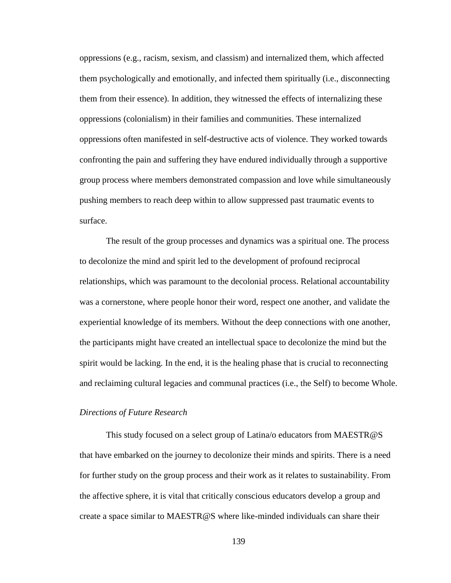oppressions (e.g., racism, sexism, and classism) and internalized them, which affected them psychologically and emotionally, and infected them spiritually (i.e., disconnecting them from their essence). In addition, they witnessed the effects of internalizing these oppressions (colonialism) in their families and communities. These internalized oppressions often manifested in self-destructive acts of violence. They worked towards confronting the pain and suffering they have endured individually through a supportive group process where members demonstrated compassion and love while simultaneously pushing members to reach deep within to allow suppressed past traumatic events to surface.

The result of the group processes and dynamics was a spiritual one. The process to decolonize the mind and spirit led to the development of profound reciprocal relationships, which was paramount to the decolonial process. Relational accountability was a cornerstone, where people honor their word, respect one another, and validate the experiential knowledge of its members. Without the deep connections with one another, the participants might have created an intellectual space to decolonize the mind but the spirit would be lacking. In the end, it is the healing phase that is crucial to reconnecting and reclaiming cultural legacies and communal practices (i.e., the Self) to become Whole.

#### *Directions of Future Research*

This study focused on a select group of Latina/o educators from MAESTR@S that have embarked on the journey to decolonize their minds and spirits. There is a need for further study on the group process and their work as it relates to sustainability. From the affective sphere, it is vital that critically conscious educators develop a group and create a space similar to MAESTR@S where like-minded individuals can share their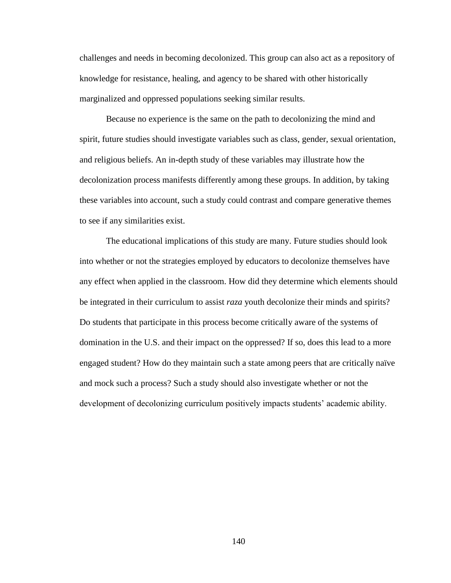challenges and needs in becoming decolonized. This group can also act as a repository of knowledge for resistance, healing, and agency to be shared with other historically marginalized and oppressed populations seeking similar results.

Because no experience is the same on the path to decolonizing the mind and spirit, future studies should investigate variables such as class, gender, sexual orientation, and religious beliefs. An in-depth study of these variables may illustrate how the decolonization process manifests differently among these groups. In addition, by taking these variables into account, such a study could contrast and compare generative themes to see if any similarities exist.

The educational implications of this study are many. Future studies should look into whether or not the strategies employed by educators to decolonize themselves have any effect when applied in the classroom. How did they determine which elements should be integrated in their curriculum to assist *raza* youth decolonize their minds and spirits? Do students that participate in this process become critically aware of the systems of domination in the U.S. and their impact on the oppressed? If so, does this lead to a more engaged student? How do they maintain such a state among peers that are critically naïve and mock such a process? Such a study should also investigate whether or not the development of decolonizing curriculum positively impacts students' academic ability.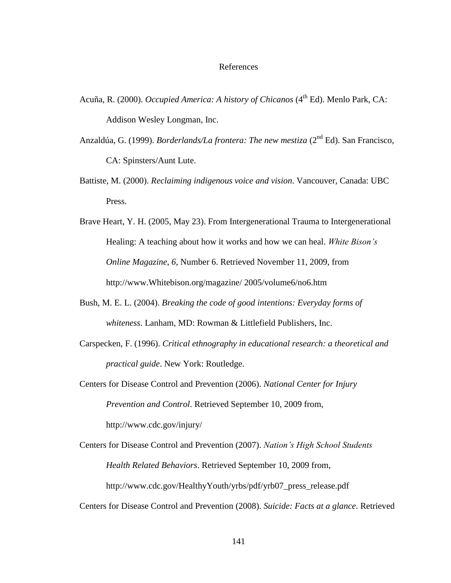#### References

- Acuña, R. (2000). *Occupied America: A history of Chicanos* (4<sup>th</sup> Ed). Menlo Park, CA: Addison Wesley Longman, Inc.
- Anzaldúa, G. (1999). *Borderlands/La frontera: The new mestiza* (2nd Ed). San Francisco, CA: Spinsters/Aunt Lute.
- Battiste, M. (2000). *Reclaiming indigenous voice and vision*. Vancouver, Canada: UBC Press.
- Brave Heart, Y. H. (2005, May 23). From Intergenerational Trauma to Intergenerational Healing: A teaching about how it works and how we can heal. *White Bison's Online Magazine*, *6*, Number 6. Retrieved November 11, 2009, from http://www.Whitebison.org/magazine/ 2005/volume6/no6.htm
- Bush, M. E. L. (2004). *Breaking the code of good intentions: Everyday forms of whiteness*. Lanham, MD: Rowman & Littlefield Publishers, Inc.
- Carspecken, F. (1996). *Critical ethnography in educational research: a theoretical and practical guide*. New York: Routledge.
- Centers for Disease Control and Prevention (2006). *National Center for Injury Prevention and Control*. Retrieved September 10, 2009 from, http://www.cdc.gov/injury/
- Centers for Disease Control and Prevention (2007). *Nation's High School Students Health Related Behaviors*. Retrieved September 10, 2009 from, http://www.cdc.gov/HealthyYouth/yrbs/pdf/yrb07\_press\_release.pdf
- Centers for Disease Control and Prevention (2008). *Suicide: Facts at a glance*. Retrieved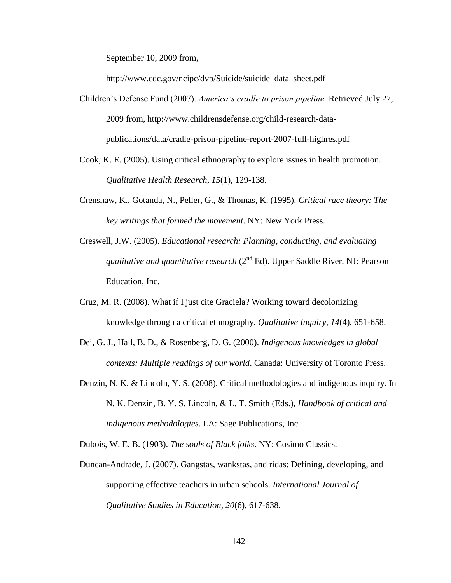September 10, 2009 from,

http://www.cdc.gov/ncipc/dvp/Suicide/suicide\_data\_sheet.pdf

- Children's Defense Fund (2007). *America's cradle to prison pipeline.* Retrieved July 27, 2009 from, http://www.childrensdefense.org/child-research-datapublications/data/cradle-prison-pipeline-report-2007-full-highres.pdf
- Cook, K. E. (2005). Using critical ethnography to explore issues in health promotion. *Qualitative Health Research*, *15*(1), 129-138.
- Crenshaw, K., Gotanda, N., Peller, G., & Thomas, K. (1995). *Critical race theory: The key writings that formed the movement*. NY: New York Press.
- Creswell, J.W. (2005). *Educational research: Planning, conducting, and evaluating qualitative and quantitative research* (2<sup>nd</sup> Ed). Upper Saddle River, NJ: Pearson Education, Inc.
- Cruz, M. R. (2008). What if I just cite Graciela? Working toward decolonizing knowledge through a critical ethnography. *Qualitative Inquiry*, *14*(4), 651-658.
- Dei, G. J., Hall, B. D., & Rosenberg, D. G. (2000). *Indigenous knowledges in global contexts: Multiple readings of our world*. Canada: University of Toronto Press.
- Denzin, N. K. & Lincoln, Y. S. (2008). Critical methodologies and indigenous inquiry. In N. K. Denzin, B. Y. S. Lincoln, & L. T. Smith (Eds.), *Handbook of critical and indigenous methodologies*. LA: Sage Publications, Inc.

Dubois, W. E. B. (1903). *The souls of Black folks*. NY: Cosimo Classics.

Duncan-Andrade, J. (2007). Gangstas, wankstas, and ridas: Defining, developing, and supporting effective teachers in urban schools. *International Journal of Qualitative Studies in Education, 20*(6), 617-638.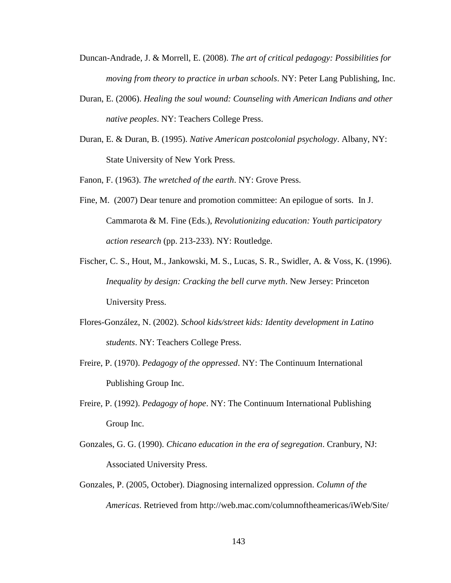- Duncan-Andrade, J. & Morrell, E. (2008). *The art of critical pedagogy: Possibilities for moving from theory to practice in urban schools*. NY: Peter Lang Publishing, Inc.
- Duran, E. (2006). *Healing the soul wound: Counseling with American Indians and other native peoples*. NY: Teachers College Press.
- Duran, E. & Duran, B. (1995). *Native American postcolonial psychology*. Albany, NY: State University of New York Press.
- Fanon, F. (1963). *The wretched of the earth*. NY: Grove Press.
- Fine, M. (2007) Dear tenure and promotion committee: An epilogue of sorts. In J. Cammarota & M. Fine (Eds.), *Revolutionizing education: Youth participatory action research* (pp. 213-233). NY: Routledge.
- Fischer, C. S., Hout, M., Jankowski, M. S., Lucas, S. R., Swidler, A. & Voss, K. (1996). *Inequality by design: Cracking the bell curve myth*. New Jersey: Princeton University Press.
- Flores-González, N. (2002). *School kids/street kids: Identity development in Latino students*. NY: Teachers College Press.
- Freire, P. (1970). *Pedagogy of the oppressed*. NY: The Continuum International Publishing Group Inc.
- Freire, P. (1992). *Pedagogy of hope*. NY: The Continuum International Publishing Group Inc.
- Gonzales, G. G. (1990). *Chicano education in the era of segregation*. Cranbury, NJ: Associated University Press.
- Gonzales, P. (2005, October). Diagnosing internalized oppression. *Column of the Americas*. Retrieved from http://web.mac.com/columnoftheamericas/iWeb/Site/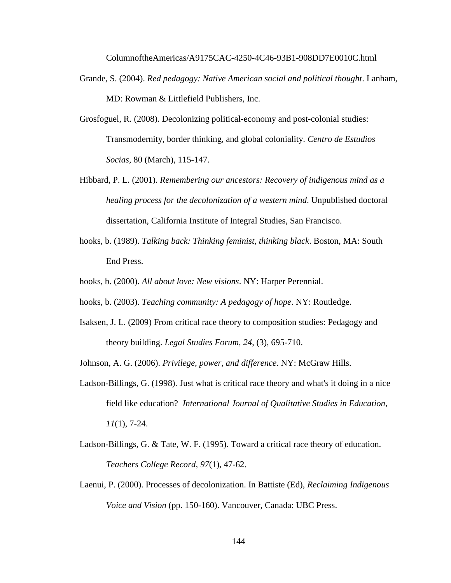ColumnoftheAmericas/A9175CAC-4250-4C46-93B1-908DD7E0010C.html

- Grande, S. (2004). *Red pedagogy: Native American social and political thought*. Lanham, MD: Rowman & Littlefield Publishers, Inc.
- Grosfoguel, R. (2008). Decolonizing political-economy and post-colonial studies: Transmodernity, border thinking, and global coloniality. *Centro de Estudios Socias*, 80 (March), 115-147.
- Hibbard, P. L. (2001). *Remembering our ancestors: Recovery of indigenous mind as a healing process for the decolonization of a western mind*. Unpublished doctoral dissertation, California Institute of Integral Studies, San Francisco.
- hooks, b. (1989). *Talking back: Thinking feminist, thinking black*. Boston, MA: South End Press.
- hooks, b. (2000). *All about love: New visions*. NY: Harper Perennial.
- hooks, b. (2003). *Teaching community: A pedagogy of hope*. NY: Routledge.
- Isaksen, J. L. (2009) From critical race theory to composition studies: Pedagogy and theory building. *Legal Studies Forum, 24*, (3), 695-710.

Johnson, A. G. (2006). *Privilege, power, and difference*. NY: McGraw Hills.

- Ladson-Billings, G. (1998). Just what is critical race theory and what's it doing in a nice field like education? *International Journal of Qualitative Studies in Education*, *11*(1), 7-24.
- Ladson-Billings, G. & Tate, W. F. (1995). Toward a critical race theory of education. *Teachers College Record*, *97*(1), 47-62.
- Laenui, P. (2000). Processes of decolonization. In Battiste (Ed), *Reclaiming Indigenous Voice and Vision* (pp. 150-160). Vancouver, Canada: UBC Press.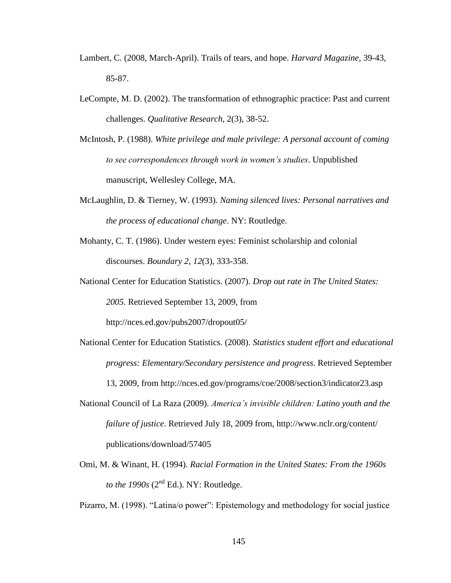- Lambert, C. (2008, March-April). Trails of tears, and hope. *Harvard Magazine,* 39-43, 85-87.
- LeCompte, M. D. (2002). The transformation of ethnographic practice: Past and current challenges. *Qualitative Research*, 2(3), 38-52.
- McIntosh, P. (1988). *White privilege and male privilege: A personal account of coming to see correspondences through work in women's studies*. Unpublished manuscript, Wellesley College, MA.
- McLaughlin, D. & Tierney, W. (1993). *Naming silenced lives: Personal narratives and the process of educational change*. NY: Routledge.
- Mohanty, C. T. (1986). Under western eyes: Feminist scholarship and colonial discourses. *Boundary 2*, *12*(3), 333-358.
- National Center for Education Statistics. (2007). *Drop out rate in The United States: 2005*. Retrieved September 13, 2009, from

http://nces.ed.gov/pubs2007/dropout05/

- National Center for Education Statistics. (2008). *Statistics student effort and educational progress: Elementary/Secondary persistence and progress*. Retrieved September 13, 2009, from http://nces.ed.gov/programs/coe/2008/section3/indicator23.asp
- National Council of La Raza (2009). *America's invisible children: Latino youth and the failure of justice*. Retrieved July 18, 2009 from, http://www.nclr.org/content/ publications/download/57405
- Omi, M. & Winant, H. (1994). *Racial Formation in the United States: From the 1960s to the 1990s*  $(2^{nd} Ed.)$ . NY: Routledge.

Pizarro, M. (1998). "Latina/o power": Epistemology and methodology for social justice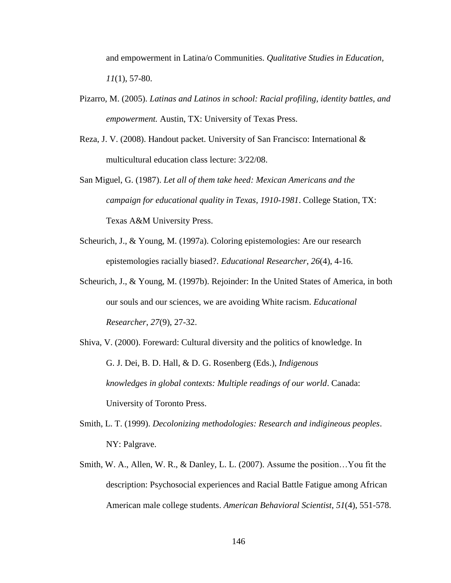and empowerment in Latina/o Communities. *Qualitative Studies in Education, 11*(1), 57-80.

- Pizarro, M. (2005). *Latinas and Latinos in school: Racial profiling, identity battles, and empowerment.* Austin, TX: University of Texas Press.
- Reza, J. V. (2008). Handout packet. University of San Francisco: International & multicultural education class lecture: 3/22/08.
- San Miguel, G. (1987). *Let all of them take heed: Mexican Americans and the campaign for educational quality in Texas, 1910-1981*. College Station, TX: Texas A&M University Press.
- Scheurich, J., & Young, M. (1997a). Coloring epistemologies: Are our research epistemologies racially biased?. *Educational Researcher*, *26*(4), 4-16.
- Scheurich, J., & Young, M. (1997b). Rejoinder: In the United States of America, in both our souls and our sciences, we are avoiding White racism. *Educational Researcher*, *27*(9), 27-32.
- Shiva, V. (2000). Foreward: Cultural diversity and the politics of knowledge. In G. J. Dei, B. D. Hall, & D. G. Rosenberg (Eds.), *Indigenous knowledges in global contexts: Multiple readings of our world*. Canada: University of Toronto Press.
- Smith, L. T. (1999). *Decolonizing methodologies: Research and indigineous peoples*. NY: Palgrave.
- Smith, W. A., Allen, W. R., & Danley, L. L. (2007). Assume the position…You fit the description: Psychosocial experiences and Racial Battle Fatigue among African American male college students. *American Behavioral Scientist*, *51*(4), 551-578.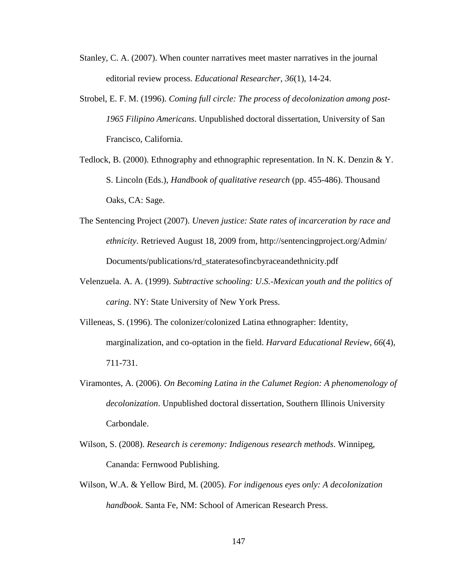- Stanley, C. A. (2007). When counter narratives meet master narratives in the journal editorial review process. *Educational Researcher*, *36*(1), 14-24.
- Strobel, E. F. M. (1996). *Coming full circle: The process of decolonization among post-1965 Filipino Americans*. Unpublished doctoral dissertation, University of San Francisco, California.
- Tedlock, B. (2000). Ethnography and ethnographic representation. In N. K. Denzin & Y. S. Lincoln (Eds.), *Handbook of qualitative research* (pp. 455-486). Thousand Oaks, CA: Sage.
- The Sentencing Project (2007). *Uneven justice: State rates of incarceration by race and ethnicity*. Retrieved August 18, 2009 from, http://sentencingproject.org/Admin/ Documents/publications/rd\_stateratesofincbyraceandethnicity.pdf
- Velenzuela. A. A. (1999). *Subtractive schooling: U.S.-Mexican youth and the politics of caring*. NY: State University of New York Press.
- Villeneas, S. (1996). The colonizer/colonized Latina ethnographer: Identity, marginalization, and co-optation in the field. *Harvard Educational Review*, *66*(4), 711-731.
- Viramontes, A. (2006). *On Becoming Latina in the Calumet Region: A phenomenology of decolonization*. Unpublished doctoral dissertation, Southern Illinois University Carbondale.
- Wilson, S. (2008). *Research is ceremony: Indigenous research methods*. Winnipeg, Cananda: Fernwood Publishing.
- Wilson, W.A. & Yellow Bird, M. (2005). *For indigenous eyes only: A decolonization handbook*. Santa Fe, NM: School of American Research Press.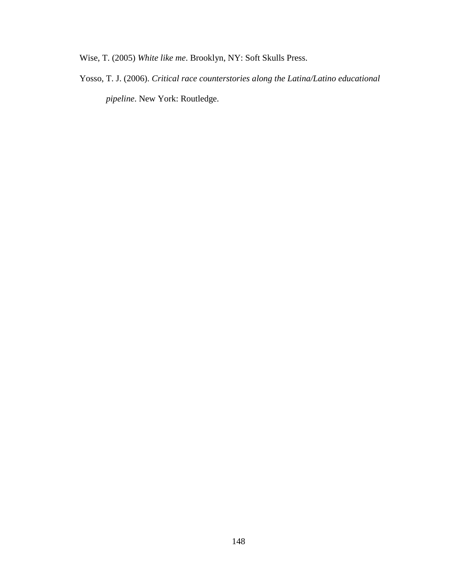Wise, T. (2005) *White like me*. Brooklyn, NY: Soft Skulls Press.

Yosso, T. J. (2006). *Critical race counterstories along the Latina/Latino educational pipeline*. New York: Routledge.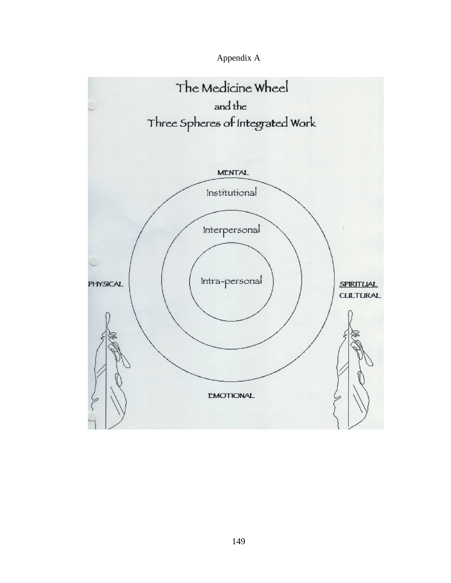

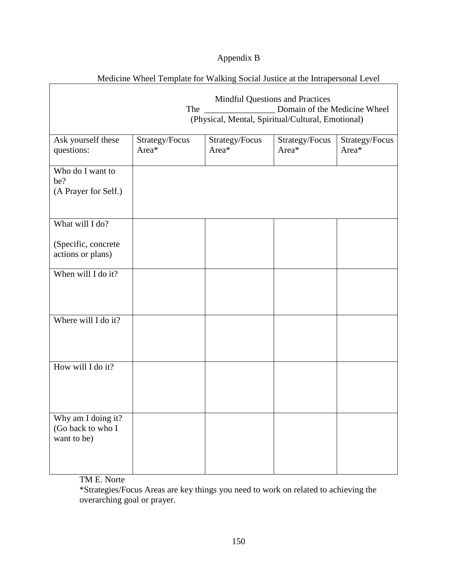# Appendix B

| Medicine Wheel Template for Walking Social Justice at the Intrapersonal Level |                                                                                                                                    |                         |                         |                         |
|-------------------------------------------------------------------------------|------------------------------------------------------------------------------------------------------------------------------------|-------------------------|-------------------------|-------------------------|
|                                                                               | <b>Mindful Questions and Practices</b><br>Domain of the Medicine Wheel<br>The<br>(Physical, Mental, Spiritual/Cultural, Emotional) |                         |                         |                         |
| Ask yourself these<br>questions:                                              | Strategy/Focus<br>Area*                                                                                                            | Strategy/Focus<br>Area* | Strategy/Focus<br>Area* | Strategy/Focus<br>Area* |
| Who do I want to<br>be?<br>(A Prayer for Self.)                               |                                                                                                                                    |                         |                         |                         |
| What will I do?                                                               |                                                                                                                                    |                         |                         |                         |
| (Specific, concrete<br>actions or plans)                                      |                                                                                                                                    |                         |                         |                         |
| When will I do it?                                                            |                                                                                                                                    |                         |                         |                         |
| Where will I do it?                                                           |                                                                                                                                    |                         |                         |                         |
| How will I do it?                                                             |                                                                                                                                    |                         |                         |                         |
| Why am I doing it?<br>(Go back to who I<br>want to be)                        |                                                                                                                                    |                         |                         |                         |

TM E. Norte

\*Strategies/Focus Areas are key things you need to work on related to achieving the overarching goal or prayer.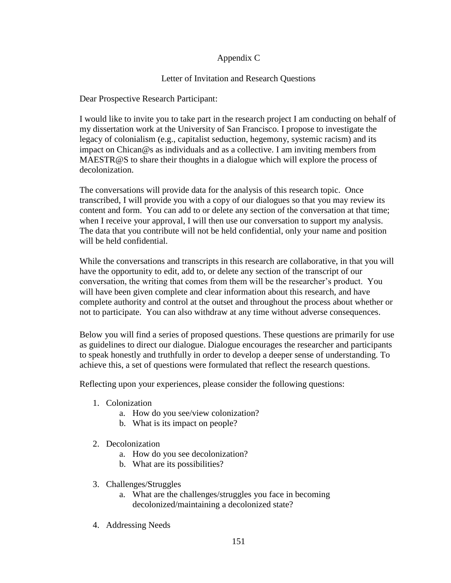## Appendix C

### Letter of Invitation and Research Questions

Dear Prospective Research Participant:

I would like to invite you to take part in the research project I am conducting on behalf of my dissertation work at the University of San Francisco. I propose to investigate the legacy of colonialism (e.g., capitalist seduction, hegemony, systemic racism) and its impact on Chican@s as individuals and as a collective. I am inviting members from MAESTR@S to share their thoughts in a dialogue which will explore the process of decolonization.

The conversations will provide data for the analysis of this research topic. Once transcribed, I will provide you with a copy of our dialogues so that you may review its content and form. You can add to or delete any section of the conversation at that time; when I receive your approval, I will then use our conversation to support my analysis. The data that you contribute will not be held confidential, only your name and position will be held confidential.

While the conversations and transcripts in this research are collaborative, in that you will have the opportunity to edit, add to, or delete any section of the transcript of our conversation, the writing that comes from them will be the researcher's product. You will have been given complete and clear information about this research, and have complete authority and control at the outset and throughout the process about whether or not to participate. You can also withdraw at any time without adverse consequences.

Below you will find a series of proposed questions. These questions are primarily for use as guidelines to direct our dialogue. Dialogue encourages the researcher and participants to speak honestly and truthfully in order to develop a deeper sense of understanding. To achieve this, a set of questions were formulated that reflect the research questions.

Reflecting upon your experiences, please consider the following questions:

- 1. Colonization
	- a. How do you see/view colonization?
	- b. What is its impact on people?
- 2. Decolonization
	- a. How do you see decolonization?
	- b. What are its possibilities?
- 3. Challenges/Struggles
	- a. What are the challenges/struggles you face in becoming decolonized/maintaining a decolonized state?
- 4. Addressing Needs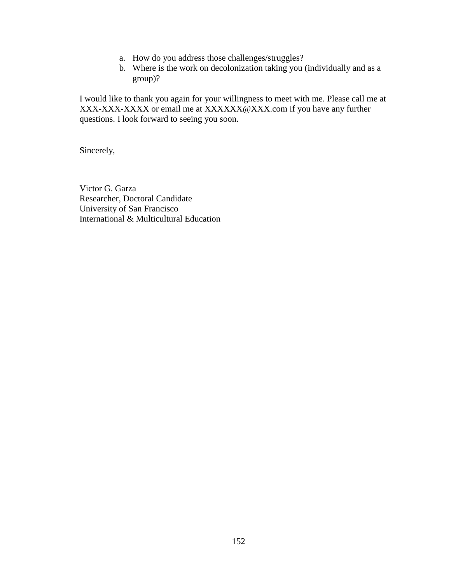- a. How do you address those challenges/struggles?
- b. Where is the work on decolonization taking you (individually and as a group)?

I would like to thank you again for your willingness to meet with me. Please call me at XXX-XXX-XXXX or email me at XXXXXX@XXX.com if you have any further questions. I look forward to seeing you soon.

Sincerely,

Victor G. Garza Researcher, Doctoral Candidate University of San Francisco International & Multicultural Education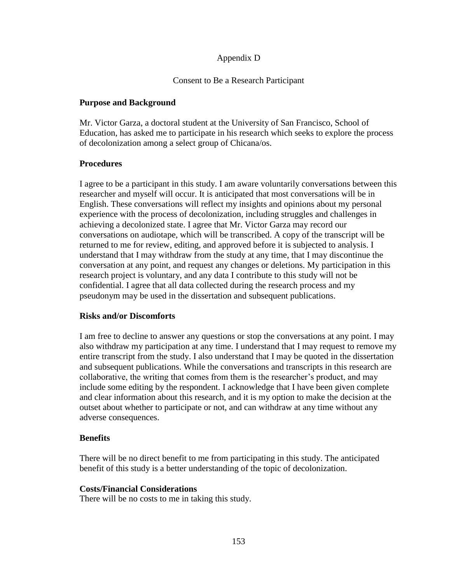### Appendix D

### Consent to Be a Research Participant

#### **Purpose and Background**

Mr. Victor Garza, a doctoral student at the University of San Francisco, School of Education, has asked me to participate in his research which seeks to explore the process of decolonization among a select group of Chicana/os.

#### **Procedures**

I agree to be a participant in this study. I am aware voluntarily conversations between this researcher and myself will occur. It is anticipated that most conversations will be in English. These conversations will reflect my insights and opinions about my personal experience with the process of decolonization, including struggles and challenges in achieving a decolonized state. I agree that Mr. Victor Garza may record our conversations on audiotape, which will be transcribed. A copy of the transcript will be returned to me for review, editing, and approved before it is subjected to analysis. I understand that I may withdraw from the study at any time, that I may discontinue the conversation at any point, and request any changes or deletions. My participation in this research project is voluntary, and any data I contribute to this study will not be confidential. I agree that all data collected during the research process and my pseudonym may be used in the dissertation and subsequent publications.

### **Risks and/or Discomforts**

I am free to decline to answer any questions or stop the conversations at any point. I may also withdraw my participation at any time. I understand that I may request to remove my entire transcript from the study. I also understand that I may be quoted in the dissertation and subsequent publications. While the conversations and transcripts in this research are collaborative, the writing that comes from them is the researcher's product, and may include some editing by the respondent. I acknowledge that I have been given complete and clear information about this research, and it is my option to make the decision at the outset about whether to participate or not, and can withdraw at any time without any adverse consequences.

#### **Benefits**

There will be no direct benefit to me from participating in this study. The anticipated benefit of this study is a better understanding of the topic of decolonization.

#### **Costs/Financial Considerations**

There will be no costs to me in taking this study.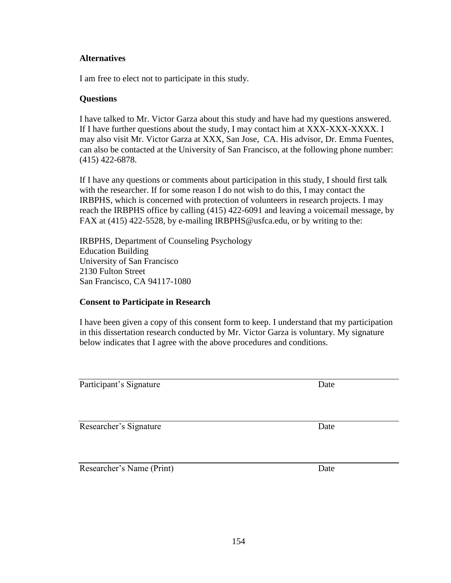#### **Alternatives**

I am free to elect not to participate in this study.

#### **Questions**

I have talked to Mr. Victor Garza about this study and have had my questions answered. If I have further questions about the study, I may contact him at XXX-XXX-XXXX. I may also visit Mr. Victor Garza at XXX, San Jose, CA. His advisor, Dr. Emma Fuentes, can also be contacted at the University of San Francisco, at the following phone number: (415) 422-6878.

If I have any questions or comments about participation in this study, I should first talk with the researcher. If for some reason I do not wish to do this, I may contact the IRBPHS, which is concerned with protection of volunteers in research projects. I may reach the IRBPHS office by calling (415) 422-6091 and leaving a voicemail message, by FAX at (415) 422-5528, by e-mailing IRBPHS@usfca.edu, or by writing to the:

IRBPHS, Department of Counseling Psychology Education Building University of San Francisco 2130 Fulton Street San Francisco, CA 94117-1080

### **Consent to Participate in Research**

I have been given a copy of this consent form to keep. I understand that my participation in this dissertation research conducted by Mr. Victor Garza is voluntary. My signature below indicates that I agree with the above procedures and conditions.

Participant's Signature Date

Researcher's Signature Date

Researcher's Name (Print) Date